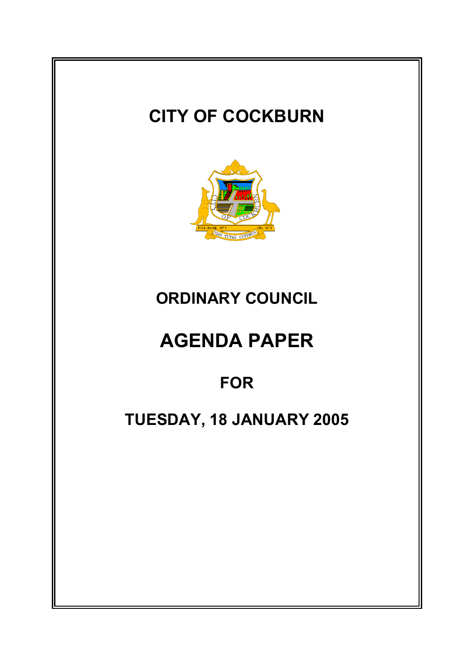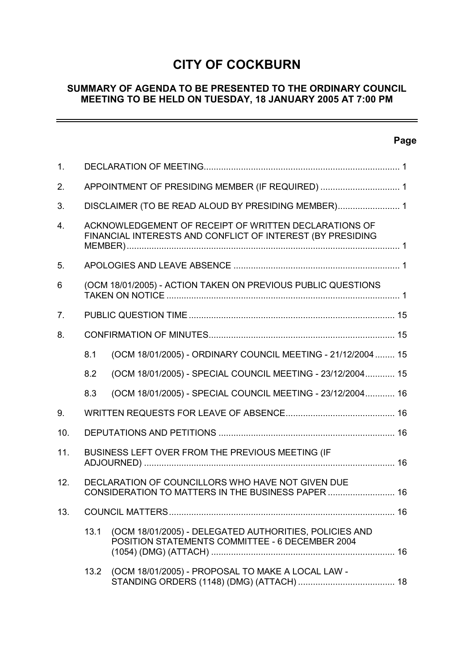# **CITY OF COCKBURN**

# **SUMMARY OF AGENDA TO BE PRESENTED TO THE ORDINARY COUNCIL MEETING TO BE HELD ON TUESDAY, 18 JANUARY 2005 AT 7:00 PM**

# **Page**

 $\overline{\phantom{0}}$ 

| $\mathbf{1}$ . |                                                                                                                     |                                                                                                           |  |
|----------------|---------------------------------------------------------------------------------------------------------------------|-----------------------------------------------------------------------------------------------------------|--|
| 2.             | APPOINTMENT OF PRESIDING MEMBER (IF REQUIRED)  1                                                                    |                                                                                                           |  |
| 3.             | DISCLAIMER (TO BE READ ALOUD BY PRESIDING MEMBER) 1                                                                 |                                                                                                           |  |
| 4.             | ACKNOWLEDGEMENT OF RECEIPT OF WRITTEN DECLARATIONS OF<br>FINANCIAL INTERESTS AND CONFLICT OF INTEREST (BY PRESIDING |                                                                                                           |  |
| 5.             |                                                                                                                     |                                                                                                           |  |
| 6              | (OCM 18/01/2005) - ACTION TAKEN ON PREVIOUS PUBLIC QUESTIONS                                                        |                                                                                                           |  |
| 7 <sub>1</sub> |                                                                                                                     |                                                                                                           |  |
| 8.             |                                                                                                                     |                                                                                                           |  |
|                | 8.1                                                                                                                 | (OCM 18/01/2005) - ORDINARY COUNCIL MEETING - 21/12/2004  15                                              |  |
|                | 8.2                                                                                                                 | (OCM 18/01/2005) - SPECIAL COUNCIL MEETING - 23/12/2004 15                                                |  |
|                | 8.3                                                                                                                 | (OCM 18/01/2005) - SPECIAL COUNCIL MEETING - 23/12/2004 16                                                |  |
| 9.             |                                                                                                                     |                                                                                                           |  |
| 10.            |                                                                                                                     |                                                                                                           |  |
| 11.            |                                                                                                                     | BUSINESS LEFT OVER FROM THE PREVIOUS MEETING (IF                                                          |  |
| 12.            |                                                                                                                     | DECLARATION OF COUNCILLORS WHO HAVE NOT GIVEN DUE<br>CONSIDERATION TO MATTERS IN THE BUSINESS PAPER  16   |  |
| 13.            |                                                                                                                     |                                                                                                           |  |
|                | 13.1                                                                                                                | (OCM 18/01/2005) - DELEGATED AUTHORITIES, POLICIES AND<br>POSITION STATEMENTS COMMITTEE - 6 DECEMBER 2004 |  |
|                | 13.2                                                                                                                | (OCM 18/01/2005) - PROPOSAL TO MAKE A LOCAL LAW -                                                         |  |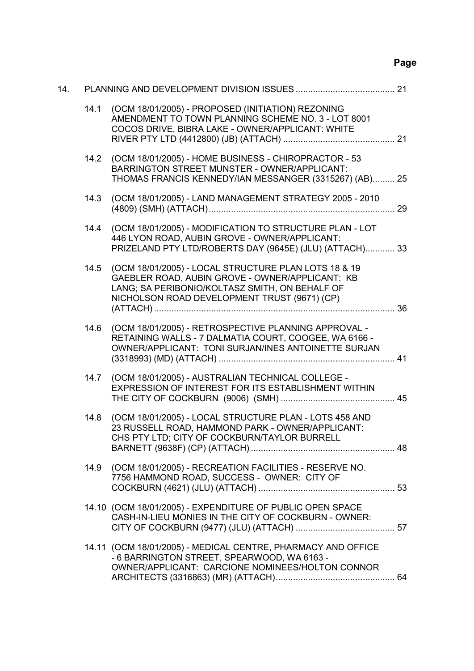# **Page**

| 14. |      |                                                                                                                                                                                                           |  |
|-----|------|-----------------------------------------------------------------------------------------------------------------------------------------------------------------------------------------------------------|--|
|     | 14.1 | (OCM 18/01/2005) - PROPOSED (INITIATION) REZONING<br>AMENDMENT TO TOWN PLANNING SCHEME NO. 3 - LOT 8001<br>COCOS DRIVE, BIBRA LAKE - OWNER/APPLICANT: WHITE                                               |  |
|     | 14.2 | (OCM 18/01/2005) - HOME BUSINESS - CHIROPRACTOR - 53<br>BARRINGTON STREET MUNSTER - OWNER/APPLICANT:<br>THOMAS FRANCIS KENNEDY/IAN MESSANGER (3315267) (AB) 25                                            |  |
|     | 14.3 | (OCM 18/01/2005) - LAND MANAGEMENT STRATEGY 2005 - 2010                                                                                                                                                   |  |
|     | 14.4 | (OCM 18/01/2005) - MODIFICATION TO STRUCTURE PLAN - LOT<br>446 LYON ROAD, AUBIN GROVE - OWNER/APPLICANT:<br>PRIZELAND PTY LTD/ROBERTS DAY (9645E) (JLU) (ATTACH) 33                                       |  |
|     | 14.5 | (OCM 18/01/2005) - LOCAL STRUCTURE PLAN LOTS 18 & 19<br>GAEBLER ROAD, AUBIN GROVE - OWNER/APPLICANT: KB<br>LANG; SA PERIBONIO/KOLTASZ SMITH, ON BEHALF OF<br>NICHOLSON ROAD DEVELOPMENT TRUST (9671) (CP) |  |
|     | 14.6 | (OCM 18/01/2005) - RETROSPECTIVE PLANNING APPROVAL -<br>RETAINING WALLS - 7 DALMATIA COURT, COOGEE, WA 6166 -<br>OWNER/APPLICANT: TONI SURJAN/INES ANTOINETTE SURJAN                                      |  |
|     | 14.7 | (OCM 18/01/2005) - AUSTRALIAN TECHNICAL COLLEGE -<br>EXPRESSION OF INTEREST FOR ITS ESTABLISHMENT WITHIN                                                                                                  |  |
|     | 14.8 | (OCM 18/01/2005) - LOCAL STRUCTURE PLAN - LOTS 458 AND<br>23 RUSSELL ROAD, HAMMOND PARK - OWNER/APPLICANT:<br>CHS PTY LTD; CITY OF COCKBURN/TAYLOR BURRELL                                                |  |
|     | 14.9 | (OCM 18/01/2005) - RECREATION FACILITIES - RESERVE NO.<br>7756 HAMMOND ROAD, SUCCESS - OWNER: CITY OF                                                                                                     |  |
|     |      | 14.10 (OCM 18/01/2005) - EXPENDITURE OF PUBLIC OPEN SPACE<br>CASH-IN-LIEU MONIES IN THE CITY OF COCKBURN - OWNER:                                                                                         |  |
|     |      | 14.11 (OCM 18/01/2005) - MEDICAL CENTRE, PHARMACY AND OFFICE<br>- 6 BARRINGTON STREET, SPEARWOOD, WA 6163 -<br>OWNER/APPLICANT: CARCIONE NOMINEES/HOLTON CONNOR                                           |  |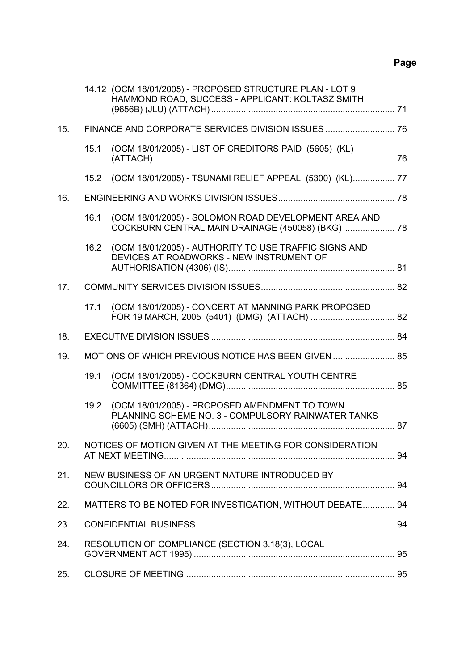# **Page**

|     |      | 14.12 (OCM 18/01/2005) - PROPOSED STRUCTURE PLAN - LOT 9<br>HAMMOND ROAD, SUCCESS - APPLICANT: KOLTASZ SMITH |  |
|-----|------|--------------------------------------------------------------------------------------------------------------|--|
| 15. |      |                                                                                                              |  |
|     | 15.1 | (OCM 18/01/2005) - LIST OF CREDITORS PAID (5605) (KL)                                                        |  |
|     | 15.2 | (OCM 18/01/2005) - TSUNAMI RELIEF APPEAL (5300) (KL) 77                                                      |  |
| 16. |      |                                                                                                              |  |
|     | 16.1 | (OCM 18/01/2005) - SOLOMON ROAD DEVELOPMENT AREA AND<br>COCKBURN CENTRAL MAIN DRAINAGE (450058) (BKG) 78     |  |
|     | 16.2 | (OCM 18/01/2005) - AUTHORITY TO USE TRAFFIC SIGNS AND<br>DEVICES AT ROADWORKS - NEW INSTRUMENT OF            |  |
| 17. |      |                                                                                                              |  |
|     | 17.1 | (OCM 18/01/2005) - CONCERT AT MANNING PARK PROPOSED                                                          |  |
| 18. |      |                                                                                                              |  |
| 19. |      | MOTIONS OF WHICH PREVIOUS NOTICE HAS BEEN GIVEN  85                                                          |  |
|     | 19.1 | (OCM 18/01/2005) - COCKBURN CENTRAL YOUTH CENTRE                                                             |  |
|     | 19.2 | (OCM 18/01/2005) - PROPOSED AMENDMENT TO TOWN<br>PLANNING SCHEME NO. 3 - COMPULSORY RAINWATER TANKS          |  |
| 20. |      | NOTICES OF MOTION GIVEN AT THE MEETING FOR CONSIDERATION                                                     |  |
| 21. |      | NEW BUSINESS OF AN URGENT NATURE INTRODUCED BY                                                               |  |
| 22. |      | MATTERS TO BE NOTED FOR INVESTIGATION, WITHOUT DEBATE 94                                                     |  |
| 23. |      |                                                                                                              |  |
| 24. |      | RESOLUTION OF COMPLIANCE (SECTION 3.18(3), LOCAL                                                             |  |
| 25. |      |                                                                                                              |  |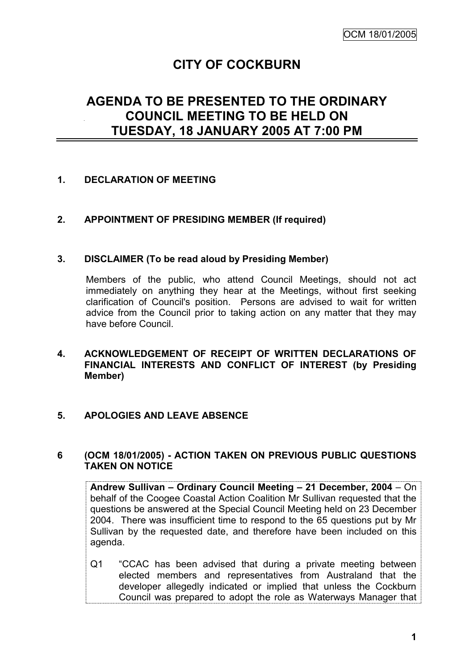# **CITY OF COCKBURN**

# **AGENDA TO BE PRESENTED TO THE ORDINARY COUNCIL MEETING TO BE HELD ON TUESDAY, 18 JANUARY 2005 AT 7:00 PM**

## **1. DECLARATION OF MEETING**

## **2. APPOINTMENT OF PRESIDING MEMBER (If required)**

#### **3. DISCLAIMER (To be read aloud by Presiding Member)**

Members of the public, who attend Council Meetings, should not act immediately on anything they hear at the Meetings, without first seeking clarification of Council's position. Persons are advised to wait for written advice from the Council prior to taking action on any matter that they may have before Council.

**4. ACKNOWLEDGEMENT OF RECEIPT OF WRITTEN DECLARATIONS OF FINANCIAL INTERESTS AND CONFLICT OF INTEREST (by Presiding Member)**

#### **5. APOLOGIES AND LEAVE ABSENCE**

#### **6 (OCM 18/01/2005) - ACTION TAKEN ON PREVIOUS PUBLIC QUESTIONS TAKEN ON NOTICE**

**Andrew Sullivan – Ordinary Council Meeting – 21 December, 2004** – On behalf of the Coogee Coastal Action Coalition Mr Sullivan requested that the questions be answered at the Special Council Meeting held on 23 December 2004. There was insufficient time to respond to the 65 questions put by Mr Sullivan by the requested date, and therefore have been included on this agenda.

Q1 "CCAC has been advised that during a private meeting between elected members and representatives from Australand that the developer allegedly indicated or implied that unless the Cockburn Council was prepared to adopt the role as Waterways Manager that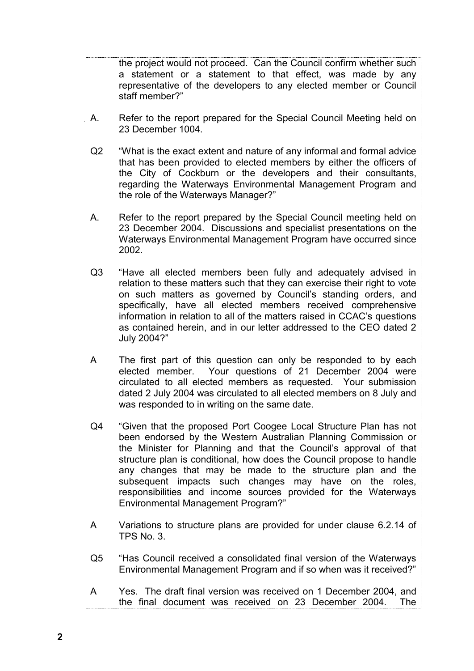the project would not proceed. Can the Council confirm whether such a statement or a statement to that effect, was made by any representative of the developers to any elected member or Council staff member?"

- A. Refer to the report prepared for the Special Council Meeting held on 23 December 1004.
- Q2 "What is the exact extent and nature of any informal and formal advice that has been provided to elected members by either the officers of the City of Cockburn or the developers and their consultants, regarding the Waterways Environmental Management Program and the role of the Waterways Manager?"
- A. Refer to the report prepared by the Special Council meeting held on 23 December 2004. Discussions and specialist presentations on the Waterways Environmental Management Program have occurred since 2002.
- Q3 "Have all elected members been fully and adequately advised in relation to these matters such that they can exercise their right to vote on such matters as governed by Council"s standing orders, and specifically, have all elected members received comprehensive information in relation to all of the matters raised in CCAC"s questions as contained herein, and in our letter addressed to the CEO dated 2 July 2004?"
- A The first part of this question can only be responded to by each elected member. Your questions of 21 December 2004 were circulated to all elected members as requested. Your submission dated 2 July 2004 was circulated to all elected members on 8 July and was responded to in writing on the same date.
- Q4 "Given that the proposed Port Coogee Local Structure Plan has not been endorsed by the Western Australian Planning Commission or the Minister for Planning and that the Council"s approval of that structure plan is conditional, how does the Council propose to handle any changes that may be made to the structure plan and the subsequent impacts such changes may have on the roles, responsibilities and income sources provided for the Waterways Environmental Management Program?"
- A Variations to structure plans are provided for under clause 6.2.14 of TPS No. 3.
- Q5 "Has Council received a consolidated final version of the Waterways Environmental Management Program and if so when was it received?"
- A Yes. The draft final version was received on 1 December 2004, and the final document was received on 23 December 2004. The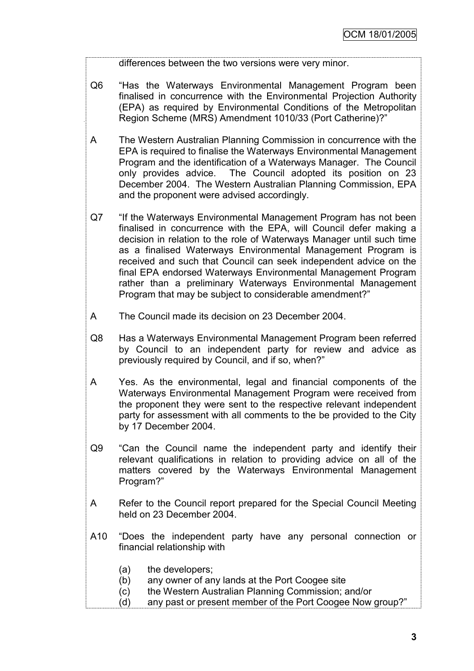differences between the two versions were very minor.

- Q6 "Has the Waterways Environmental Management Program been finalised in concurrence with the Environmental Projection Authority (EPA) as required by Environmental Conditions of the Metropolitan Region Scheme (MRS) Amendment 1010/33 (Port Catherine)?"
- A The Western Australian Planning Commission in concurrence with the EPA is required to finalise the Waterways Environmental Management Program and the identification of a Waterways Manager. The Council only provides advice. The Council adopted its position on 23 December 2004. The Western Australian Planning Commission, EPA and the proponent were advised accordingly.
- Q7 "If the Waterways Environmental Management Program has not been finalised in concurrence with the EPA, will Council defer making a decision in relation to the role of Waterways Manager until such time as a finalised Waterways Environmental Management Program is received and such that Council can seek independent advice on the final EPA endorsed Waterways Environmental Management Program rather than a preliminary Waterways Environmental Management Program that may be subject to considerable amendment?"
- A The Council made its decision on 23 December 2004.
- Q8 Has a Waterways Environmental Management Program been referred by Council to an independent party for review and advice as previously required by Council, and if so, when?"
- A Yes. As the environmental, legal and financial components of the Waterways Environmental Management Program were received from the proponent they were sent to the respective relevant independent party for assessment with all comments to the be provided to the City by 17 December 2004.
- Q9 "Can the Council name the independent party and identify their relevant qualifications in relation to providing advice on all of the matters covered by the Waterways Environmental Management Program?"
- A Refer to the Council report prepared for the Special Council Meeting held on 23 December 2004.
- A10 "Does the independent party have any personal connection or financial relationship with
	- (a) the developers;
	- (b) any owner of any lands at the Port Coogee site
	- (c) the Western Australian Planning Commission; and/or
	- (d) any past or present member of the Port Coogee Now group?"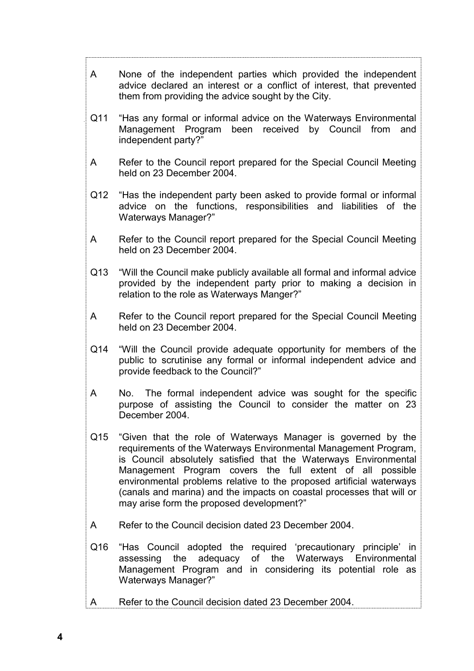| None of the independent parties which provided the independent<br>A<br>advice declared an interest or a conflict of interest, that prevented<br>them from providing the advice sought by the City.<br>Q11<br>"Has any formal or informal advice on the Waterways Environmental<br>Management Program been received<br>by Council from<br>and<br>independent party?"<br>Refer to the Council report prepared for the Special Council Meeting<br>A<br>held on 23 December 2004.<br>Q12<br>"Has the independent party been asked to provide formal or informal<br>advice on the functions, responsibilities and liabilities of the<br><b>Waterways Manager?"</b><br>Refer to the Council report prepared for the Special Council Meeting<br>A<br>held on 23 December 2004.<br>Q13<br>"Will the Council make publicly available all formal and informal advice<br>provided by the independent party prior to making a decision in<br>relation to the role as Waterways Manger?"<br>Refer to the Council report prepared for the Special Council Meeting<br>A<br>held on 23 December 2004.<br>Q14<br>"Will the Council provide adequate opportunity for members of the<br>public to scrutinise any formal or informal independent advice and<br>provide feedback to the Council?"<br>The formal independent advice was sought for the specific<br>A<br>No.<br>purpose of assisting the Council to consider the matter on 23<br>December 2004.<br>Q15<br>"Given that the role of Waterways Manager is governed by the<br>requirements of the Waterways Environmental Management Program,<br>is Council absolutely satisfied that the Waterways Environmental<br>Management Program covers the full extent of all possible<br>environmental problems relative to the proposed artificial waterways<br>(canals and marina) and the impacts on coastal processes that will or<br>may arise form the proposed development?"<br>Refer to the Council decision dated 23 December 2004.<br>A<br>Q16<br>"Has Council adopted the required 'precautionary principle' in<br>Waterways Environmental<br>the<br>adequacy<br>оf<br>the<br>assessing<br>Management Program and in considering its potential role as<br><b>Waterways Manager?"</b> |
|-------------------------------------------------------------------------------------------------------------------------------------------------------------------------------------------------------------------------------------------------------------------------------------------------------------------------------------------------------------------------------------------------------------------------------------------------------------------------------------------------------------------------------------------------------------------------------------------------------------------------------------------------------------------------------------------------------------------------------------------------------------------------------------------------------------------------------------------------------------------------------------------------------------------------------------------------------------------------------------------------------------------------------------------------------------------------------------------------------------------------------------------------------------------------------------------------------------------------------------------------------------------------------------------------------------------------------------------------------------------------------------------------------------------------------------------------------------------------------------------------------------------------------------------------------------------------------------------------------------------------------------------------------------------------------------------------------------------------------------------------------------------------------------------------------------------------------------------------------------------------------------------------------------------------------------------------------------------------------------------------------------------------------------------------------------------------------------------------------------------------------------------------------------------------------------------------------------------------------|
|                                                                                                                                                                                                                                                                                                                                                                                                                                                                                                                                                                                                                                                                                                                                                                                                                                                                                                                                                                                                                                                                                                                                                                                                                                                                                                                                                                                                                                                                                                                                                                                                                                                                                                                                                                                                                                                                                                                                                                                                                                                                                                                                                                                                                               |
|                                                                                                                                                                                                                                                                                                                                                                                                                                                                                                                                                                                                                                                                                                                                                                                                                                                                                                                                                                                                                                                                                                                                                                                                                                                                                                                                                                                                                                                                                                                                                                                                                                                                                                                                                                                                                                                                                                                                                                                                                                                                                                                                                                                                                               |
|                                                                                                                                                                                                                                                                                                                                                                                                                                                                                                                                                                                                                                                                                                                                                                                                                                                                                                                                                                                                                                                                                                                                                                                                                                                                                                                                                                                                                                                                                                                                                                                                                                                                                                                                                                                                                                                                                                                                                                                                                                                                                                                                                                                                                               |
|                                                                                                                                                                                                                                                                                                                                                                                                                                                                                                                                                                                                                                                                                                                                                                                                                                                                                                                                                                                                                                                                                                                                                                                                                                                                                                                                                                                                                                                                                                                                                                                                                                                                                                                                                                                                                                                                                                                                                                                                                                                                                                                                                                                                                               |
|                                                                                                                                                                                                                                                                                                                                                                                                                                                                                                                                                                                                                                                                                                                                                                                                                                                                                                                                                                                                                                                                                                                                                                                                                                                                                                                                                                                                                                                                                                                                                                                                                                                                                                                                                                                                                                                                                                                                                                                                                                                                                                                                                                                                                               |
|                                                                                                                                                                                                                                                                                                                                                                                                                                                                                                                                                                                                                                                                                                                                                                                                                                                                                                                                                                                                                                                                                                                                                                                                                                                                                                                                                                                                                                                                                                                                                                                                                                                                                                                                                                                                                                                                                                                                                                                                                                                                                                                                                                                                                               |
|                                                                                                                                                                                                                                                                                                                                                                                                                                                                                                                                                                                                                                                                                                                                                                                                                                                                                                                                                                                                                                                                                                                                                                                                                                                                                                                                                                                                                                                                                                                                                                                                                                                                                                                                                                                                                                                                                                                                                                                                                                                                                                                                                                                                                               |
|                                                                                                                                                                                                                                                                                                                                                                                                                                                                                                                                                                                                                                                                                                                                                                                                                                                                                                                                                                                                                                                                                                                                                                                                                                                                                                                                                                                                                                                                                                                                                                                                                                                                                                                                                                                                                                                                                                                                                                                                                                                                                                                                                                                                                               |
|                                                                                                                                                                                                                                                                                                                                                                                                                                                                                                                                                                                                                                                                                                                                                                                                                                                                                                                                                                                                                                                                                                                                                                                                                                                                                                                                                                                                                                                                                                                                                                                                                                                                                                                                                                                                                                                                                                                                                                                                                                                                                                                                                                                                                               |
|                                                                                                                                                                                                                                                                                                                                                                                                                                                                                                                                                                                                                                                                                                                                                                                                                                                                                                                                                                                                                                                                                                                                                                                                                                                                                                                                                                                                                                                                                                                                                                                                                                                                                                                                                                                                                                                                                                                                                                                                                                                                                                                                                                                                                               |
|                                                                                                                                                                                                                                                                                                                                                                                                                                                                                                                                                                                                                                                                                                                                                                                                                                                                                                                                                                                                                                                                                                                                                                                                                                                                                                                                                                                                                                                                                                                                                                                                                                                                                                                                                                                                                                                                                                                                                                                                                                                                                                                                                                                                                               |
|                                                                                                                                                                                                                                                                                                                                                                                                                                                                                                                                                                                                                                                                                                                                                                                                                                                                                                                                                                                                                                                                                                                                                                                                                                                                                                                                                                                                                                                                                                                                                                                                                                                                                                                                                                                                                                                                                                                                                                                                                                                                                                                                                                                                                               |
| Refer to the Council decision dated 23 December 2004.<br>A                                                                                                                                                                                                                                                                                                                                                                                                                                                                                                                                                                                                                                                                                                                                                                                                                                                                                                                                                                                                                                                                                                                                                                                                                                                                                                                                                                                                                                                                                                                                                                                                                                                                                                                                                                                                                                                                                                                                                                                                                                                                                                                                                                    |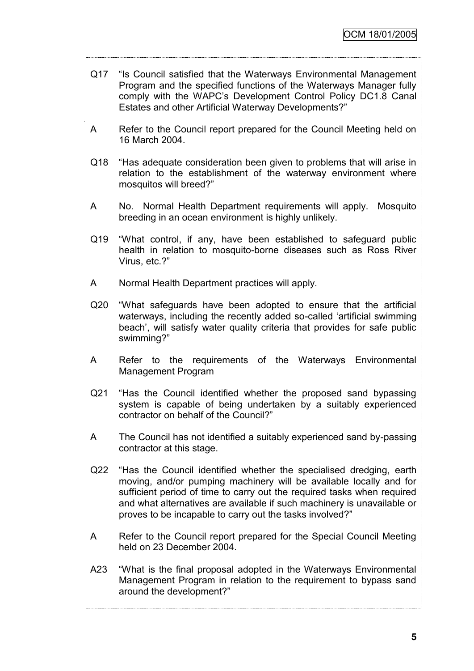Q17 "Is Council satisfied that the Waterways Environmental Management Program and the specified functions of the Waterways Manager fully comply with the WAPC"s Development Control Policy DC1.8 Canal Estates and other Artificial Waterway Developments?"

- A Refer to the Council report prepared for the Council Meeting held on 16 March 2004.
- Q18 "Has adequate consideration been given to problems that will arise in relation to the establishment of the waterway environment where mosquitos will breed?"
- A No. Normal Health Department requirements will apply. Mosquito breeding in an ocean environment is highly unlikely.
- Q19 "What control, if any, have been established to safeguard public health in relation to mosquito-borne diseases such as Ross River Virus, etc.?"
- A Normal Health Department practices will apply.
- Q20 "What safeguards have been adopted to ensure that the artificial waterways, including the recently added so-called "artificial swimming beach', will satisfy water quality criteria that provides for safe public swimming?"
- A Refer to the requirements of the Waterways Environmental Management Program
- Q21 "Has the Council identified whether the proposed sand bypassing system is capable of being undertaken by a suitably experienced contractor on behalf of the Council?"
- A The Council has not identified a suitably experienced sand by-passing contractor at this stage.
- Q22 "Has the Council identified whether the specialised dredging, earth moving, and/or pumping machinery will be available locally and for sufficient period of time to carry out the required tasks when required and what alternatives are available if such machinery is unavailable or proves to be incapable to carry out the tasks involved?"
- A Refer to the Council report prepared for the Special Council Meeting held on 23 December 2004.
- A23 "What is the final proposal adopted in the Waterways Environmental Management Program in relation to the requirement to bypass sand around the development?"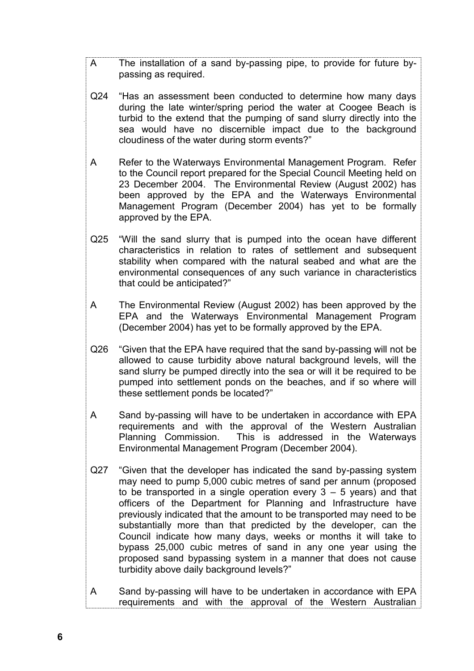- A The installation of a sand by-passing pipe, to provide for future bypassing as required.
- Q24 "Has an assessment been conducted to determine how many days during the late winter/spring period the water at Coogee Beach is turbid to the extend that the pumping of sand slurry directly into the sea would have no discernible impact due to the background cloudiness of the water during storm events?"
- A Refer to the Waterways Environmental Management Program. Refer to the Council report prepared for the Special Council Meeting held on 23 December 2004. The Environmental Review (August 2002) has been approved by the EPA and the Waterways Environmental Management Program (December 2004) has yet to be formally approved by the EPA.
- Q25 "Will the sand slurry that is pumped into the ocean have different characteristics in relation to rates of settlement and subsequent stability when compared with the natural seabed and what are the environmental consequences of any such variance in characteristics that could be anticipated?"
- A The Environmental Review (August 2002) has been approved by the EPA and the Waterways Environmental Management Program (December 2004) has yet to be formally approved by the EPA.
- Q26 "Given that the EPA have required that the sand by-passing will not be allowed to cause turbidity above natural background levels, will the sand slurry be pumped directly into the sea or will it be required to be pumped into settlement ponds on the beaches, and if so where will these settlement ponds be located?"
- A Sand by-passing will have to be undertaken in accordance with EPA requirements and with the approval of the Western Australian Planning Commission. This is addressed in the Waterways Environmental Management Program (December 2004).
- Q27 "Given that the developer has indicated the sand by-passing system may need to pump 5,000 cubic metres of sand per annum (proposed to be transported in a single operation every  $3 - 5$  years) and that officers of the Department for Planning and Infrastructure have previously indicated that the amount to be transported may need to be substantially more than that predicted by the developer, can the Council indicate how many days, weeks or months it will take to bypass 25,000 cubic metres of sand in any one year using the proposed sand bypassing system in a manner that does not cause turbidity above daily background levels?"
- A Sand by-passing will have to be undertaken in accordance with EPA requirements and with the approval of the Western Australian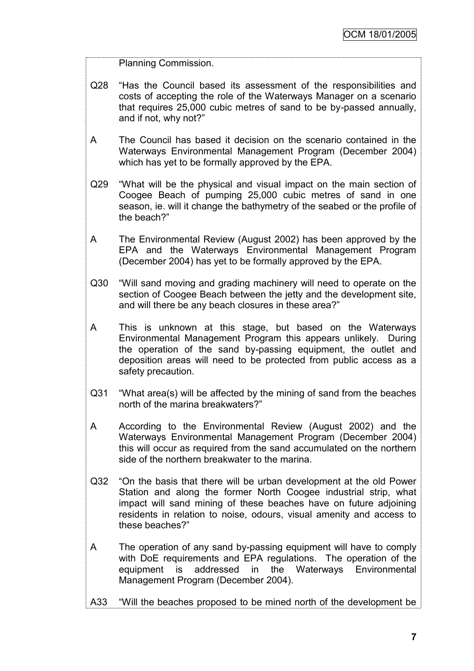Planning Commission.

- Q28 "Has the Council based its assessment of the responsibilities and costs of accepting the role of the Waterways Manager on a scenario that requires 25,000 cubic metres of sand to be by-passed annually, and if not, why not?"
- A The Council has based it decision on the scenario contained in the Waterways Environmental Management Program (December 2004) which has yet to be formally approved by the EPA.
- Q29 "What will be the physical and visual impact on the main section of Coogee Beach of pumping 25,000 cubic metres of sand in one season, ie. will it change the bathymetry of the seabed or the profile of the beach?"
- A The Environmental Review (August 2002) has been approved by the EPA and the Waterways Environmental Management Program (December 2004) has yet to be formally approved by the EPA.
- Q30 "Will sand moving and grading machinery will need to operate on the section of Coogee Beach between the jetty and the development site, and will there be any beach closures in these area?"
- A This is unknown at this stage, but based on the Waterways Environmental Management Program this appears unlikely. During the operation of the sand by-passing equipment, the outlet and deposition areas will need to be protected from public access as a safety precaution.
- Q31 "What area(s) will be affected by the mining of sand from the beaches north of the marina breakwaters?"
- A According to the Environmental Review (August 2002) and the Waterways Environmental Management Program (December 2004) this will occur as required from the sand accumulated on the northern side of the northern breakwater to the marina.
- Q32 "On the basis that there will be urban development at the old Power Station and along the former North Coogee industrial strip, what impact will sand mining of these beaches have on future adjoining residents in relation to noise, odours, visual amenity and access to these beaches?"
- A The operation of any sand by-passing equipment will have to comply with DoE requirements and EPA regulations. The operation of the equipment is addressed in the Waterways Environmental Management Program (December 2004).
- A33 "Will the beaches proposed to be mined north of the development be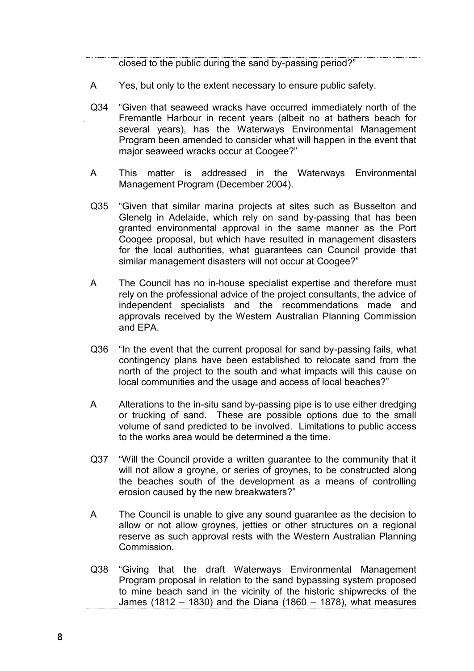closed to the public during the sand by-passing period?"

- A Yes, but only to the extent necessary to ensure public safety.
- Q34 "Given that seaweed wracks have occurred immediately north of the Fremantle Harbour in recent years (albeit no at bathers beach for several years), has the Waterways Environmental Management Program been amended to consider what will happen in the event that major seaweed wracks occur at Coogee?"
- A This matter is addressed in the Waterways Environmental Management Program (December 2004).
- Q35 "Given that similar marina projects at sites such as Busselton and Glenelg in Adelaide, which rely on sand by-passing that has been granted environmental approval in the same manner as the Port Coogee proposal, but which have resulted in management disasters for the local authorities, what guarantees can Council provide that similar management disasters will not occur at Coogee?"
- A The Council has no in-house specialist expertise and therefore must rely on the professional advice of the project consultants, the advice of independent specialists and the recommendations made and approvals received by the Western Australian Planning Commission and EPA.
- Q36 "In the event that the current proposal for sand by-passing fails, what contingency plans have been established to relocate sand from the north of the project to the south and what impacts will this cause on local communities and the usage and access of local beaches?"
- A Alterations to the in-situ sand by-passing pipe is to use either dredging or trucking of sand. These are possible options due to the small volume of sand predicted to be involved. Limitations to public access to the works area would be determined a the time.
- Q37 "Will the Council provide a written guarantee to the community that it will not allow a groyne, or series of groynes, to be constructed along the beaches south of the development as a means of controlling erosion caused by the new breakwaters?"
- A The Council is unable to give any sound guarantee as the decision to allow or not allow groynes, jetties or other structures on a regional reserve as such approval rests with the Western Australian Planning Commission.
- Q38 "Giving that the draft Waterways Environmental Management Program proposal in relation to the sand bypassing system proposed to mine beach sand in the vicinity of the historic shipwrecks of the James (1812 – 1830) and the Diana (1860 – 1878), what measures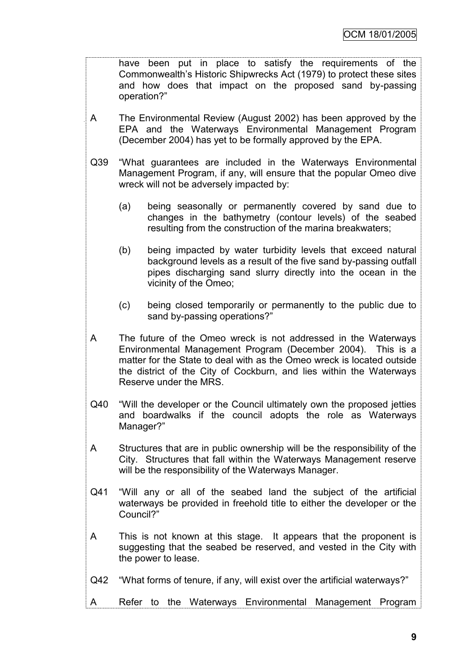have been put in place to satisfy the requirements of the Commonwealth"s Historic Shipwrecks Act (1979) to protect these sites and how does that impact on the proposed sand by-passing operation?"

- A The Environmental Review (August 2002) has been approved by the EPA and the Waterways Environmental Management Program (December 2004) has yet to be formally approved by the EPA.
- Q39 "What guarantees are included in the Waterways Environmental Management Program, if any, will ensure that the popular Omeo dive wreck will not be adversely impacted by:
	- (a) being seasonally or permanently covered by sand due to changes in the bathymetry (contour levels) of the seabed resulting from the construction of the marina breakwaters;
	- (b) being impacted by water turbidity levels that exceed natural background levels as a result of the five sand by-passing outfall pipes discharging sand slurry directly into the ocean in the vicinity of the Omeo;
	- (c) being closed temporarily or permanently to the public due to sand by-passing operations?"
- A The future of the Omeo wreck is not addressed in the Waterways Environmental Management Program (December 2004). This is a matter for the State to deal with as the Omeo wreck is located outside the district of the City of Cockburn, and lies within the Waterways Reserve under the MRS.
- Q40 "Will the developer or the Council ultimately own the proposed jetties and boardwalks if the council adopts the role as Waterways Manager?"
- A Structures that are in public ownership will be the responsibility of the City. Structures that fall within the Waterways Management reserve will be the responsibility of the Waterways Manager.
- Q41 "Will any or all of the seabed land the subject of the artificial waterways be provided in freehold title to either the developer or the Council?"
- A This is not known at this stage. It appears that the proponent is suggesting that the seabed be reserved, and vested in the City with the power to lease.
- Q42 "What forms of tenure, if any, will exist over the artificial waterways?"
- A Refer to the Waterways Environmental Management Program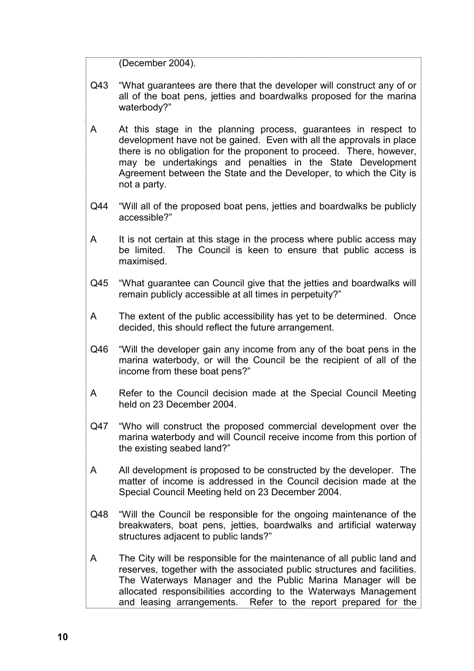(December 2004).

- Q43 "What guarantees are there that the developer will construct any of or all of the boat pens, jetties and boardwalks proposed for the marina waterbody?"
- A At this stage in the planning process, guarantees in respect to development have not be gained. Even with all the approvals in place there is no obligation for the proponent to proceed. There, however, may be undertakings and penalties in the State Development Agreement between the State and the Developer, to which the City is not a party.
- Q44 "Will all of the proposed boat pens, jetties and boardwalks be publicly accessible?"
- A It is not certain at this stage in the process where public access may be limited. The Council is keen to ensure that public access is maximised.
- Q45 "What guarantee can Council give that the jetties and boardwalks will remain publicly accessible at all times in perpetuity?"
- A The extent of the public accessibility has yet to be determined. Once decided, this should reflect the future arrangement.
- Q46 "Will the developer gain any income from any of the boat pens in the marina waterbody, or will the Council be the recipient of all of the income from these boat pens?"
- A Refer to the Council decision made at the Special Council Meeting held on 23 December 2004.
- Q47 "Who will construct the proposed commercial development over the marina waterbody and will Council receive income from this portion of the existing seabed land?"
- A All development is proposed to be constructed by the developer. The matter of income is addressed in the Council decision made at the Special Council Meeting held on 23 December 2004.
- Q48 "Will the Council be responsible for the ongoing maintenance of the breakwaters, boat pens, jetties, boardwalks and artificial waterway structures adjacent to public lands?"
- A The City will be responsible for the maintenance of all public land and reserves, together with the associated public structures and facilities. The Waterways Manager and the Public Marina Manager will be allocated responsibilities according to the Waterways Management and leasing arrangements. Refer to the report prepared for the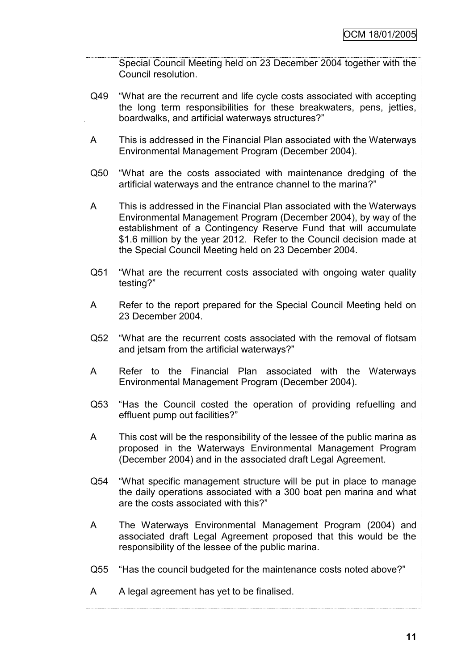Special Council Meeting held on 23 December 2004 together with the Council resolution.

- Q49 "What are the recurrent and life cycle costs associated with accepting the long term responsibilities for these breakwaters, pens, jetties, boardwalks, and artificial waterways structures?"
- A This is addressed in the Financial Plan associated with the Waterways Environmental Management Program (December 2004).
- Q50 "What are the costs associated with maintenance dredging of the artificial waterways and the entrance channel to the marina?"
- A This is addressed in the Financial Plan associated with the Waterways Environmental Management Program (December 2004), by way of the establishment of a Contingency Reserve Fund that will accumulate \$1.6 million by the year 2012. Refer to the Council decision made at the Special Council Meeting held on 23 December 2004.
- Q51 "What are the recurrent costs associated with ongoing water quality testing?"
- A Refer to the report prepared for the Special Council Meeting held on 23 December 2004.
- Q52 "What are the recurrent costs associated with the removal of flotsam and jetsam from the artificial waterways?"
- A Refer to the Financial Plan associated with the Waterways Environmental Management Program (December 2004).
- Q53 "Has the Council costed the operation of providing refuelling and effluent pump out facilities?"
- A This cost will be the responsibility of the lessee of the public marina as proposed in the Waterways Environmental Management Program (December 2004) and in the associated draft Legal Agreement.
- Q54 "What specific management structure will be put in place to manage the daily operations associated with a 300 boat pen marina and what are the costs associated with this?"
- A The Waterways Environmental Management Program (2004) and associated draft Legal Agreement proposed that this would be the responsibility of the lessee of the public marina.
- Q55 "Has the council budgeted for the maintenance costs noted above?"
- A A legal agreement has yet to be finalised.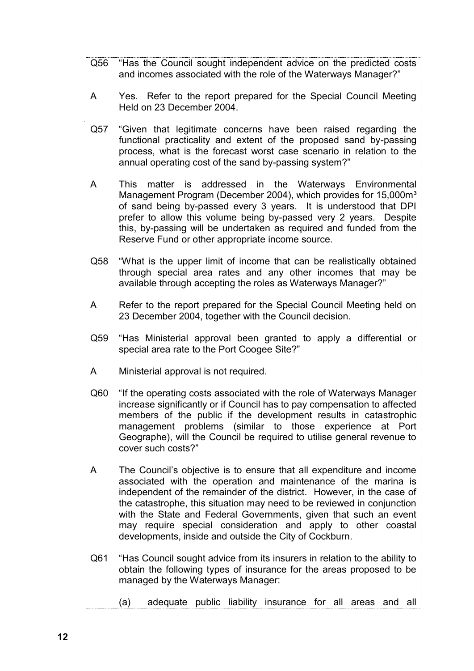- Q56 "Has the Council sought independent advice on the predicted costs and incomes associated with the role of the Waterways Manager?"
- A Yes. Refer to the report prepared for the Special Council Meeting Held on 23 December 2004.
- Q57 "Given that legitimate concerns have been raised regarding the functional practicality and extent of the proposed sand by-passing process, what is the forecast worst case scenario in relation to the annual operating cost of the sand by-passing system?"
- A This matter is addressed in the Waterways Environmental Management Program (December 2004), which provides for 15,000m<sup>3</sup> of sand being by-passed every 3 years. It is understood that DPI prefer to allow this volume being by-passed very 2 years. Despite this, by-passing will be undertaken as required and funded from the Reserve Fund or other appropriate income source.
- Q58 "What is the upper limit of income that can be realistically obtained through special area rates and any other incomes that may be available through accepting the roles as Waterways Manager?"
- A Refer to the report prepared for the Special Council Meeting held on 23 December 2004, together with the Council decision.
- Q59 "Has Ministerial approval been granted to apply a differential or special area rate to the Port Coogee Site?"
- A Ministerial approval is not required.
- Q60 "If the operating costs associated with the role of Waterways Manager increase significantly or if Council has to pay compensation to affected members of the public if the development results in catastrophic management problems (similar to those experience at Port Geographe), will the Council be required to utilise general revenue to cover such costs?"
- A The Council"s objective is to ensure that all expenditure and income associated with the operation and maintenance of the marina is independent of the remainder of the district. However, in the case of the catastrophe, this situation may need to be reviewed in conjunction with the State and Federal Governments, given that such an event may require special consideration and apply to other coastal developments, inside and outside the City of Cockburn.
- Q61 "Has Council sought advice from its insurers in relation to the ability to obtain the following types of insurance for the areas proposed to be managed by the Waterways Manager:
	- (a) adequate public liability insurance for all areas and all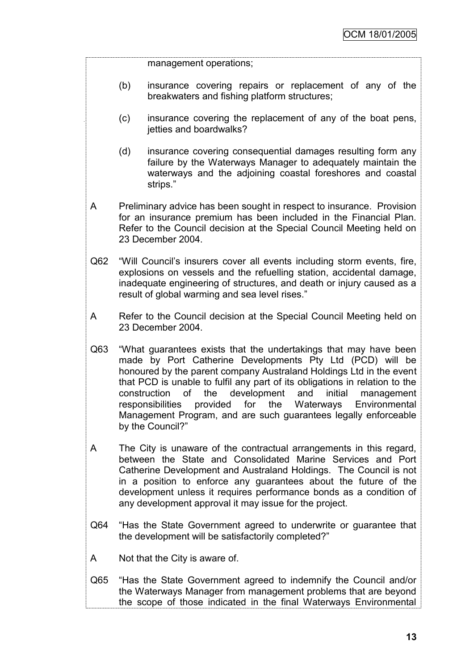management operations;

- (b) insurance covering repairs or replacement of any of the breakwaters and fishing platform structures;
- (c) insurance covering the replacement of any of the boat pens, jetties and boardwalks?
- (d) insurance covering consequential damages resulting form any failure by the Waterways Manager to adequately maintain the waterways and the adjoining coastal foreshores and coastal strips."
- A Preliminary advice has been sought in respect to insurance. Provision for an insurance premium has been included in the Financial Plan. Refer to the Council decision at the Special Council Meeting held on 23 December 2004.
- Q62 "Will Council"s insurers cover all events including storm events, fire, explosions on vessels and the refuelling station, accidental damage, inadequate engineering of structures, and death or injury caused as a result of global warming and sea level rises."
- A Refer to the Council decision at the Special Council Meeting held on 23 December 2004.
- Q63 "What guarantees exists that the undertakings that may have been made by Port Catherine Developments Pty Ltd (PCD) will be honoured by the parent company Australand Holdings Ltd in the event that PCD is unable to fulfil any part of its obligations in relation to the construction of the development and initial management responsibilities provided for the Waterways Environmental Management Program, and are such guarantees legally enforceable by the Council?"
- A The City is unaware of the contractual arrangements in this regard, between the State and Consolidated Marine Services and Port Catherine Development and Australand Holdings. The Council is not in a position to enforce any guarantees about the future of the development unless it requires performance bonds as a condition of any development approval it may issue for the project.
- Q64 "Has the State Government agreed to underwrite or guarantee that the development will be satisfactorily completed?"
- A Not that the City is aware of.
- Q65 "Has the State Government agreed to indemnify the Council and/or the Waterways Manager from management problems that are beyond the scope of those indicated in the final Waterways Environmental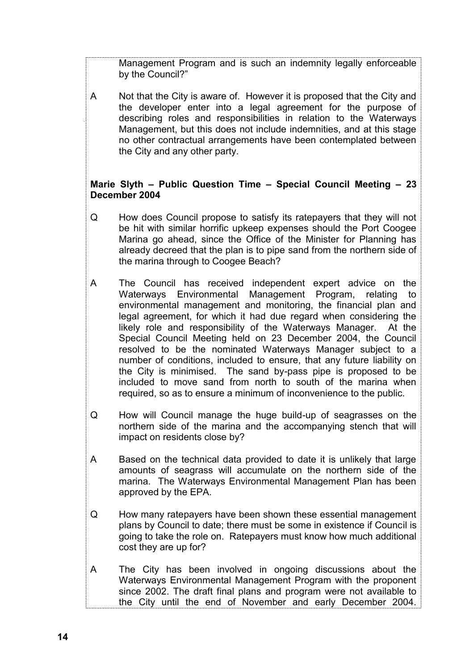Management Program and is such an indemnity legally enforceable by the Council?"

A Not that the City is aware of. However it is proposed that the City and the developer enter into a legal agreement for the purpose of describing roles and responsibilities in relation to the Waterways Management, but this does not include indemnities, and at this stage no other contractual arrangements have been contemplated between the City and any other party.

# **Marie Slyth – Public Question Time – Special Council Meeting – 23 December 2004**

- Q How does Council propose to satisfy its ratepayers that they will not be hit with similar horrific upkeep expenses should the Port Coogee Marina go ahead, since the Office of the Minister for Planning has already decreed that the plan is to pipe sand from the northern side of the marina through to Coogee Beach?
- A The Council has received independent expert advice on the Waterways Environmental Management Program, relating to environmental management and monitoring, the financial plan and legal agreement, for which it had due regard when considering the likely role and responsibility of the Waterways Manager. At the Special Council Meeting held on 23 December 2004, the Council resolved to be the nominated Waterways Manager subject to a number of conditions, included to ensure, that any future liability on the City is minimised. The sand by-pass pipe is proposed to be included to move sand from north to south of the marina when required, so as to ensure a minimum of inconvenience to the public.
- Q How will Council manage the huge build-up of seagrasses on the northern side of the marina and the accompanying stench that will impact on residents close by?
- A Based on the technical data provided to date it is unlikely that large amounts of seagrass will accumulate on the northern side of the marina. The Waterways Environmental Management Plan has been approved by the EPA.
- Q How many ratepayers have been shown these essential management plans by Council to date; there must be some in existence if Council is going to take the role on. Ratepayers must know how much additional cost they are up for?
- A The City has been involved in ongoing discussions about the Waterways Environmental Management Program with the proponent since 2002. The draft final plans and program were not available to the City until the end of November and early December 2004.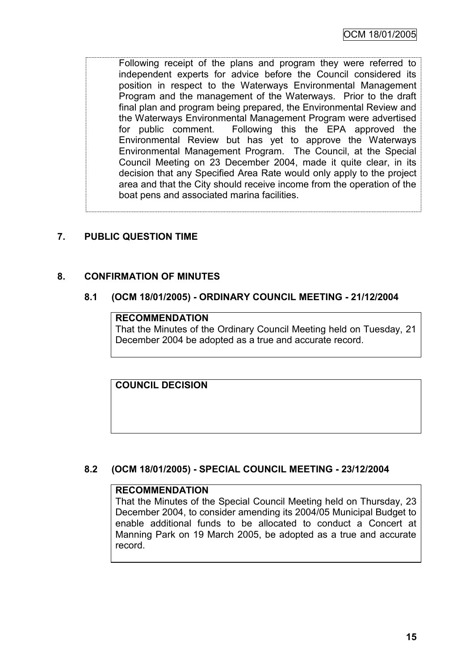Following receipt of the plans and program they were referred to independent experts for advice before the Council considered its position in respect to the Waterways Environmental Management Program and the management of the Waterways. Prior to the draft final plan and program being prepared, the Environmental Review and the Waterways Environmental Management Program were advertised for public comment. Following this the EPA approved the Environmental Review but has yet to approve the Waterways Environmental Management Program. The Council, at the Special Council Meeting on 23 December 2004, made it quite clear, in its decision that any Specified Area Rate would only apply to the project area and that the City should receive income from the operation of the boat pens and associated marina facilities.

# **7. PUBLIC QUESTION TIME**

## **8. CONFIRMATION OF MINUTES**

#### **8.1 (OCM 18/01/2005) - ORDINARY COUNCIL MEETING - 21/12/2004**

#### **RECOMMENDATION**

That the Minutes of the Ordinary Council Meeting held on Tuesday, 21 December 2004 be adopted as a true and accurate record.

**COUNCIL DECISION**

#### **8.2 (OCM 18/01/2005) - SPECIAL COUNCIL MEETING - 23/12/2004**

#### **RECOMMENDATION**

That the Minutes of the Special Council Meeting held on Thursday, 23 December 2004, to consider amending its 2004/05 Municipal Budget to enable additional funds to be allocated to conduct a Concert at Manning Park on 19 March 2005, be adopted as a true and accurate record.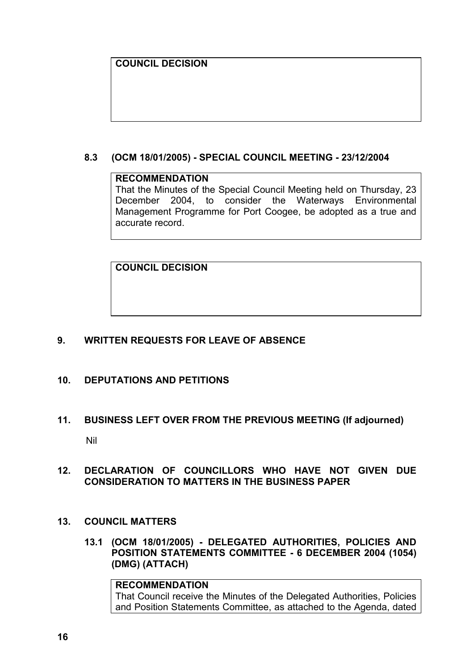# **COUNCIL DECISION**

### **8.3 (OCM 18/01/2005) - SPECIAL COUNCIL MEETING - 23/12/2004**

#### **RECOMMENDATION**

That the Minutes of the Special Council Meeting held on Thursday, 23 December 2004, to consider the Waterways Environmental Management Programme for Port Coogee, be adopted as a true and accurate record.

**COUNCIL DECISION**

#### **9. WRITTEN REQUESTS FOR LEAVE OF ABSENCE**

# **10. DEPUTATIONS AND PETITIONS**

# **11. BUSINESS LEFT OVER FROM THE PREVIOUS MEETING (If adjourned)**

Nil

## **12. DECLARATION OF COUNCILLORS WHO HAVE NOT GIVEN DUE CONSIDERATION TO MATTERS IN THE BUSINESS PAPER**

- **13. COUNCIL MATTERS**
	- **13.1 (OCM 18/01/2005) - DELEGATED AUTHORITIES, POLICIES AND POSITION STATEMENTS COMMITTEE - 6 DECEMBER 2004 (1054) (DMG) (ATTACH)**

#### **RECOMMENDATION** That Council receive the Minutes of the Delegated Authorities, Policies and Position Statements Committee, as attached to the Agenda, dated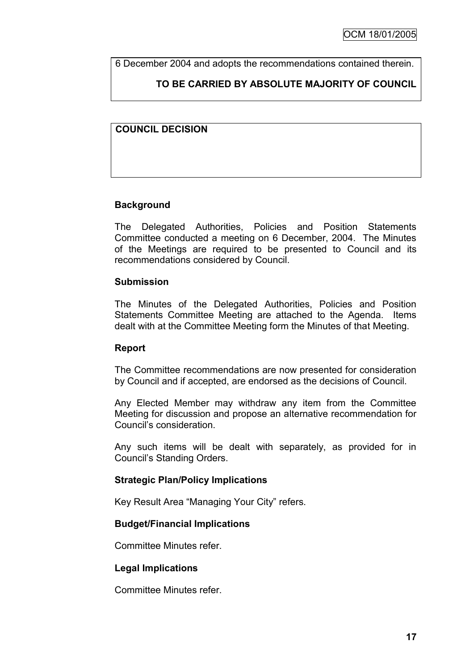6 December 2004 and adopts the recommendations contained therein.

# **TO BE CARRIED BY ABSOLUTE MAJORITY OF COUNCIL**

# **COUNCIL DECISION**

## **Background**

The Delegated Authorities, Policies and Position Statements Committee conducted a meeting on 6 December, 2004. The Minutes of the Meetings are required to be presented to Council and its recommendations considered by Council.

#### **Submission**

The Minutes of the Delegated Authorities, Policies and Position Statements Committee Meeting are attached to the Agenda. Items dealt with at the Committee Meeting form the Minutes of that Meeting.

#### **Report**

The Committee recommendations are now presented for consideration by Council and if accepted, are endorsed as the decisions of Council.

Any Elected Member may withdraw any item from the Committee Meeting for discussion and propose an alternative recommendation for Council"s consideration.

Any such items will be dealt with separately, as provided for in Council"s Standing Orders.

#### **Strategic Plan/Policy Implications**

Key Result Area "Managing Your City" refers.

#### **Budget/Financial Implications**

Committee Minutes refer.

#### **Legal Implications**

Committee Minutes refer.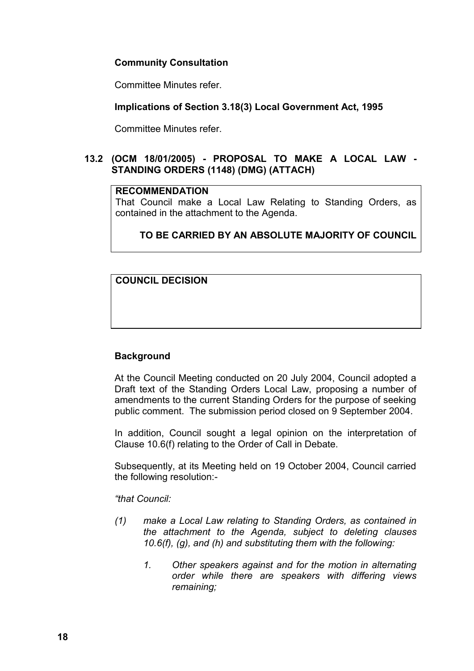# **Community Consultation**

Committee Minutes refer.

### **Implications of Section 3.18(3) Local Government Act, 1995**

Committee Minutes refer.

## **13.2 (OCM 18/01/2005) - PROPOSAL TO MAKE A LOCAL LAW - STANDING ORDERS (1148) (DMG) (ATTACH)**

#### **RECOMMENDATION**

That Council make a Local Law Relating to Standing Orders, as contained in the attachment to the Agenda.

# **TO BE CARRIED BY AN ABSOLUTE MAJORITY OF COUNCIL**

**COUNCIL DECISION**

# **Background**

At the Council Meeting conducted on 20 July 2004, Council adopted a Draft text of the Standing Orders Local Law, proposing a number of amendments to the current Standing Orders for the purpose of seeking public comment. The submission period closed on 9 September 2004.

In addition, Council sought a legal opinion on the interpretation of Clause 10.6(f) relating to the Order of Call in Debate.

Subsequently, at its Meeting held on 19 October 2004, Council carried the following resolution:-

#### *"that Council:*

- *(1) make a Local Law relating to Standing Orders, as contained in the attachment to the Agenda, subject to deleting clauses 10.6(f), (g), and (h) and substituting them with the following:*
	- *1. Other speakers against and for the motion in alternating order while there are speakers with differing views remaining;*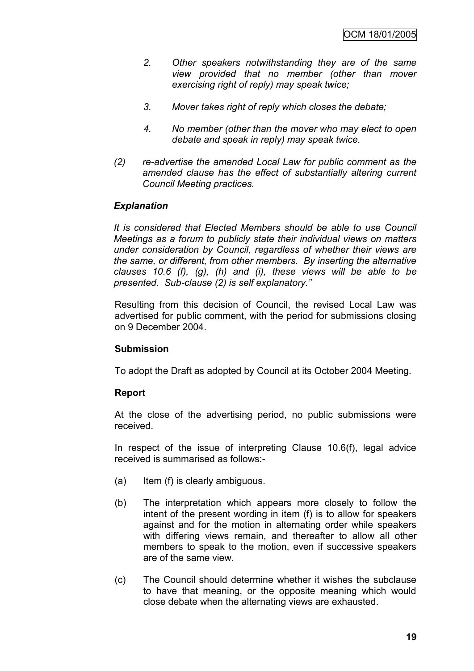- *2. Other speakers notwithstanding they are of the same view provided that no member (other than mover exercising right of reply) may speak twice;*
- *3. Mover takes right of reply which closes the debate;*
- *4. No member (other than the mover who may elect to open debate and speak in reply) may speak twice.*
- *(2) re-advertise the amended Local Law for public comment as the amended clause has the effect of substantially altering current Council Meeting practices.*

## *Explanation*

*It is considered that Elected Members should be able to use Council Meetings as a forum to publicly state their individual views on matters under consideration by Council, regardless of whether their views are the same, or different, from other members. By inserting the alternative clauses 10.6 (f), (g), (h) and (i), these views will be able to be presented. Sub-clause (2) is self explanatory."*

Resulting from this decision of Council, the revised Local Law was advertised for public comment, with the period for submissions closing on 9 December 2004.

#### **Submission**

To adopt the Draft as adopted by Council at its October 2004 Meeting.

#### **Report**

At the close of the advertising period, no public submissions were received.

In respect of the issue of interpreting Clause 10.6(f), legal advice received is summarised as follows:-

- (a) Item (f) is clearly ambiguous.
- (b) The interpretation which appears more closely to follow the intent of the present wording in item (f) is to allow for speakers against and for the motion in alternating order while speakers with differing views remain, and thereafter to allow all other members to speak to the motion, even if successive speakers are of the same view.
- (c) The Council should determine whether it wishes the subclause to have that meaning, or the opposite meaning which would close debate when the alternating views are exhausted.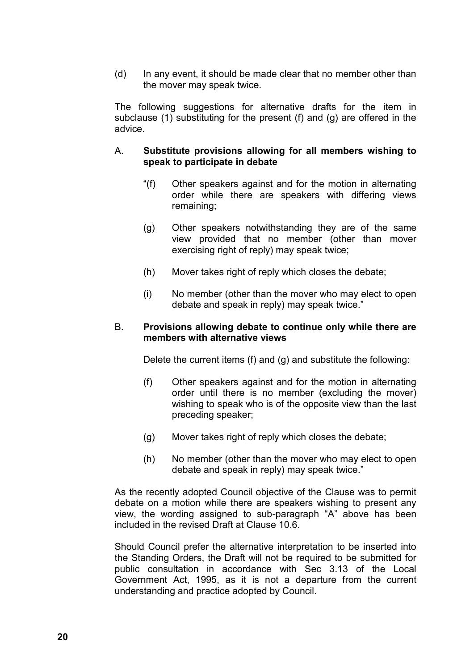(d) In any event, it should be made clear that no member other than the mover may speak twice.

The following suggestions for alternative drafts for the item in subclause (1) substituting for the present (f) and (g) are offered in the advice.

#### A. **Substitute provisions allowing for all members wishing to speak to participate in debate**

- "(f) Other speakers against and for the motion in alternating order while there are speakers with differing views remaining;
- (g) Other speakers notwithstanding they are of the same view provided that no member (other than mover exercising right of reply) may speak twice;
- (h) Mover takes right of reply which closes the debate;
- (i) No member (other than the mover who may elect to open debate and speak in reply) may speak twice."

#### B. **Provisions allowing debate to continue only while there are members with alternative views**

Delete the current items (f) and (g) and substitute the following:

- (f) Other speakers against and for the motion in alternating order until there is no member (excluding the mover) wishing to speak who is of the opposite view than the last preceding speaker;
- (g) Mover takes right of reply which closes the debate;
- (h) No member (other than the mover who may elect to open debate and speak in reply) may speak twice."

As the recently adopted Council objective of the Clause was to permit debate on a motion while there are speakers wishing to present any view, the wording assigned to sub-paragraph "A" above has been included in the revised Draft at Clause 10.6.

Should Council prefer the alternative interpretation to be inserted into the Standing Orders, the Draft will not be required to be submitted for public consultation in accordance with Sec 3.13 of the Local Government Act, 1995, as it is not a departure from the current understanding and practice adopted by Council.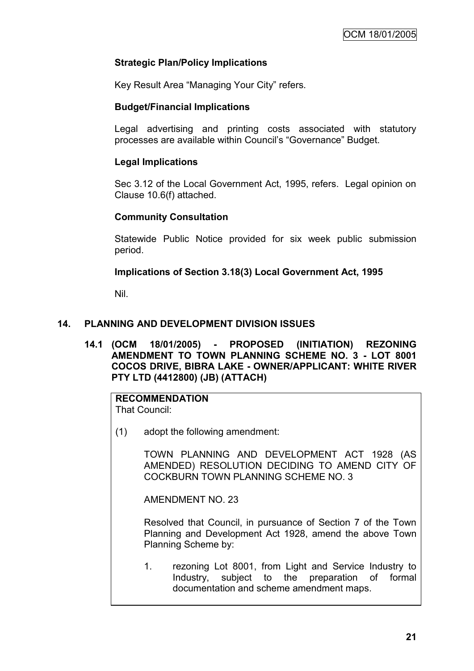# **Strategic Plan/Policy Implications**

Key Result Area "Managing Your City" refers.

#### **Budget/Financial Implications**

Legal advertising and printing costs associated with statutory processes are available within Council"s "Governance" Budget.

#### **Legal Implications**

Sec 3.12 of the Local Government Act, 1995, refers. Legal opinion on Clause 10.6(f) attached.

#### **Community Consultation**

Statewide Public Notice provided for six week public submission period.

#### **Implications of Section 3.18(3) Local Government Act, 1995**

Nil.

#### **14. PLANNING AND DEVELOPMENT DIVISION ISSUES**

**14.1 (OCM 18/01/2005) - PROPOSED (INITIATION) REZONING AMENDMENT TO TOWN PLANNING SCHEME NO. 3 - LOT 8001 COCOS DRIVE, BIBRA LAKE - OWNER/APPLICANT: WHITE RIVER PTY LTD (4412800) (JB) (ATTACH)**

# **RECOMMENDATION**

That Council:

(1) adopt the following amendment:

TOWN PLANNING AND DEVELOPMENT ACT 1928 (AS AMENDED) RESOLUTION DECIDING TO AMEND CITY OF COCKBURN TOWN PLANNING SCHEME NO. 3

AMENDMENT NO. 23

Resolved that Council, in pursuance of Section 7 of the Town Planning and Development Act 1928, amend the above Town Planning Scheme by:

1. rezoning Lot 8001, from Light and Service Industry to Industry, subject to the preparation of formal documentation and scheme amendment maps.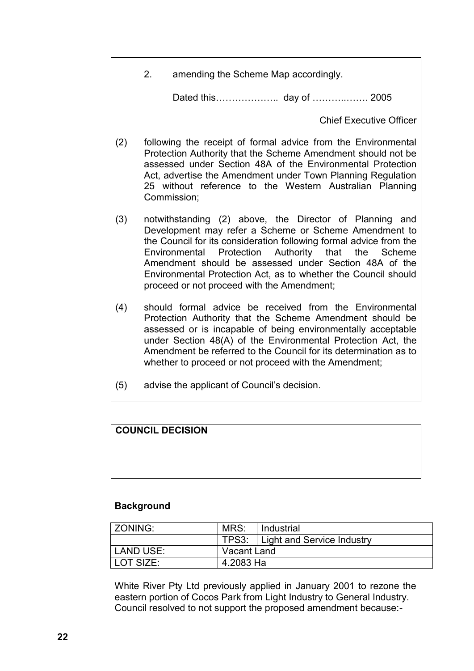2. amending the Scheme Map accordingly.

Dated this……………………… day of …………………… 2005

Chief Executive Officer

- (2) following the receipt of formal advice from the Environmental Protection Authority that the Scheme Amendment should not be assessed under Section 48A of the Environmental Protection Act, advertise the Amendment under Town Planning Regulation 25 without reference to the Western Australian Planning Commission;
- (3) notwithstanding (2) above, the Director of Planning and Development may refer a Scheme or Scheme Amendment to the Council for its consideration following formal advice from the Environmental Protection Authority that the Scheme Amendment should be assessed under Section 48A of the Environmental Protection Act, as to whether the Council should proceed or not proceed with the Amendment;
- (4) should formal advice be received from the Environmental Protection Authority that the Scheme Amendment should be assessed or is incapable of being environmentally acceptable under Section 48(A) of the Environmental Protection Act, the Amendment be referred to the Council for its determination as to whether to proceed or not proceed with the Amendment;
- (5) advise the applicant of Council"s decision.

# **COUNCIL DECISION**

#### **Background**

| ZONING:   | MRS:        | I Industrial                     |
|-----------|-------------|----------------------------------|
|           |             | TPS3: Light and Service Industry |
| LAND USE: | Vacant Land |                                  |
| LOT SIZE: | 4.2083 Ha   |                                  |

White River Pty Ltd previously applied in January 2001 to rezone the eastern portion of Cocos Park from Light Industry to General Industry. Council resolved to not support the proposed amendment because:-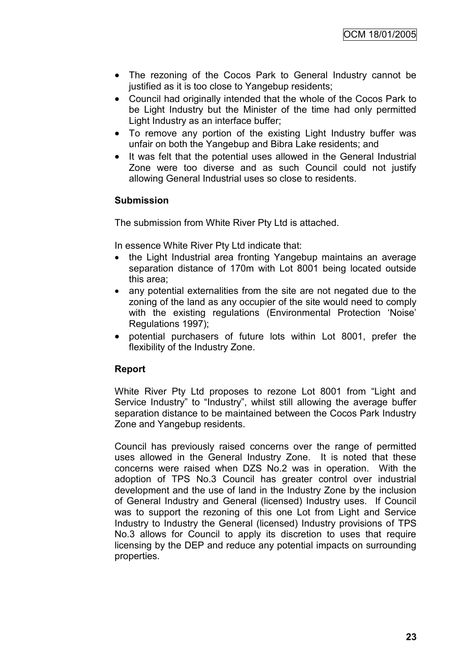- The rezoning of the Cocos Park to General Industry cannot be justified as it is too close to Yangebup residents;
- Council had originally intended that the whole of the Cocos Park to be Light Industry but the Minister of the time had only permitted Light Industry as an interface buffer;
- To remove any portion of the existing Light Industry buffer was unfair on both the Yangebup and Bibra Lake residents; and
- It was felt that the potential uses allowed in the General Industrial Zone were too diverse and as such Council could not justify allowing General Industrial uses so close to residents.

#### **Submission**

The submission from White River Pty Ltd is attached.

In essence White River Pty Ltd indicate that:

- the Light Industrial area fronting Yangebup maintains an average separation distance of 170m with Lot 8001 being located outside this area;
- any potential externalities from the site are not negated due to the zoning of the land as any occupier of the site would need to comply with the existing regulations (Environmental Protection 'Noise' Regulations 1997);
- potential purchasers of future lots within Lot 8001, prefer the flexibility of the Industry Zone.

# **Report**

White River Pty Ltd proposes to rezone Lot 8001 from "Light and Service Industry" to "Industry", whilst still allowing the average buffer separation distance to be maintained between the Cocos Park Industry Zone and Yangebup residents.

Council has previously raised concerns over the range of permitted uses allowed in the General Industry Zone. It is noted that these concerns were raised when DZS No.2 was in operation. With the adoption of TPS No.3 Council has greater control over industrial development and the use of land in the Industry Zone by the inclusion of General Industry and General (licensed) Industry uses. If Council was to support the rezoning of this one Lot from Light and Service Industry to Industry the General (licensed) Industry provisions of TPS No.3 allows for Council to apply its discretion to uses that require licensing by the DEP and reduce any potential impacts on surrounding properties.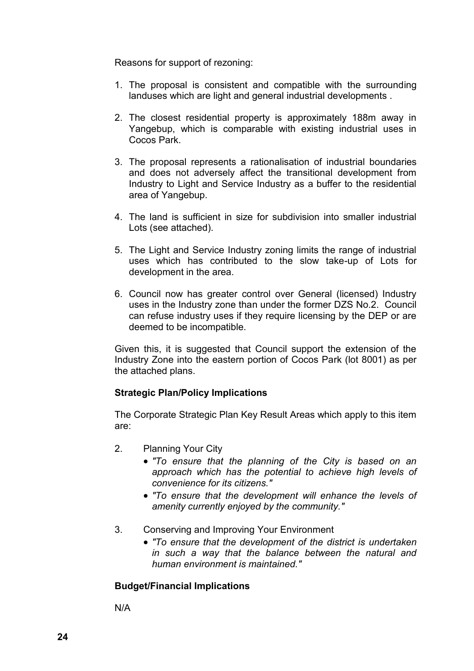Reasons for support of rezoning:

- 1. The proposal is consistent and compatible with the surrounding landuses which are light and general industrial developments .
- 2. The closest residential property is approximately 188m away in Yangebup, which is comparable with existing industrial uses in Cocos Park.
- 3. The proposal represents a rationalisation of industrial boundaries and does not adversely affect the transitional development from Industry to Light and Service Industry as a buffer to the residential area of Yangebup.
- 4. The land is sufficient in size for subdivision into smaller industrial Lots (see attached).
- 5. The Light and Service Industry zoning limits the range of industrial uses which has contributed to the slow take-up of Lots for development in the area.
- 6. Council now has greater control over General (licensed) Industry uses in the Industry zone than under the former DZS No.2. Council can refuse industry uses if they require licensing by the DEP or are deemed to be incompatible.

Given this, it is suggested that Council support the extension of the Industry Zone into the eastern portion of Cocos Park (lot 8001) as per the attached plans.

#### **Strategic Plan/Policy Implications**

The Corporate Strategic Plan Key Result Areas which apply to this item are:

- 2. Planning Your City
	- *"To ensure that the planning of the City is based on an approach which has the potential to achieve high levels of convenience for its citizens."*
	- *"To ensure that the development will enhance the levels of amenity currently enjoyed by the community."*
- 3. Conserving and Improving Your Environment
	- *"To ensure that the development of the district is undertaken in such a way that the balance between the natural and human environment is maintained."*

#### **Budget/Financial Implications**

N/A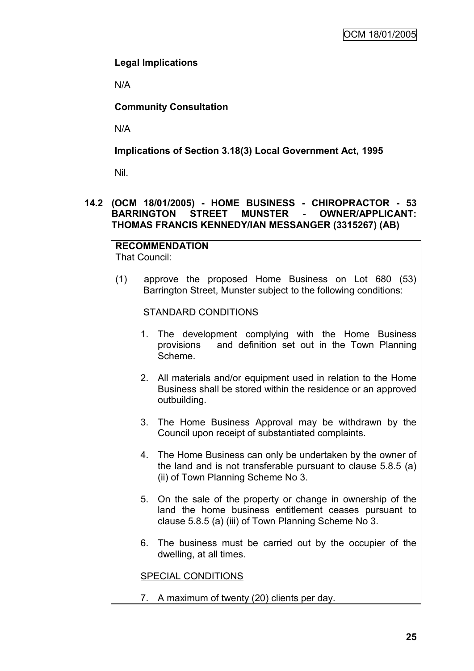# **Legal Implications**

N/A

# **Community Consultation**

N/A

# **Implications of Section 3.18(3) Local Government Act, 1995**

Nil.

## **14.2 (OCM 18/01/2005) - HOME BUSINESS - CHIROPRACTOR - 53 BARRINGTON STREET MUNSTER - OWNER/APPLICANT: THOMAS FRANCIS KENNEDY/IAN MESSANGER (3315267) (AB)**

#### **RECOMMENDATION** That Council:

(1) approve the proposed Home Business on Lot 680 (53) Barrington Street, Munster subject to the following conditions:

#### STANDARD CONDITIONS

- 1. The development complying with the Home Business provisions and definition set out in the Town Planning Scheme.
- 2. All materials and/or equipment used in relation to the Home Business shall be stored within the residence or an approved outbuilding.
- 3. The Home Business Approval may be withdrawn by the Council upon receipt of substantiated complaints.
- 4. The Home Business can only be undertaken by the owner of the land and is not transferable pursuant to clause 5.8.5 (a) (ii) of Town Planning Scheme No 3.
- 5. On the sale of the property or change in ownership of the land the home business entitlement ceases pursuant to clause 5.8.5 (a) (iii) of Town Planning Scheme No 3.
- 6. The business must be carried out by the occupier of the dwelling, at all times.

SPECIAL CONDITIONS

7. A maximum of twenty (20) clients per day.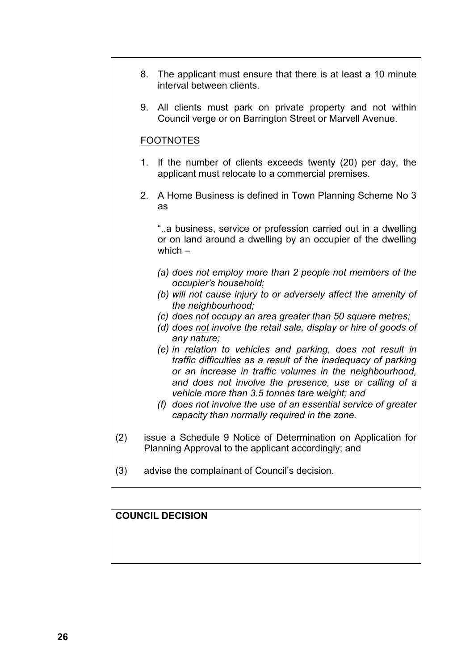- 8. The applicant must ensure that there is at least a 10 minute interval between clients.
- 9. All clients must park on private property and not within Council verge or on Barrington Street or Marvell Avenue.

### FOOTNOTES

- 1. If the number of clients exceeds twenty (20) per day, the applicant must relocate to a commercial premises.
- 2. A Home Business is defined in Town Planning Scheme No 3 as

"..a business, service or profession carried out in a dwelling or on land around a dwelling by an occupier of the dwelling which –

- *(a) does not employ more than 2 people not members of the occupier's household;*
- *(b) will not cause injury to or adversely affect the amenity of the neighbourhood;*
- *(c) does not occupy an area greater than 50 square metres;*
- *(d) does not involve the retail sale, display or hire of goods of any nature;*
- *(e) in relation to vehicles and parking, does not result in traffic difficulties as a result of the inadequacy of parking or an increase in traffic volumes in the neighbourhood, and does not involve the presence, use or calling of a vehicle more than 3.5 tonnes tare weight; and*
- *(f) does not involve the use of an essential service of greater capacity than normally required in the zone.*
- (2) issue a Schedule 9 Notice of Determination on Application for Planning Approval to the applicant accordingly; and
- (3) advise the complainant of Council"s decision.

# **COUNCIL DECISION**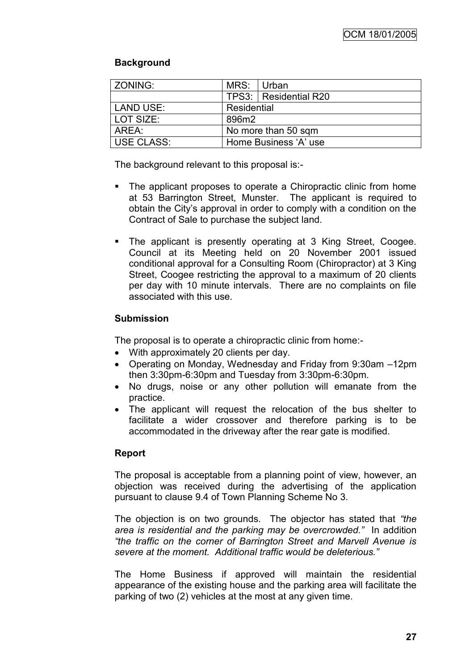# **Background**

| ZONING:    | MRS: Urban            |                         |  |
|------------|-----------------------|-------------------------|--|
|            |                       | TPS3:   Residential R20 |  |
| LAND USE:  | Residential           |                         |  |
| LOT SIZE:  | 896m2                 |                         |  |
| AREA:      | No more than 50 sqm   |                         |  |
| USE CLASS: | Home Business 'A' use |                         |  |

The background relevant to this proposal is:-

- The applicant proposes to operate a Chiropractic clinic from home at 53 Barrington Street, Munster. The applicant is required to obtain the City"s approval in order to comply with a condition on the Contract of Sale to purchase the subject land.
- The applicant is presently operating at 3 King Street, Coogee. Council at its Meeting held on 20 November 2001 issued conditional approval for a Consulting Room (Chiropractor) at 3 King Street, Coogee restricting the approval to a maximum of 20 clients per day with 10 minute intervals. There are no complaints on file associated with this use.

## **Submission**

The proposal is to operate a chiropractic clinic from home:-

- With approximately 20 clients per day.
- Operating on Monday, Wednesday and Friday from 9:30am –12pm then 3:30pm-6:30pm and Tuesday from 3:30pm-6:30pm.
- No drugs, noise or any other pollution will emanate from the practice.
- The applicant will request the relocation of the bus shelter to facilitate a wider crossover and therefore parking is to be accommodated in the driveway after the rear gate is modified.

# **Report**

The proposal is acceptable from a planning point of view, however, an objection was received during the advertising of the application pursuant to clause 9.4 of Town Planning Scheme No 3.

The objection is on two grounds. The objector has stated that *"the area is residential and the parking may be overcrowded."* In addition *"the traffic on the corner of Barrington Street and Marvell Avenue is severe at the moment. Additional traffic would be deleterious."*

The Home Business if approved will maintain the residential appearance of the existing house and the parking area will facilitate the parking of two (2) vehicles at the most at any given time.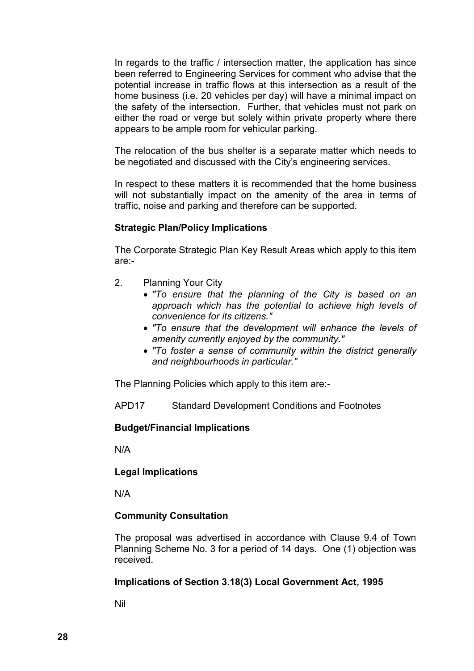In regards to the traffic / intersection matter, the application has since been referred to Engineering Services for comment who advise that the potential increase in traffic flows at this intersection as a result of the home business (i.e. 20 vehicles per day) will have a minimal impact on the safety of the intersection. Further, that vehicles must not park on either the road or verge but solely within private property where there appears to be ample room for vehicular parking.

The relocation of the bus shelter is a separate matter which needs to be negotiated and discussed with the City"s engineering services.

In respect to these matters it is recommended that the home business will not substantially impact on the amenity of the area in terms of traffic, noise and parking and therefore can be supported.

## **Strategic Plan/Policy Implications**

The Corporate Strategic Plan Key Result Areas which apply to this item are:-

- 2. Planning Your City
	- *"To ensure that the planning of the City is based on an approach which has the potential to achieve high levels of convenience for its citizens."*
	- *"To ensure that the development will enhance the levels of amenity currently enjoyed by the community."*
	- *"To foster a sense of community within the district generally and neighbourhoods in particular."*

The Planning Policies which apply to this item are:-

APD17 Standard Development Conditions and Footnotes

#### **Budget/Financial Implications**

N/A

#### **Legal Implications**

N/A

#### **Community Consultation**

The proposal was advertised in accordance with Clause 9.4 of Town Planning Scheme No. 3 for a period of 14 days. One (1) objection was received.

#### **Implications of Section 3.18(3) Local Government Act, 1995**

Nil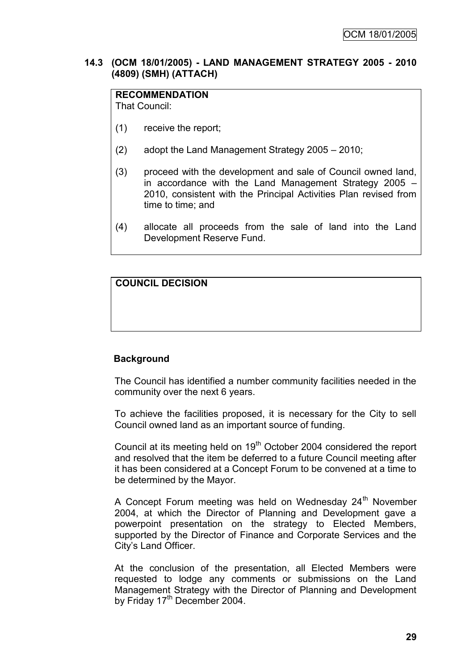### **14.3 (OCM 18/01/2005) - LAND MANAGEMENT STRATEGY 2005 - 2010 (4809) (SMH) (ATTACH)**

# **RECOMMENDATION**

That Council:

- (1) receive the report;
- (2) adopt the Land Management Strategy 2005 2010;
- (3) proceed with the development and sale of Council owned land, in accordance with the Land Management Strategy 2005 – 2010, consistent with the Principal Activities Plan revised from time to time; and
- (4) allocate all proceeds from the sale of land into the Land Development Reserve Fund.

# **COUNCIL DECISION**

#### **Background**

The Council has identified a number community facilities needed in the community over the next 6 years.

To achieve the facilities proposed, it is necessary for the City to sell Council owned land as an important source of funding.

Council at its meeting held on 19<sup>th</sup> October 2004 considered the report and resolved that the item be deferred to a future Council meeting after it has been considered at a Concept Forum to be convened at a time to be determined by the Mayor.

A Concept Forum meeting was held on Wednesday 24<sup>th</sup> November 2004, at which the Director of Planning and Development gave a powerpoint presentation on the strategy to Elected Members, supported by the Director of Finance and Corporate Services and the City"s Land Officer.

At the conclusion of the presentation, all Elected Members were requested to lodge any comments or submissions on the Land Management Strategy with the Director of Planning and Development by Friday 17<sup>th</sup> December 2004.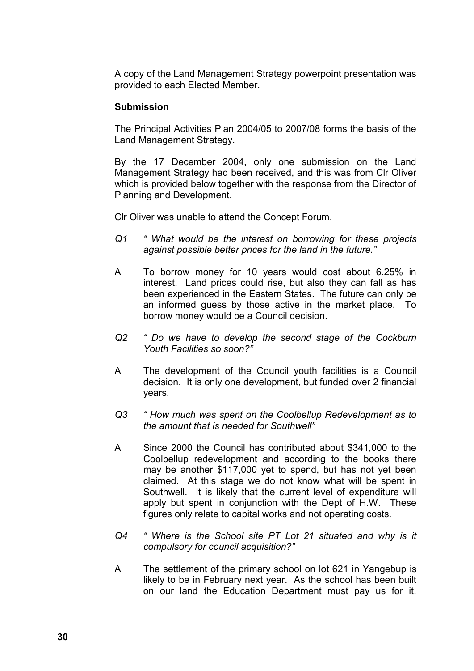A copy of the Land Management Strategy powerpoint presentation was provided to each Elected Member.

#### **Submission**

The Principal Activities Plan 2004/05 to 2007/08 forms the basis of the Land Management Strategy.

By the 17 December 2004, only one submission on the Land Management Strategy had been received, and this was from Clr Oliver which is provided below together with the response from the Director of Planning and Development.

Clr Oliver was unable to attend the Concept Forum.

- *Q1 " What would be the interest on borrowing for these projects against possible better prices for the land in the future."*
- A To borrow money for 10 years would cost about 6.25% in interest. Land prices could rise, but also they can fall as has been experienced in the Eastern States. The future can only be an informed guess by those active in the market place. To borrow money would be a Council decision.
- *Q2 " Do we have to develop the second stage of the Cockburn Youth Facilities so soon?"*
- A The development of the Council youth facilities is a Council decision. It is only one development, but funded over 2 financial years.
- *Q3 " How much was spent on the Coolbellup Redevelopment as to the amount that is needed for Southwell"*
- A Since 2000 the Council has contributed about \$341,000 to the Coolbellup redevelopment and according to the books there may be another \$117,000 yet to spend, but has not yet been claimed. At this stage we do not know what will be spent in Southwell. It is likely that the current level of expenditure will apply but spent in conjunction with the Dept of H.W. These figures only relate to capital works and not operating costs.
- *Q4 " Where is the School site PT Lot 21 situated and why is it compulsory for council acquisition?"*
- A The settlement of the primary school on lot 621 in Yangebup is likely to be in February next year. As the school has been built on our land the Education Department must pay us for it.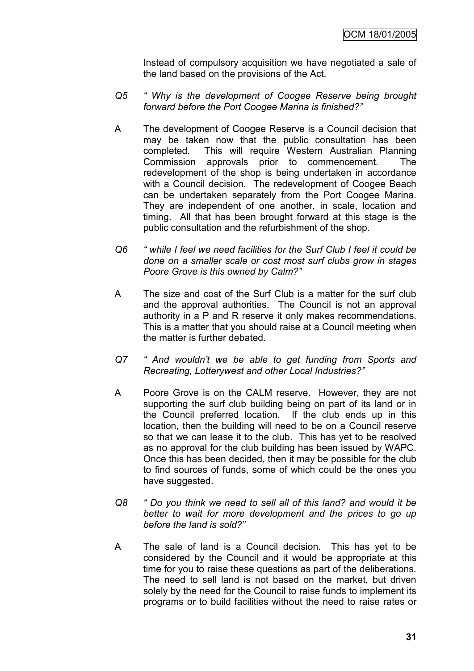Instead of compulsory acquisition we have negotiated a sale of the land based on the provisions of the Act.

- *Q5 " Why is the development of Coogee Reserve being brought forward before the Port Coogee Marina is finished?"*
- A The development of Coogee Reserve is a Council decision that may be taken now that the public consultation has been completed. This will require Western Australian Planning Commission approvals prior to commencement. The redevelopment of the shop is being undertaken in accordance with a Council decision. The redevelopment of Coogee Beach can be undertaken separately from the Port Coogee Marina. They are independent of one another, in scale, location and timing. All that has been brought forward at this stage is the public consultation and the refurbishment of the shop.
- *Q6 " while I feel we need facilities for the Surf Club I feel it could be done on a smaller scale or cost most surf clubs grow in stages Poore Grove is this owned by Calm?"*
- A The size and cost of the Surf Club is a matter for the surf club and the approval authorities. The Council is not an approval authority in a P and R reserve it only makes recommendations. This is a matter that you should raise at a Council meeting when the matter is further debated.
- *Q7 " And wouldn't we be able to get funding from Sports and Recreating, Lotterywest and other Local Industries?"*
- A Poore Grove is on the CALM reserve. However, they are not supporting the surf club building being on part of its land or in the Council preferred location. If the club ends up in this location, then the building will need to be on a Council reserve so that we can lease it to the club. This has yet to be resolved as no approval for the club building has been issued by WAPC. Once this has been decided, then it may be possible for the club to find sources of funds, some of which could be the ones you have suggested.
- *Q8 " Do you think we need to sell all of this land? and would it be better to wait for more development and the prices to go up before the land is sold?"*
- A The sale of land is a Council decision. This has yet to be considered by the Council and it would be appropriate at this time for you to raise these questions as part of the deliberations. The need to sell land is not based on the market, but driven solely by the need for the Council to raise funds to implement its programs or to build facilities without the need to raise rates or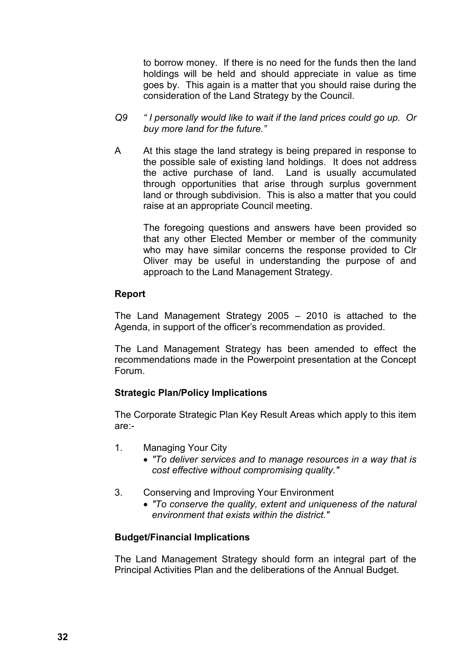to borrow money. If there is no need for the funds then the land holdings will be held and should appreciate in value as time goes by. This again is a matter that you should raise during the consideration of the Land Strategy by the Council.

- *Q9 " I personally would like to wait if the land prices could go up. Or buy more land for the future."*
- A At this stage the land strategy is being prepared in response to the possible sale of existing land holdings. It does not address the active purchase of land. Land is usually accumulated through opportunities that arise through surplus government land or through subdivision. This is also a matter that you could raise at an appropriate Council meeting.

The foregoing questions and answers have been provided so that any other Elected Member or member of the community who may have similar concerns the response provided to Clr Oliver may be useful in understanding the purpose of and approach to the Land Management Strategy.

#### **Report**

The Land Management Strategy 2005 – 2010 is attached to the Agenda, in support of the officer"s recommendation as provided.

The Land Management Strategy has been amended to effect the recommendations made in the Powerpoint presentation at the Concept Forum.

#### **Strategic Plan/Policy Implications**

The Corporate Strategic Plan Key Result Areas which apply to this item are:-

- 1. Managing Your City
	- *"To deliver services and to manage resources in a way that is cost effective without compromising quality."*
- 3. Conserving and Improving Your Environment
	- *"To conserve the quality, extent and uniqueness of the natural environment that exists within the district."*

#### **Budget/Financial Implications**

The Land Management Strategy should form an integral part of the Principal Activities Plan and the deliberations of the Annual Budget.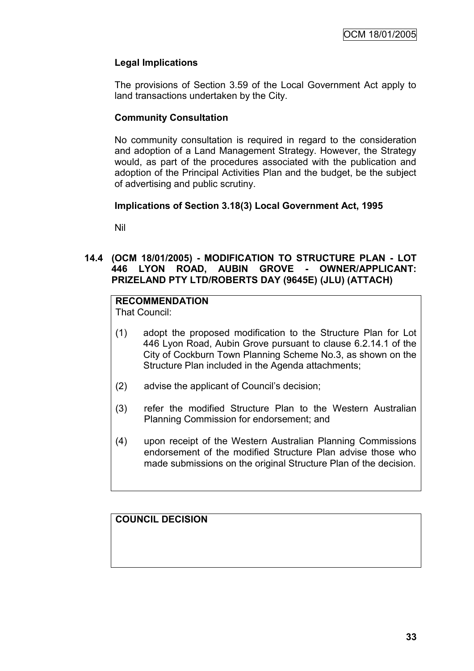# **Legal Implications**

The provisions of Section 3.59 of the Local Government Act apply to land transactions undertaken by the City.

# **Community Consultation**

No community consultation is required in regard to the consideration and adoption of a Land Management Strategy. However, the Strategy would, as part of the procedures associated with the publication and adoption of the Principal Activities Plan and the budget, be the subject of advertising and public scrutiny.

# **Implications of Section 3.18(3) Local Government Act, 1995**

Nil

# **14.4 (OCM 18/01/2005) - MODIFICATION TO STRUCTURE PLAN - LOT 446 LYON ROAD, AUBIN GROVE - OWNER/APPLICANT: PRIZELAND PTY LTD/ROBERTS DAY (9645E) (JLU) (ATTACH)**

# **RECOMMENDATION**

That Council:

- (1) adopt the proposed modification to the Structure Plan for Lot 446 Lyon Road, Aubin Grove pursuant to clause 6.2.14.1 of the City of Cockburn Town Planning Scheme No.3, as shown on the Structure Plan included in the Agenda attachments;
- (2) advise the applicant of Council"s decision;
- (3) refer the modified Structure Plan to the Western Australian Planning Commission for endorsement; and
- (4) upon receipt of the Western Australian Planning Commissions endorsement of the modified Structure Plan advise those who made submissions on the original Structure Plan of the decision.

**COUNCIL DECISION**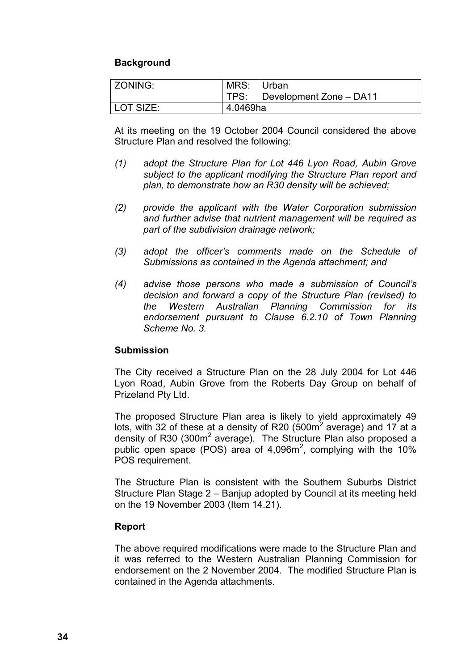# **Background**

| <b>ZONING:</b> | MRS: Urban |                                      |
|----------------|------------|--------------------------------------|
|                |            | TPS: $\vert$ Development Zone – DA11 |
| LOT SIZE:      | 4.0469ha   |                                      |

At its meeting on the 19 October 2004 Council considered the above Structure Plan and resolved the following:

- *(1) adopt the Structure Plan for Lot 446 Lyon Road, Aubin Grove subject to the applicant modifying the Structure Plan report and plan, to demonstrate how an R30 density will be achieved;*
- *(2) provide the applicant with the Water Corporation submission and further advise that nutrient management will be required as part of the subdivision drainage network;*
- *(3) adopt the officer's comments made on the Schedule of Submissions as contained in the Agenda attachment; and*
- *(4) advise those persons who made a submission of Council's decision and forward a copy of the Structure Plan (revised) to the Western Australian Planning Commission for its endorsement pursuant to Clause 6.2.10 of Town Planning Scheme No. 3.*

### **Submission**

The City received a Structure Plan on the 28 July 2004 for Lot 446 Lyon Road, Aubin Grove from the Roberts Day Group on behalf of Prizeland Pty Ltd.

The proposed Structure Plan area is likely to yield approximately 49 lots, with 32 of these at a density of R20 (500 $m<sup>2</sup>$  average) and 17 at a density of R30 (300m<sup>2</sup> average). The Structure Plan also proposed a public open space (POS) area of  $4,096m^2$ , complying with the 10% POS requirement.

The Structure Plan is consistent with the Southern Suburbs District Structure Plan Stage 2 – Banjup adopted by Council at its meeting held on the 19 November 2003 (Item 14.21).

### **Report**

The above required modifications were made to the Structure Plan and it was referred to the Western Australian Planning Commission for endorsement on the 2 November 2004. The modified Structure Plan is contained in the Agenda attachments.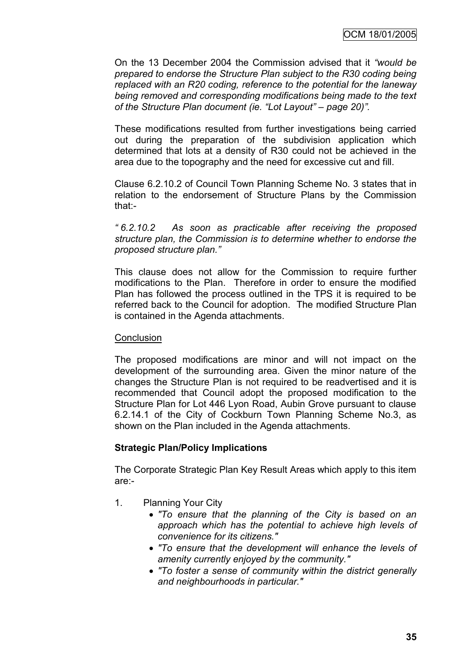On the 13 December 2004 the Commission advised that it *"would be prepared to endorse the Structure Plan subject to the R30 coding being replaced with an R20 coding, reference to the potential for the laneway being removed and corresponding modifications being made to the text of the Structure Plan document (ie. "Lot Layout" – page 20)".*

These modifications resulted from further investigations being carried out during the preparation of the subdivision application which determined that lots at a density of R30 could not be achieved in the area due to the topography and the need for excessive cut and fill.

Clause 6.2.10.2 of Council Town Planning Scheme No. 3 states that in relation to the endorsement of Structure Plans by the Commission that:-

*" 6.2.10.2 As soon as practicable after receiving the proposed structure plan, the Commission is to determine whether to endorse the proposed structure plan."*

This clause does not allow for the Commission to require further modifications to the Plan. Therefore in order to ensure the modified Plan has followed the process outlined in the TPS it is required to be referred back to the Council for adoption. The modified Structure Plan is contained in the Agenda attachments.

### **Conclusion**

The proposed modifications are minor and will not impact on the development of the surrounding area. Given the minor nature of the changes the Structure Plan is not required to be readvertised and it is recommended that Council adopt the proposed modification to the Structure Plan for Lot 446 Lyon Road, Aubin Grove pursuant to clause 6.2.14.1 of the City of Cockburn Town Planning Scheme No.3, as shown on the Plan included in the Agenda attachments.

### **Strategic Plan/Policy Implications**

The Corporate Strategic Plan Key Result Areas which apply to this item are:-

- 1. Planning Your City
	- *"To ensure that the planning of the City is based on an approach which has the potential to achieve high levels of convenience for its citizens."*
	- *"To ensure that the development will enhance the levels of amenity currently enjoyed by the community."*
	- *"To foster a sense of community within the district generally and neighbourhoods in particular."*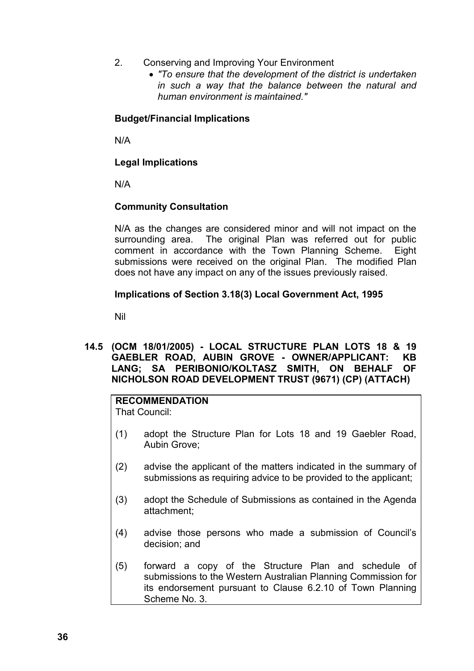- 2. Conserving and Improving Your Environment
	- *"To ensure that the development of the district is undertaken in such a way that the balance between the natural and human environment is maintained."*

# **Budget/Financial Implications**

N/A

# **Legal Implications**

N/A

# **Community Consultation**

N/A as the changes are considered minor and will not impact on the surrounding area. The original Plan was referred out for public comment in accordance with the Town Planning Scheme. Eight submissions were received on the original Plan. The modified Plan does not have any impact on any of the issues previously raised.

# **Implications of Section 3.18(3) Local Government Act, 1995**

Nil

# **14.5 (OCM 18/01/2005) - LOCAL STRUCTURE PLAN LOTS 18 & 19 GAEBLER ROAD, AUBIN GROVE - OWNER/APPLICANT: KB LANG; SA PERIBONIO/KOLTASZ SMITH, ON BEHALF OF NICHOLSON ROAD DEVELOPMENT TRUST (9671) (CP) (ATTACH)**

# **RECOMMENDATION**

That Council:

- (1) adopt the Structure Plan for Lots 18 and 19 Gaebler Road, Aubin Grove;
- (2) advise the applicant of the matters indicated in the summary of submissions as requiring advice to be provided to the applicant;
- (3) adopt the Schedule of Submissions as contained in the Agenda attachment;
- (4) advise those persons who made a submission of Council"s decision; and
- (5) forward a copy of the Structure Plan and schedule of submissions to the Western Australian Planning Commission for its endorsement pursuant to Clause 6.2.10 of Town Planning Scheme No. 3.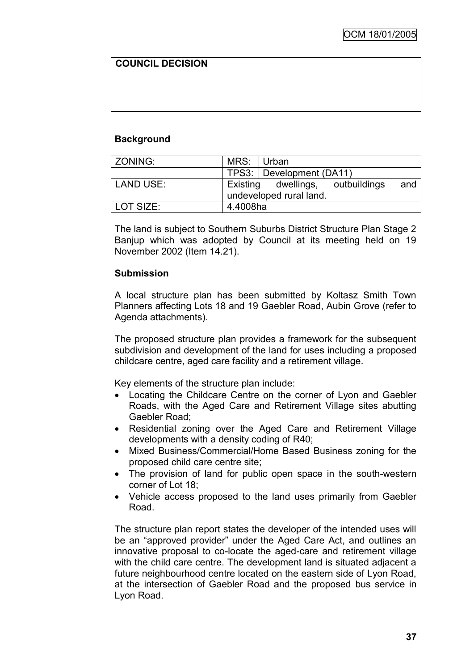# **COUNCIL DECISION**

# **Background**

| ZONING:   | MRS: Urban |                                                             |     |
|-----------|------------|-------------------------------------------------------------|-----|
|           |            | TPS3: Development (DA11)                                    |     |
| LAND USE: |            | Existing dwellings, outbuildings<br>undeveloped rural land. | and |
| LOT SIZE: | 4.4008ha   |                                                             |     |

The land is subject to Southern Suburbs District Structure Plan Stage 2 Banjup which was adopted by Council at its meeting held on 19 November 2002 (Item 14.21).

### **Submission**

A local structure plan has been submitted by Koltasz Smith Town Planners affecting Lots 18 and 19 Gaebler Road, Aubin Grove (refer to Agenda attachments).

The proposed structure plan provides a framework for the subsequent subdivision and development of the land for uses including a proposed childcare centre, aged care facility and a retirement village.

Key elements of the structure plan include:

- Locating the Childcare Centre on the corner of Lyon and Gaebler Roads, with the Aged Care and Retirement Village sites abutting Gaebler Road;
- Residential zoning over the Aged Care and Retirement Village developments with a density coding of R40;
- Mixed Business/Commercial/Home Based Business zoning for the proposed child care centre site;
- The provision of land for public open space in the south-western corner of Lot 18;
- Vehicle access proposed to the land uses primarily from Gaebler Road.

The structure plan report states the developer of the intended uses will be an "approved provider" under the Aged Care Act, and outlines an innovative proposal to co-locate the aged-care and retirement village with the child care centre. The development land is situated adjacent a future neighbourhood centre located on the eastern side of Lyon Road, at the intersection of Gaebler Road and the proposed bus service in Lyon Road.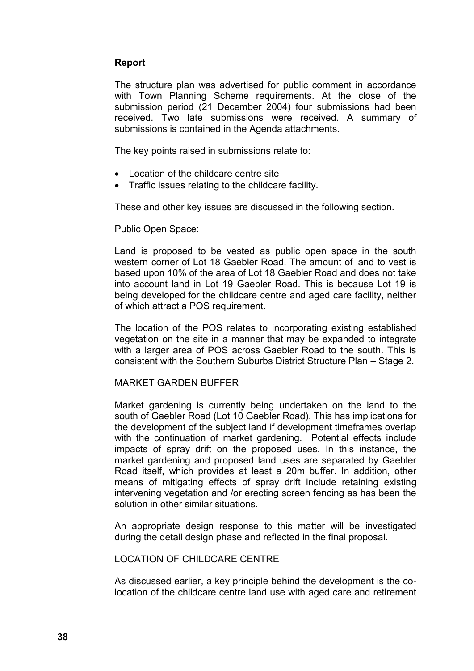# **Report**

The structure plan was advertised for public comment in accordance with Town Planning Scheme requirements. At the close of the submission period (21 December 2004) four submissions had been received. Two late submissions were received. A summary of submissions is contained in the Agenda attachments.

The key points raised in submissions relate to:

- Location of the childcare centre site
- Traffic issues relating to the childcare facility.

These and other key issues are discussed in the following section.

### Public Open Space:

Land is proposed to be vested as public open space in the south western corner of Lot 18 Gaebler Road. The amount of land to vest is based upon 10% of the area of Lot 18 Gaebler Road and does not take into account land in Lot 19 Gaebler Road. This is because Lot 19 is being developed for the childcare centre and aged care facility, neither of which attract a POS requirement.

The location of the POS relates to incorporating existing established vegetation on the site in a manner that may be expanded to integrate with a larger area of POS across Gaebler Road to the south. This is consistent with the Southern Suburbs District Structure Plan – Stage 2.

### MARKET GARDEN BUFFER

Market gardening is currently being undertaken on the land to the south of Gaebler Road (Lot 10 Gaebler Road). This has implications for the development of the subject land if development timeframes overlap with the continuation of market gardening. Potential effects include impacts of spray drift on the proposed uses. In this instance, the market gardening and proposed land uses are separated by Gaebler Road itself, which provides at least a 20m buffer. In addition, other means of mitigating effects of spray drift include retaining existing intervening vegetation and /or erecting screen fencing as has been the solution in other similar situations.

An appropriate design response to this matter will be investigated during the detail design phase and reflected in the final proposal.

### LOCATION OF CHILDCARE CENTRE

As discussed earlier, a key principle behind the development is the colocation of the childcare centre land use with aged care and retirement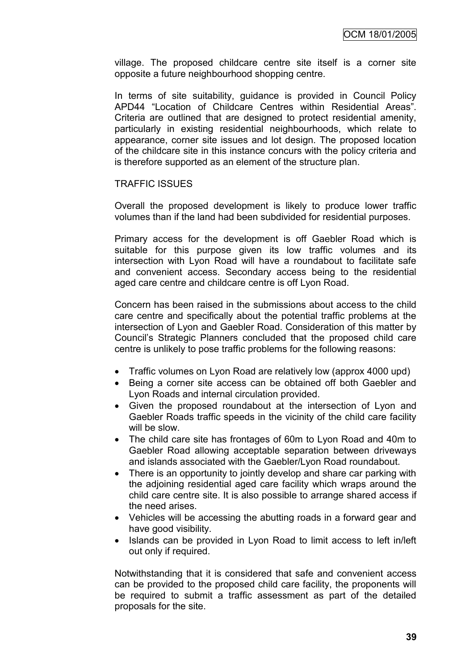village. The proposed childcare centre site itself is a corner site opposite a future neighbourhood shopping centre.

In terms of site suitability, guidance is provided in Council Policy APD44 "Location of Childcare Centres within Residential Areas". Criteria are outlined that are designed to protect residential amenity, particularly in existing residential neighbourhoods, which relate to appearance, corner site issues and lot design. The proposed location of the childcare site in this instance concurs with the policy criteria and is therefore supported as an element of the structure plan.

### TRAFFIC ISSUES

Overall the proposed development is likely to produce lower traffic volumes than if the land had been subdivided for residential purposes.

Primary access for the development is off Gaebler Road which is suitable for this purpose given its low traffic volumes and its intersection with Lyon Road will have a roundabout to facilitate safe and convenient access. Secondary access being to the residential aged care centre and childcare centre is off Lyon Road.

Concern has been raised in the submissions about access to the child care centre and specifically about the potential traffic problems at the intersection of Lyon and Gaebler Road. Consideration of this matter by Council"s Strategic Planners concluded that the proposed child care centre is unlikely to pose traffic problems for the following reasons:

- Traffic volumes on Lyon Road are relatively low (approx 4000 upd)
- Being a corner site access can be obtained off both Gaebler and Lyon Roads and internal circulation provided.
- Given the proposed roundabout at the intersection of Lyon and Gaebler Roads traffic speeds in the vicinity of the child care facility will be slow.
- The child care site has frontages of 60m to Lyon Road and 40m to Gaebler Road allowing acceptable separation between driveways and islands associated with the Gaebler/Lyon Road roundabout.
- There is an opportunity to jointly develop and share car parking with the adjoining residential aged care facility which wraps around the child care centre site. It is also possible to arrange shared access if the need arises.
- Vehicles will be accessing the abutting roads in a forward gear and have good visibility.
- Islands can be provided in Lyon Road to limit access to left in/left out only if required.

Notwithstanding that it is considered that safe and convenient access can be provided to the proposed child care facility, the proponents will be required to submit a traffic assessment as part of the detailed proposals for the site.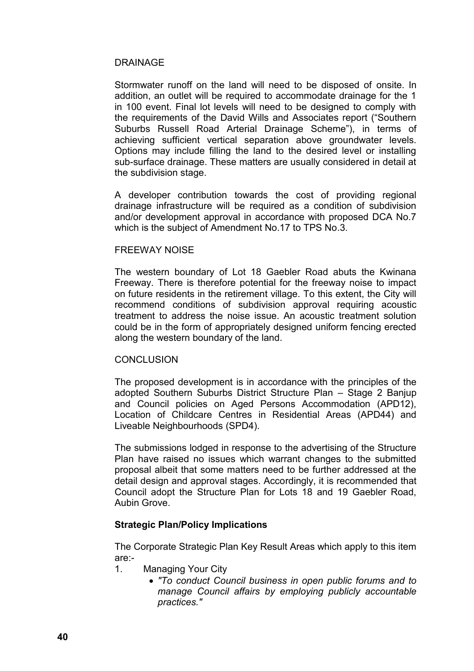### DRAINAGE

Stormwater runoff on the land will need to be disposed of onsite. In addition, an outlet will be required to accommodate drainage for the 1 in 100 event. Final lot levels will need to be designed to comply with the requirements of the David Wills and Associates report ("Southern Suburbs Russell Road Arterial Drainage Scheme"), in terms of achieving sufficient vertical separation above groundwater levels. Options may include filling the land to the desired level or installing sub-surface drainage. These matters are usually considered in detail at the subdivision stage.

A developer contribution towards the cost of providing regional drainage infrastructure will be required as a condition of subdivision and/or development approval in accordance with proposed DCA No.7 which is the subject of Amendment No.17 to TPS No.3.

### FREEWAY NOISE

The western boundary of Lot 18 Gaebler Road abuts the Kwinana Freeway. There is therefore potential for the freeway noise to impact on future residents in the retirement village. To this extent, the City will recommend conditions of subdivision approval requiring acoustic treatment to address the noise issue. An acoustic treatment solution could be in the form of appropriately designed uniform fencing erected along the western boundary of the land.

### **CONCLUSION**

The proposed development is in accordance with the principles of the adopted Southern Suburbs District Structure Plan – Stage 2 Banjup and Council policies on Aged Persons Accommodation (APD12), Location of Childcare Centres in Residential Areas (APD44) and Liveable Neighbourhoods (SPD4).

The submissions lodged in response to the advertising of the Structure Plan have raised no issues which warrant changes to the submitted proposal albeit that some matters need to be further addressed at the detail design and approval stages. Accordingly, it is recommended that Council adopt the Structure Plan for Lots 18 and 19 Gaebler Road, Aubin Grove.

### **Strategic Plan/Policy Implications**

The Corporate Strategic Plan Key Result Areas which apply to this item are:-

- 1. Managing Your City
	- *"To conduct Council business in open public forums and to manage Council affairs by employing publicly accountable practices."*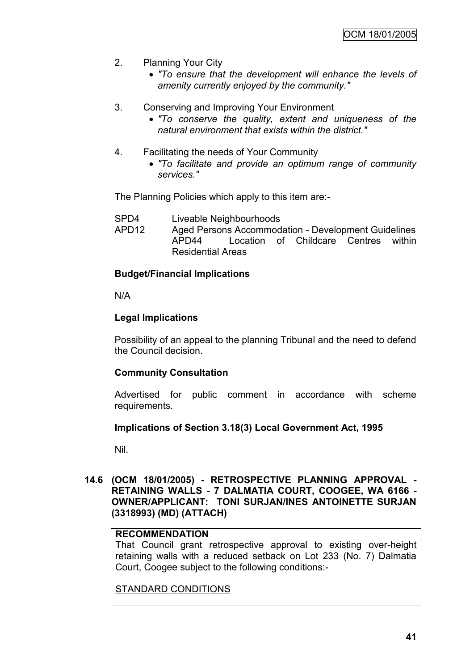- 2. Planning Your City
	- *"To ensure that the development will enhance the levels of amenity currently enjoyed by the community."*
- 3. Conserving and Improving Your Environment
	- *"To conserve the quality, extent and uniqueness of the natural environment that exists within the district."*
- 4. Facilitating the needs of Your Community
	- *"To facilitate and provide an optimum range of community services."*

The Planning Policies which apply to this item are:-

- SPD4 Liveable Neighbourhoods
- APD12 Aged Persons Accommodation Development Guidelines APD44 Location of Childcare Centres within Residential Areas

### **Budget/Financial Implications**

N/A

### **Legal Implications**

Possibility of an appeal to the planning Tribunal and the need to defend the Council decision.

### **Community Consultation**

Advertised for public comment in accordance with scheme requirements.

#### **Implications of Section 3.18(3) Local Government Act, 1995**

Nil.

### **14.6 (OCM 18/01/2005) - RETROSPECTIVE PLANNING APPROVAL - RETAINING WALLS - 7 DALMATIA COURT, COOGEE, WA 6166 - OWNER/APPLICANT: TONI SURJAN/INES ANTOINETTE SURJAN (3318993) (MD) (ATTACH)**

# **RECOMMENDATION**

That Council grant retrospective approval to existing over-height retaining walls with a reduced setback on Lot 233 (No. 7) Dalmatia Court, Coogee subject to the following conditions:-

STANDARD CONDITIONS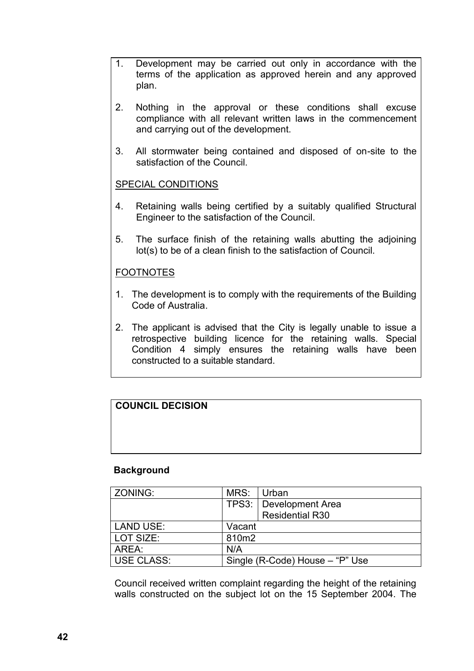- 1. Development may be carried out only in accordance with the terms of the application as approved herein and any approved plan.
- 2. Nothing in the approval or these conditions shall excuse compliance with all relevant written laws in the commencement and carrying out of the development.
- 3. All stormwater being contained and disposed of on-site to the satisfaction of the Council.

# SPECIAL CONDITIONS

- 4. Retaining walls being certified by a suitably qualified Structural Engineer to the satisfaction of the Council.
- 5. The surface finish of the retaining walls abutting the adjoining lot(s) to be of a clean finish to the satisfaction of Council.

# FOOTNOTES

- 1. The development is to comply with the requirements of the Building Code of Australia.
- 2. The applicant is advised that the City is legally unable to issue a retrospective building licence for the retaining walls. Special Condition 4 simply ensures the retaining walls have been constructed to a suitable standard.

# **COUNCIL DECISION**

#### **Background**

| ZONING:    | MRS:                            | Urban                  |
|------------|---------------------------------|------------------------|
|            | <b>TPS3:</b>                    | Development Area       |
|            |                                 | <b>Residential R30</b> |
| LAND USE:  | Vacant                          |                        |
| LOT SIZE:  | 810m2                           |                        |
| AREA:      | N/A                             |                        |
| USE CLASS: | Single (R-Code) House – "P" Use |                        |

Council received written complaint regarding the height of the retaining walls constructed on the subject lot on the 15 September 2004. The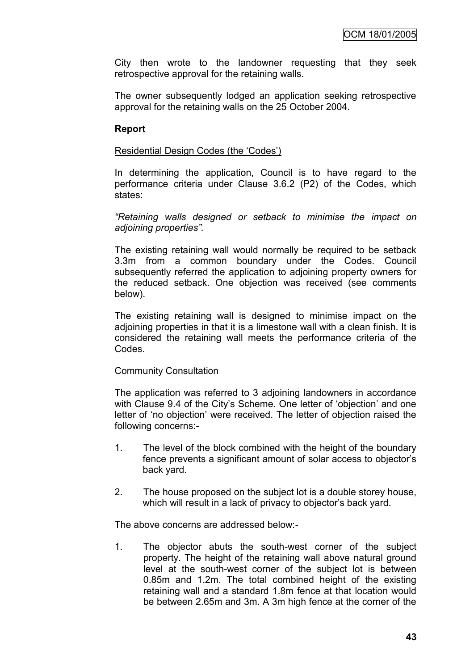City then wrote to the landowner requesting that they seek retrospective approval for the retaining walls.

The owner subsequently lodged an application seeking retrospective approval for the retaining walls on the 25 October 2004.

### **Report**

#### Residential Design Codes (the "Codes")

In determining the application, Council is to have regard to the performance criteria under Clause 3.6.2 (P2) of the Codes, which states:

*"Retaining walls designed or setback to minimise the impact on adjoining properties".*

The existing retaining wall would normally be required to be setback 3.3m from a common boundary under the Codes. Council subsequently referred the application to adjoining property owners for the reduced setback. One objection was received (see comments below).

The existing retaining wall is designed to minimise impact on the adjoining properties in that it is a limestone wall with a clean finish. It is considered the retaining wall meets the performance criteria of the Codes.

#### Community Consultation

The application was referred to 3 adjoining landowners in accordance with Clause 9.4 of the City's Scheme. One letter of 'objection' and one letter of "no objection" were received. The letter of objection raised the following concerns:-

- 1. The level of the block combined with the height of the boundary fence prevents a significant amount of solar access to objector"s back yard.
- 2. The house proposed on the subject lot is a double storey house, which will result in a lack of privacy to objector's back yard.

The above concerns are addressed below:-

1. The objector abuts the south-west corner of the subject property. The height of the retaining wall above natural ground level at the south-west corner of the subject lot is between 0.85m and 1.2m. The total combined height of the existing retaining wall and a standard 1.8m fence at that location would be between 2.65m and 3m. A 3m high fence at the corner of the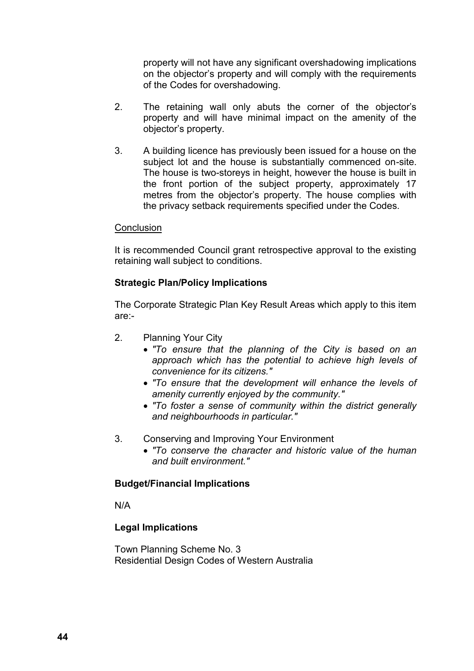property will not have any significant overshadowing implications on the objector"s property and will comply with the requirements of the Codes for overshadowing.

- 2. The retaining wall only abuts the corner of the objector"s property and will have minimal impact on the amenity of the objector"s property.
- 3. A building licence has previously been issued for a house on the subject lot and the house is substantially commenced on-site. The house is two-storeys in height, however the house is built in the front portion of the subject property, approximately 17 metres from the objector's property. The house complies with the privacy setback requirements specified under the Codes.

### **Conclusion**

It is recommended Council grant retrospective approval to the existing retaining wall subject to conditions.

# **Strategic Plan/Policy Implications**

The Corporate Strategic Plan Key Result Areas which apply to this item are:-

- 2. Planning Your City
	- *"To ensure that the planning of the City is based on an approach which has the potential to achieve high levels of convenience for its citizens."*
	- *"To ensure that the development will enhance the levels of amenity currently enjoyed by the community."*
	- *"To foster a sense of community within the district generally and neighbourhoods in particular."*
- 3. Conserving and Improving Your Environment
	- *"To conserve the character and historic value of the human and built environment."*

### **Budget/Financial Implications**

N/A

### **Legal Implications**

Town Planning Scheme No. 3 Residential Design Codes of Western Australia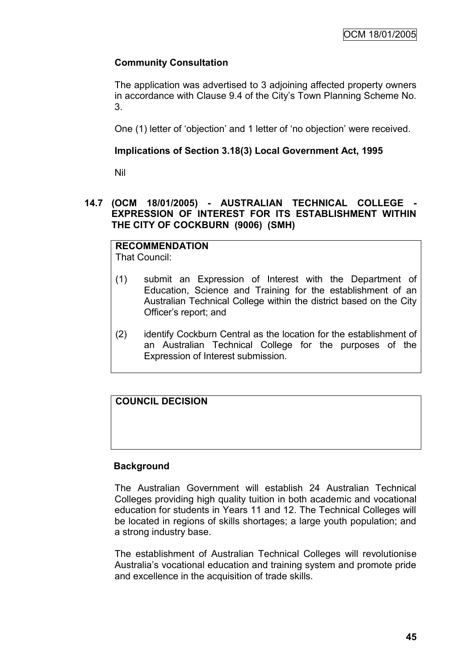# **Community Consultation**

The application was advertised to 3 adjoining affected property owners in accordance with Clause 9.4 of the City's Town Planning Scheme No. 3.

One (1) letter of "objection" and 1 letter of "no objection" were received.

# **Implications of Section 3.18(3) Local Government Act, 1995**

Nil

# **14.7 (OCM 18/01/2005) - AUSTRALIAN TECHNICAL COLLEGE - EXPRESSION OF INTEREST FOR ITS ESTABLISHMENT WITHIN THE CITY OF COCKBURN (9006) (SMH)**

**RECOMMENDATION** That Council:

- (1) submit an Expression of Interest with the Department of Education, Science and Training for the establishment of an Australian Technical College within the district based on the City Officer"s report; and
- (2) identify Cockburn Central as the location for the establishment of an Australian Technical College for the purposes of the Expression of Interest submission.

**COUNCIL DECISION**

# **Background**

The Australian Government will establish 24 Australian Technical Colleges providing high quality tuition in both academic and vocational education for students in Years 11 and 12. The Technical Colleges will be located in regions of skills shortages; a large youth population; and a strong industry base.

The establishment of Australian Technical Colleges will revolutionise Australia"s vocational education and training system and promote pride and excellence in the acquisition of trade skills.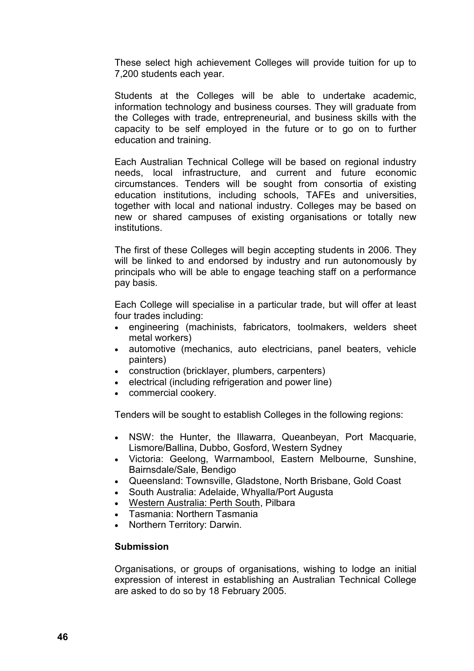These select high achievement Colleges will provide tuition for up to 7,200 students each year.

Students at the Colleges will be able to undertake academic, information technology and business courses. They will graduate from the Colleges with trade, entrepreneurial, and business skills with the capacity to be self employed in the future or to go on to further education and training.

Each Australian Technical College will be based on regional industry needs, local infrastructure, and current and future economic circumstances. Tenders will be sought from consortia of existing education institutions, including schools, TAFEs and universities, together with local and national industry. Colleges may be based on new or shared campuses of existing organisations or totally new institutions.

The first of these Colleges will begin accepting students in 2006. They will be linked to and endorsed by industry and run autonomously by principals who will be able to engage teaching staff on a performance pay basis.

Each College will specialise in a particular trade, but will offer at least four trades including:

- engineering (machinists, fabricators, toolmakers, welders sheet metal workers)
- automotive (mechanics, auto electricians, panel beaters, vehicle painters)
- construction (bricklayer, plumbers, carpenters)
- electrical (including refrigeration and power line)
- commercial cookery.

Tenders will be sought to establish Colleges in the following regions:

- NSW: the Hunter, the Illawarra, Queanbeyan, Port Macquarie, Lismore/Ballina, Dubbo, Gosford, Western Sydney
- Victoria: Geelong, Warrnambool, Eastern Melbourne, Sunshine, Bairnsdale/Sale, Bendigo
- Queensland: Townsville, Gladstone, North Brisbane, Gold Coast
- South Australia: Adelaide, Whyalla/Port Augusta
- Western Australia: Perth South, Pilbara
- Tasmania: Northern Tasmania
- Northern Territory: Darwin.

#### **Submission**

Organisations, or groups of organisations, wishing to lodge an initial expression of interest in establishing an Australian Technical College are asked to do so by 18 February 2005.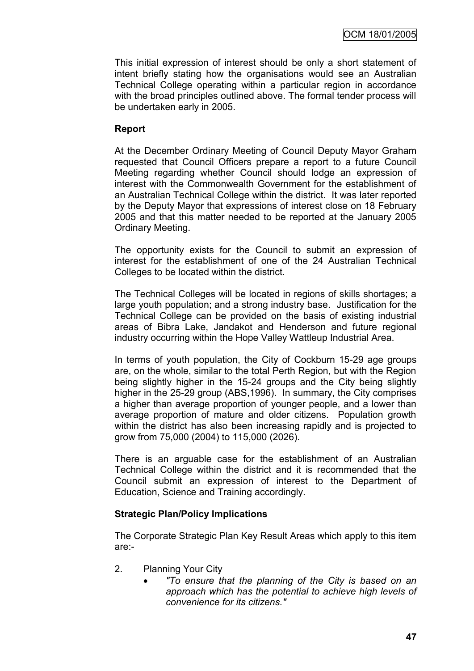This initial expression of interest should be only a short statement of intent briefly stating how the organisations would see an Australian Technical College operating within a particular region in accordance with the broad principles outlined above. The formal tender process will be undertaken early in 2005.

### **Report**

At the December Ordinary Meeting of Council Deputy Mayor Graham requested that Council Officers prepare a report to a future Council Meeting regarding whether Council should lodge an expression of interest with the Commonwealth Government for the establishment of an Australian Technical College within the district. It was later reported by the Deputy Mayor that expressions of interest close on 18 February 2005 and that this matter needed to be reported at the January 2005 Ordinary Meeting.

The opportunity exists for the Council to submit an expression of interest for the establishment of one of the 24 Australian Technical Colleges to be located within the district.

The Technical Colleges will be located in regions of skills shortages; a large youth population; and a strong industry base. Justification for the Technical College can be provided on the basis of existing industrial areas of Bibra Lake, Jandakot and Henderson and future regional industry occurring within the Hope Valley Wattleup Industrial Area.

In terms of youth population, the City of Cockburn 15-29 age groups are, on the whole, similar to the total Perth Region, but with the Region being slightly higher in the 15-24 groups and the City being slightly higher in the 25-29 group (ABS,1996). In summary, the City comprises a higher than average proportion of younger people, and a lower than average proportion of mature and older citizens. Population growth within the district has also been increasing rapidly and is projected to grow from 75,000 (2004) to 115,000 (2026).

There is an arguable case for the establishment of an Australian Technical College within the district and it is recommended that the Council submit an expression of interest to the Department of Education, Science and Training accordingly.

### **Strategic Plan/Policy Implications**

The Corporate Strategic Plan Key Result Areas which apply to this item are:-

- 2. Planning Your City
	- *"To ensure that the planning of the City is based on an approach which has the potential to achieve high levels of convenience for its citizens."*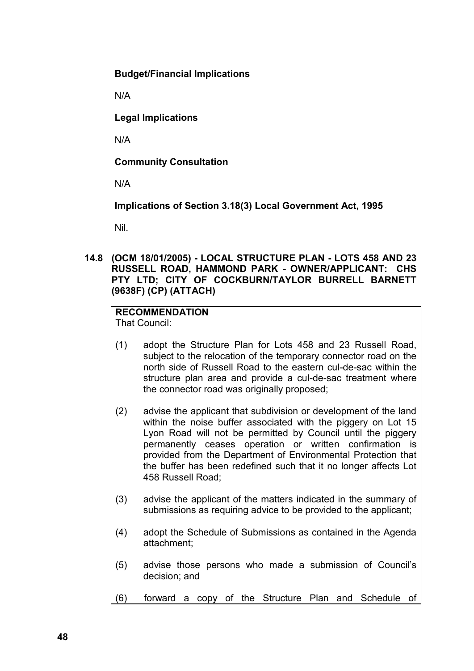**Budget/Financial Implications**

N/A

**Legal Implications**

N/A

**Community Consultation**

N/A

**Implications of Section 3.18(3) Local Government Act, 1995**

Nil.

**14.8 (OCM 18/01/2005) - LOCAL STRUCTURE PLAN - LOTS 458 AND 23 RUSSELL ROAD, HAMMOND PARK - OWNER/APPLICANT: CHS PTY LTD; CITY OF COCKBURN/TAYLOR BURRELL BARNETT (9638F) (CP) (ATTACH)**

# **RECOMMENDATION**

That Council:

- (1) adopt the Structure Plan for Lots 458 and 23 Russell Road, subject to the relocation of the temporary connector road on the north side of Russell Road to the eastern cul-de-sac within the structure plan area and provide a cul-de-sac treatment where the connector road was originally proposed;
- (2) advise the applicant that subdivision or development of the land within the noise buffer associated with the piggery on Lot 15 Lyon Road will not be permitted by Council until the piggery permanently ceases operation or written confirmation is provided from the Department of Environmental Protection that the buffer has been redefined such that it no longer affects Lot 458 Russell Road;
- (3) advise the applicant of the matters indicated in the summary of submissions as requiring advice to be provided to the applicant:
- (4) adopt the Schedule of Submissions as contained in the Agenda attachment;
- (5) advise those persons who made a submission of Council"s decision; and
- (6) forward a copy of the Structure Plan and Schedule of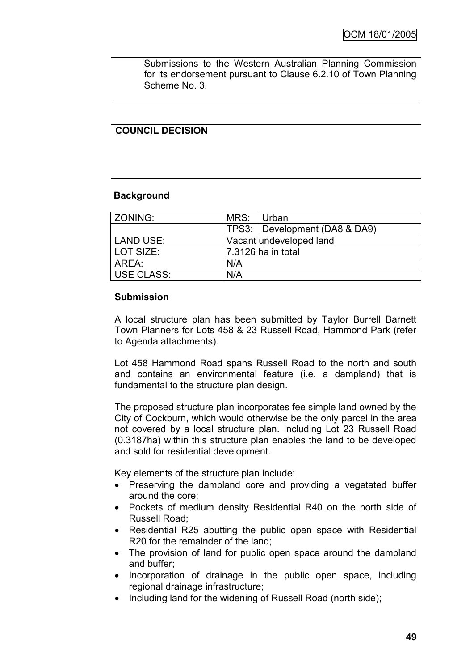Submissions to the Western Australian Planning Commission for its endorsement pursuant to Clause 6.2.10 of Town Planning Scheme No. 3.

# **COUNCIL DECISION**

### **Background**

| ZONING:    | MRS: Urban              |                                 |  |
|------------|-------------------------|---------------------------------|--|
|            |                         | TPS3:   Development (DA8 & DA9) |  |
| LAND USE:  | Vacant undeveloped land |                                 |  |
| LOT SIZE:  | 7.3126 ha in total      |                                 |  |
| AREA:      | N/A                     |                                 |  |
| USE CLASS: | N/A                     |                                 |  |

### **Submission**

A local structure plan has been submitted by Taylor Burrell Barnett Town Planners for Lots 458 & 23 Russell Road, Hammond Park (refer to Agenda attachments).

Lot 458 Hammond Road spans Russell Road to the north and south and contains an environmental feature (i.e. a dampland) that is fundamental to the structure plan design.

The proposed structure plan incorporates fee simple land owned by the City of Cockburn, which would otherwise be the only parcel in the area not covered by a local structure plan. Including Lot 23 Russell Road (0.3187ha) within this structure plan enables the land to be developed and sold for residential development.

Key elements of the structure plan include:

- Preserving the dampland core and providing a vegetated buffer around the core;
- Pockets of medium density Residential R40 on the north side of Russell Road;
- Residential R25 abutting the public open space with Residential R20 for the remainder of the land;
- The provision of land for public open space around the dampland and buffer;
- Incorporation of drainage in the public open space, including regional drainage infrastructure;
- Including land for the widening of Russell Road (north side):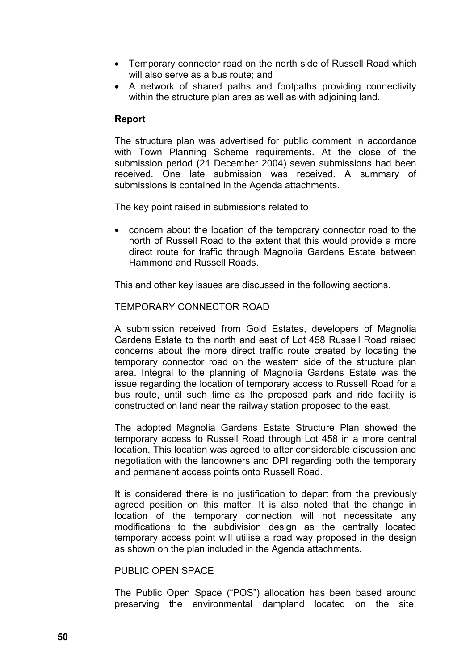- Temporary connector road on the north side of Russell Road which will also serve as a bus route; and
- A network of shared paths and footpaths providing connectivity within the structure plan area as well as with adjoining land.

### **Report**

The structure plan was advertised for public comment in accordance with Town Planning Scheme requirements. At the close of the submission period (21 December 2004) seven submissions had been received. One late submission was received. A summary of submissions is contained in the Agenda attachments.

The key point raised in submissions related to

 concern about the location of the temporary connector road to the north of Russell Road to the extent that this would provide a more direct route for traffic through Magnolia Gardens Estate between Hammond and Russell Roads.

This and other key issues are discussed in the following sections.

### TEMPORARY CONNECTOR ROAD

A submission received from Gold Estates, developers of Magnolia Gardens Estate to the north and east of Lot 458 Russell Road raised concerns about the more direct traffic route created by locating the temporary connector road on the western side of the structure plan area. Integral to the planning of Magnolia Gardens Estate was the issue regarding the location of temporary access to Russell Road for a bus route, until such time as the proposed park and ride facility is constructed on land near the railway station proposed to the east.

The adopted Magnolia Gardens Estate Structure Plan showed the temporary access to Russell Road through Lot 458 in a more central location. This location was agreed to after considerable discussion and negotiation with the landowners and DPI regarding both the temporary and permanent access points onto Russell Road.

It is considered there is no justification to depart from the previously agreed position on this matter. It is also noted that the change in location of the temporary connection will not necessitate any modifications to the subdivision design as the centrally located temporary access point will utilise a road way proposed in the design as shown on the plan included in the Agenda attachments.

### PUBLIC OPEN SPACE

The Public Open Space ("POS") allocation has been based around preserving the environmental dampland located on the site.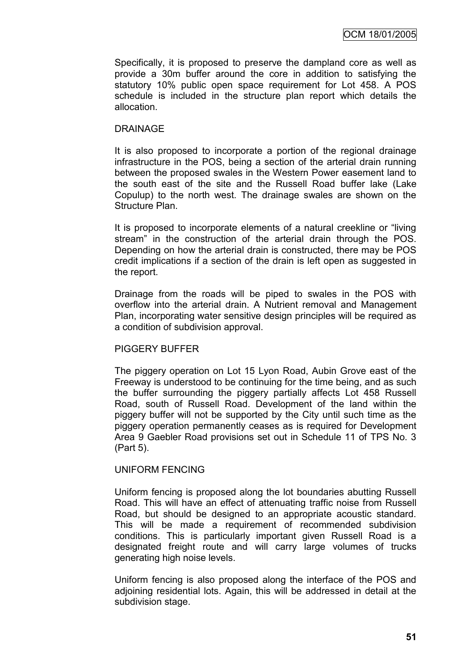Specifically, it is proposed to preserve the dampland core as well as provide a 30m buffer around the core in addition to satisfying the statutory 10% public open space requirement for Lot 458. A POS schedule is included in the structure plan report which details the allocation.

### DRAINAGE

It is also proposed to incorporate a portion of the regional drainage infrastructure in the POS, being a section of the arterial drain running between the proposed swales in the Western Power easement land to the south east of the site and the Russell Road buffer lake (Lake Copulup) to the north west. The drainage swales are shown on the Structure Plan.

It is proposed to incorporate elements of a natural creekline or "living stream" in the construction of the arterial drain through the POS. Depending on how the arterial drain is constructed, there may be POS credit implications if a section of the drain is left open as suggested in the report.

Drainage from the roads will be piped to swales in the POS with overflow into the arterial drain. A Nutrient removal and Management Plan, incorporating water sensitive design principles will be required as a condition of subdivision approval.

### PIGGERY BUFFER

The piggery operation on Lot 15 Lyon Road, Aubin Grove east of the Freeway is understood to be continuing for the time being, and as such the buffer surrounding the piggery partially affects Lot 458 Russell Road, south of Russell Road. Development of the land within the piggery buffer will not be supported by the City until such time as the piggery operation permanently ceases as is required for Development Area 9 Gaebler Road provisions set out in Schedule 11 of TPS No. 3 (Part 5).

### UNIFORM FENCING

Uniform fencing is proposed along the lot boundaries abutting Russell Road. This will have an effect of attenuating traffic noise from Russell Road, but should be designed to an appropriate acoustic standard. This will be made a requirement of recommended subdivision conditions. This is particularly important given Russell Road is a designated freight route and will carry large volumes of trucks generating high noise levels.

Uniform fencing is also proposed along the interface of the POS and adjoining residential lots. Again, this will be addressed in detail at the subdivision stage.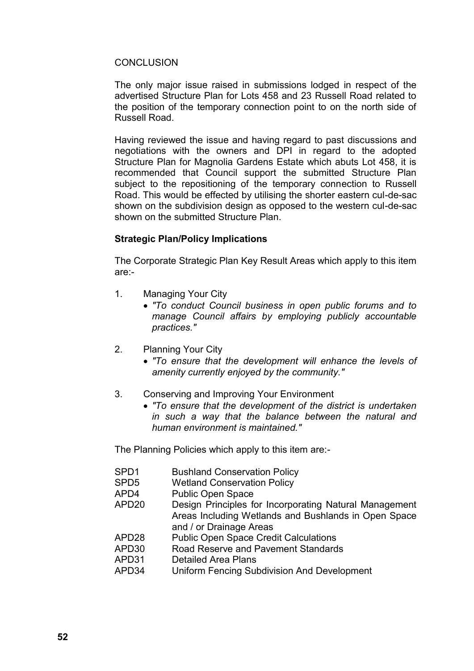### **CONCLUSION**

The only major issue raised in submissions lodged in respect of the advertised Structure Plan for Lots 458 and 23 Russell Road related to the position of the temporary connection point to on the north side of Russell Road.

Having reviewed the issue and having regard to past discussions and negotiations with the owners and DPI in regard to the adopted Structure Plan for Magnolia Gardens Estate which abuts Lot 458, it is recommended that Council support the submitted Structure Plan subject to the repositioning of the temporary connection to Russell Road. This would be effected by utilising the shorter eastern cul-de-sac shown on the subdivision design as opposed to the western cul-de-sac shown on the submitted Structure Plan.

### **Strategic Plan/Policy Implications**

The Corporate Strategic Plan Key Result Areas which apply to this item are:-

- 1. Managing Your City
	- *"To conduct Council business in open public forums and to manage Council affairs by employing publicly accountable practices."*
- 2. Planning Your City
	- *"To ensure that the development will enhance the levels of amenity currently enjoyed by the community."*
- 3. Conserving and Improving Your Environment
	- *"To ensure that the development of the district is undertaken in such a way that the balance between the natural and human environment is maintained."*

The Planning Policies which apply to this item are:-

- SPD1 Bushland Conservation Policy
- SPD5 Wetland Conservation Policy
- APD4 Public Open Space
- APD20 Design Principles for Incorporating Natural Management Areas Including Wetlands and Bushlands in Open Space and / or Drainage Areas
- APD28 Public Open Space Credit Calculations
- APD30 Road Reserve and Pavement Standards
- APD31 Detailed Area Plans
- APD34 Uniform Fencing Subdivision And Development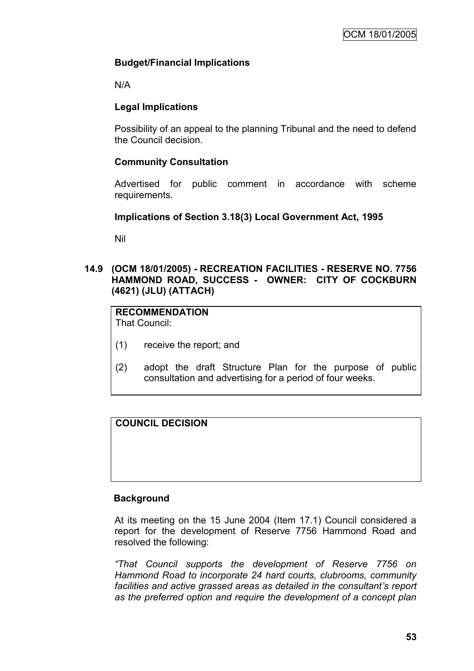# **Budget/Financial Implications**

N/A

# **Legal Implications**

Possibility of an appeal to the planning Tribunal and the need to defend the Council decision.

# **Community Consultation**

Advertised for public comment in accordance with scheme requirements.

# **Implications of Section 3.18(3) Local Government Act, 1995**

Nil

# **14.9 (OCM 18/01/2005) - RECREATION FACILITIES - RESERVE NO. 7756 HAMMOND ROAD, SUCCESS - OWNER: CITY OF COCKBURN (4621) (JLU) (ATTACH)**

# **RECOMMENDATION**

That Council:

- (1) receive the report; and
- (2) adopt the draft Structure Plan for the purpose of public consultation and advertising for a period of four weeks.

# **COUNCIL DECISION**

# **Background**

At its meeting on the 15 June 2004 (Item 17.1) Council considered a report for the development of Reserve 7756 Hammond Road and resolved the following:

*"That Council supports the development of Reserve 7756 on Hammond Road to incorporate 24 hard courts, clubrooms, community facilities and active grassed areas as detailed in the consultant's report as the preferred option and require the development of a concept plan*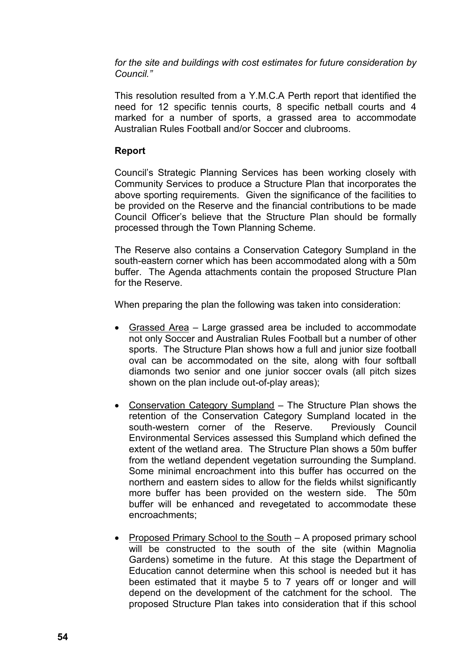*for the site and buildings with cost estimates for future consideration by Council."*

This resolution resulted from a Y.M.C.A Perth report that identified the need for 12 specific tennis courts, 8 specific netball courts and 4 marked for a number of sports, a grassed area to accommodate Australian Rules Football and/or Soccer and clubrooms.

### **Report**

Council"s Strategic Planning Services has been working closely with Community Services to produce a Structure Plan that incorporates the above sporting requirements. Given the significance of the facilities to be provided on the Reserve and the financial contributions to be made Council Officer"s believe that the Structure Plan should be formally processed through the Town Planning Scheme.

The Reserve also contains a Conservation Category Sumpland in the south-eastern corner which has been accommodated along with a 50m buffer. The Agenda attachments contain the proposed Structure Plan for the Reserve.

When preparing the plan the following was taken into consideration:

- Grassed Area Large grassed area be included to accommodate not only Soccer and Australian Rules Football but a number of other sports. The Structure Plan shows how a full and junior size football oval can be accommodated on the site, along with four softball diamonds two senior and one junior soccer ovals (all pitch sizes shown on the plan include out-of-play areas);
- Conservation Category Sumpland The Structure Plan shows the retention of the Conservation Category Sumpland located in the south-western corner of the Reserve. Previously Council Environmental Services assessed this Sumpland which defined the extent of the wetland area. The Structure Plan shows a 50m buffer from the wetland dependent vegetation surrounding the Sumpland. Some minimal encroachment into this buffer has occurred on the northern and eastern sides to allow for the fields whilst significantly more buffer has been provided on the western side. The 50m buffer will be enhanced and revegetated to accommodate these encroachments;
- Proposed Primary School to the South A proposed primary school will be constructed to the south of the site (within Magnolia Gardens) sometime in the future. At this stage the Department of Education cannot determine when this school is needed but it has been estimated that it maybe 5 to 7 years off or longer and will depend on the development of the catchment for the school. The proposed Structure Plan takes into consideration that if this school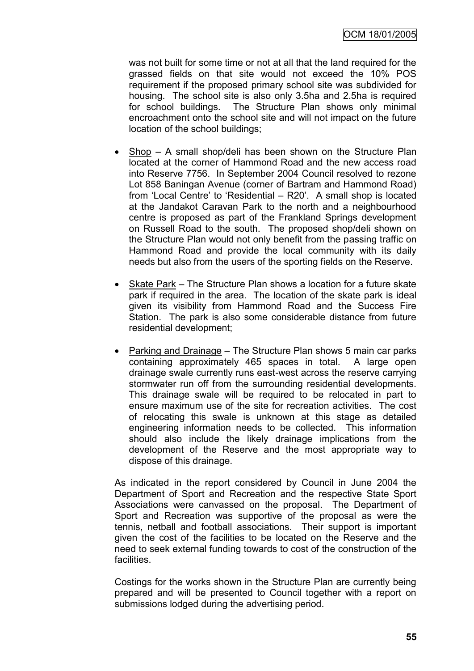was not built for some time or not at all that the land required for the grassed fields on that site would not exceed the 10% POS requirement if the proposed primary school site was subdivided for housing. The school site is also only 3.5ha and 2.5ha is required for school buildings. The Structure Plan shows only minimal encroachment onto the school site and will not impact on the future location of the school buildings;

- $\bullet$  Shop A small shop/deli has been shown on the Structure Plan located at the corner of Hammond Road and the new access road into Reserve 7756. In September 2004 Council resolved to rezone Lot 858 Baningan Avenue (corner of Bartram and Hammond Road) from 'Local Centre' to 'Residential – R20'. A small shop is located at the Jandakot Caravan Park to the north and a neighbourhood centre is proposed as part of the Frankland Springs development on Russell Road to the south. The proposed shop/deli shown on the Structure Plan would not only benefit from the passing traffic on Hammond Road and provide the local community with its daily needs but also from the users of the sporting fields on the Reserve.
- Skate Park The Structure Plan shows a location for a future skate park if required in the area. The location of the skate park is ideal given its visibility from Hammond Road and the Success Fire Station. The park is also some considerable distance from future residential development;
- Parking and Drainage The Structure Plan shows 5 main car parks containing approximately 465 spaces in total. A large open drainage swale currently runs east-west across the reserve carrying stormwater run off from the surrounding residential developments. This drainage swale will be required to be relocated in part to ensure maximum use of the site for recreation activities. The cost of relocating this swale is unknown at this stage as detailed engineering information needs to be collected. This information should also include the likely drainage implications from the development of the Reserve and the most appropriate way to dispose of this drainage.

As indicated in the report considered by Council in June 2004 the Department of Sport and Recreation and the respective State Sport Associations were canvassed on the proposal. The Department of Sport and Recreation was supportive of the proposal as were the tennis, netball and football associations. Their support is important given the cost of the facilities to be located on the Reserve and the need to seek external funding towards to cost of the construction of the facilities.

Costings for the works shown in the Structure Plan are currently being prepared and will be presented to Council together with a report on submissions lodged during the advertising period.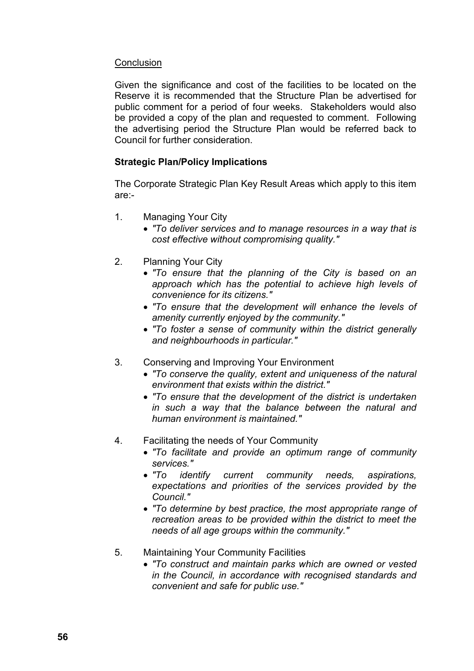# **Conclusion**

Given the significance and cost of the facilities to be located on the Reserve it is recommended that the Structure Plan be advertised for public comment for a period of four weeks. Stakeholders would also be provided a copy of the plan and requested to comment. Following the advertising period the Structure Plan would be referred back to Council for further consideration.

# **Strategic Plan/Policy Implications**

The Corporate Strategic Plan Key Result Areas which apply to this item are:-

- 1. Managing Your City
	- *"To deliver services and to manage resources in a way that is cost effective without compromising quality."*
- 2. Planning Your City
	- *"To ensure that the planning of the City is based on an approach which has the potential to achieve high levels of convenience for its citizens."*
	- *"To ensure that the development will enhance the levels of amenity currently enjoyed by the community."*
	- *"To foster a sense of community within the district generally and neighbourhoods in particular."*
- 3. Conserving and Improving Your Environment
	- *"To conserve the quality, extent and uniqueness of the natural environment that exists within the district."*
	- *"To ensure that the development of the district is undertaken in such a way that the balance between the natural and human environment is maintained."*
- 4. Facilitating the needs of Your Community
	- *"To facilitate and provide an optimum range of community services."*
	- *"To identify current community needs, aspirations, expectations and priorities of the services provided by the Council."*
	- *"To determine by best practice, the most appropriate range of recreation areas to be provided within the district to meet the needs of all age groups within the community."*
- 5. Maintaining Your Community Facilities
	- *"To construct and maintain parks which are owned or vested in the Council, in accordance with recognised standards and convenient and safe for public use."*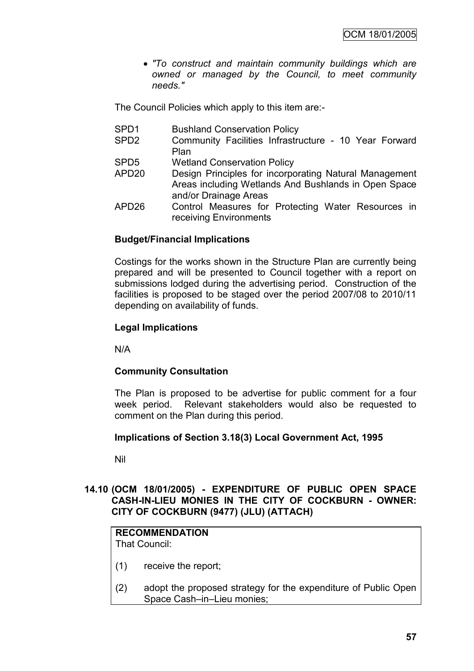*"To construct and maintain community buildings which are owned or managed by the Council, to meet community needs."*

The Council Policies which apply to this item are:-

- SPD1 Bushland Conservation Policy
- SPD2 Community Facilities Infrastructure 10 Year Forward Plan
- SPD5 Wetland Conservation Policy
- APD20 Design Principles for incorporating Natural Management Areas including Wetlands And Bushlands in Open Space and/or Drainage Areas
- APD26 Control Measures for Protecting Water Resources in receiving Environments

# **Budget/Financial Implications**

Costings for the works shown in the Structure Plan are currently being prepared and will be presented to Council together with a report on submissions lodged during the advertising period. Construction of the facilities is proposed to be staged over the period 2007/08 to 2010/11 depending on availability of funds.

# **Legal Implications**

N/A

# **Community Consultation**

The Plan is proposed to be advertise for public comment for a four week period. Relevant stakeholders would also be requested to comment on the Plan during this period.

### **Implications of Section 3.18(3) Local Government Act, 1995**

Nil

# **14.10 (OCM 18/01/2005) - EXPENDITURE OF PUBLIC OPEN SPACE CASH-IN-LIEU MONIES IN THE CITY OF COCKBURN - OWNER: CITY OF COCKBURN (9477) (JLU) (ATTACH)**

# **RECOMMENDATION**

That Council:

- (1) receive the report;
- (2) adopt the proposed strategy for the expenditure of Public Open Space Cash–in–Lieu monies;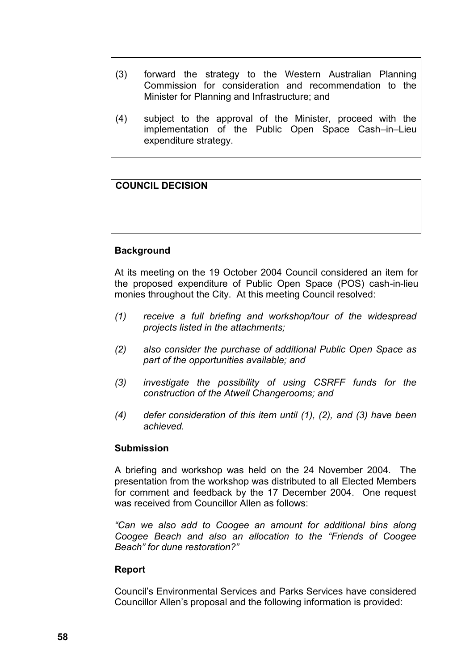- (3) forward the strategy to the Western Australian Planning Commission for consideration and recommendation to the Minister for Planning and Infrastructure; and
- (4) subject to the approval of the Minister, proceed with the implementation of the Public Open Space Cash–in–Lieu expenditure strategy.

# **COUNCIL DECISION**

# **Background**

At its meeting on the 19 October 2004 Council considered an item for the proposed expenditure of Public Open Space (POS) cash-in-lieu monies throughout the City. At this meeting Council resolved:

- *(1) receive a full briefing and workshop/tour of the widespread projects listed in the attachments;*
- *(2) also consider the purchase of additional Public Open Space as part of the opportunities available; and*
- *(3) investigate the possibility of using CSRFF funds for the construction of the Atwell Changerooms; and*
- *(4) defer consideration of this item until (1), (2), and (3) have been achieved.*

### **Submission**

A briefing and workshop was held on the 24 November 2004. The presentation from the workshop was distributed to all Elected Members for comment and feedback by the 17 December 2004. One request was received from Councillor Allen as follows:

*"Can we also add to Coogee an amount for additional bins along Coogee Beach and also an allocation to the "Friends of Coogee Beach" for dune restoration?"*

### **Report**

Council"s Environmental Services and Parks Services have considered Councillor Allen"s proposal and the following information is provided: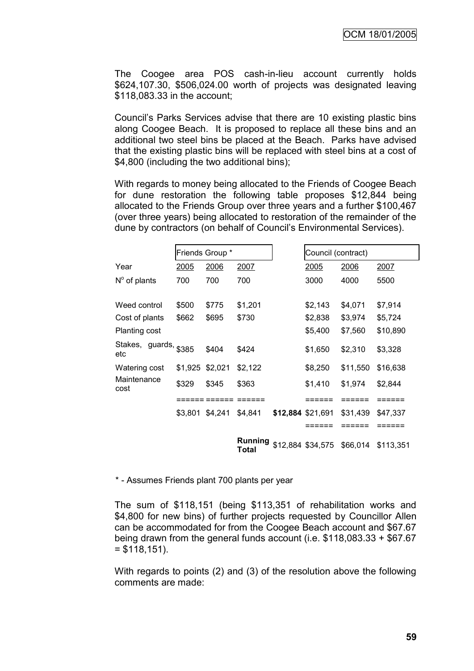The Coogee area POS cash-in-lieu account currently holds \$624,107.30, \$506,024.00 worth of projects was designated leaving \$118,083.33 in the account;

Council"s Parks Services advise that there are 10 existing plastic bins along Coogee Beach. It is proposed to replace all these bins and an additional two steel bins be placed at the Beach. Parks have advised that the existing plastic bins will be replaced with steel bins at a cost of \$4,800 (including the two additional bins);

With regards to money being allocated to the Friends of Coogee Beach for dune restoration the following table proposes \$12,844 being allocated to the Friends Group over three years and a further \$100,467 (over three years) being allocated to restoration of the remainder of the dune by contractors (on behalf of Council"s Environmental Services).

|                              | Friends Group * |       |                                | Council (contract) |                   |          |           |
|------------------------------|-----------------|-------|--------------------------------|--------------------|-------------------|----------|-----------|
| Year                         | 2005            | 2006  | 2007                           |                    | 2005              | 2006     | 2007      |
| $N^{\circ}$ of plants        | 700             | 700   | 700                            |                    | 3000              | 4000     | 5500      |
| Weed control                 | \$500           | \$775 | \$1,201                        |                    | \$2,143           | \$4,071  | \$7,914   |
| Cost of plants               | \$662           | \$695 | \$730                          |                    | \$2,838           | \$3,974  | \$5,724   |
| <b>Planting cost</b>         |                 |       |                                |                    | \$5,400           | \$7,560  | \$10,890  |
| Stakes, guards, \$385<br>etc |                 | \$404 | \$424                          |                    | \$1,650           | \$2,310  | \$3,328   |
| Watering cost                | \$1,925 \$2,021 |       | \$2,122                        |                    | \$8,250           | \$11,550 | \$16,638  |
| Maintenance<br>cost          | \$329           | \$345 | \$363                          |                    | \$1,410           | \$1,974  | \$2,844   |
|                              |                 |       |                                |                    |                   |          |           |
|                              | \$3,801 \$4,241 |       | \$4,841                        | \$12,884 \$21,691  |                   | \$31,439 | \$47,337  |
|                              |                 |       |                                |                    | :====             |          | ====      |
|                              |                 |       | <b>Running</b><br><b>Total</b> |                    | \$12,884 \$34,575 | \$66,014 | \$113,351 |

\* - Assumes Friends plant 700 plants per year

The sum of \$118,151 (being \$113,351 of rehabilitation works and \$4,800 for new bins) of further projects requested by Councillor Allen can be accommodated for from the Coogee Beach account and \$67.67 being drawn from the general funds account (i.e. \$118,083.33 + \$67.67  $= $118,151$ ).

With regards to points (2) and (3) of the resolution above the following comments are made: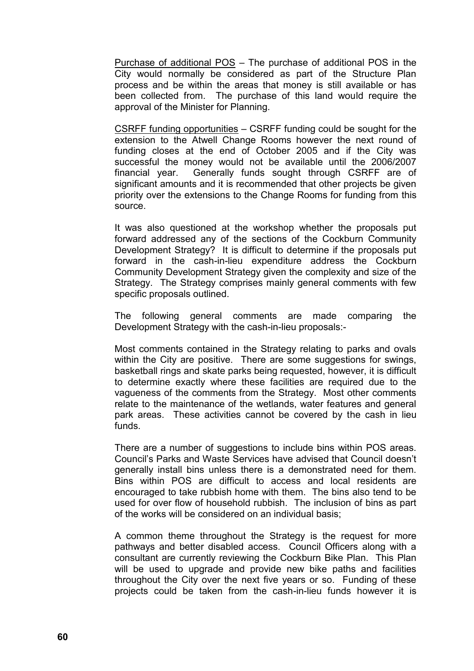Purchase of additional POS – The purchase of additional POS in the City would normally be considered as part of the Structure Plan process and be within the areas that money is still available or has been collected from. The purchase of this land would require the approval of the Minister for Planning.

CSRFF funding opportunities – CSRFF funding could be sought for the extension to the Atwell Change Rooms however the next round of funding closes at the end of October 2005 and if the City was successful the money would not be available until the 2006/2007 financial year. Generally funds sought through CSRFF are of significant amounts and it is recommended that other projects be given priority over the extensions to the Change Rooms for funding from this source.

It was also questioned at the workshop whether the proposals put forward addressed any of the sections of the Cockburn Community Development Strategy? It is difficult to determine if the proposals put forward in the cash-in-lieu expenditure address the Cockburn Community Development Strategy given the complexity and size of the Strategy. The Strategy comprises mainly general comments with few specific proposals outlined.

The following general comments are made comparing the Development Strategy with the cash-in-lieu proposals:-

Most comments contained in the Strategy relating to parks and ovals within the City are positive. There are some suggestions for swings, basketball rings and skate parks being requested, however, it is difficult to determine exactly where these facilities are required due to the vagueness of the comments from the Strategy. Most other comments relate to the maintenance of the wetlands, water features and general park areas. These activities cannot be covered by the cash in lieu funds.

There are a number of suggestions to include bins within POS areas. Council"s Parks and Waste Services have advised that Council doesn"t generally install bins unless there is a demonstrated need for them. Bins within POS are difficult to access and local residents are encouraged to take rubbish home with them. The bins also tend to be used for over flow of household rubbish. The inclusion of bins as part of the works will be considered on an individual basis;

A common theme throughout the Strategy is the request for more pathways and better disabled access. Council Officers along with a consultant are currently reviewing the Cockburn Bike Plan. This Plan will be used to upgrade and provide new bike paths and facilities throughout the City over the next five years or so. Funding of these projects could be taken from the cash-in-lieu funds however it is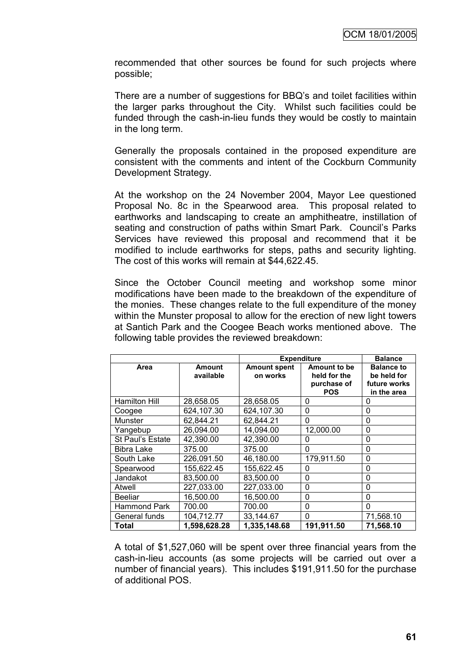recommended that other sources be found for such projects where possible;

There are a number of suggestions for BBQ"s and toilet facilities within the larger parks throughout the City. Whilst such facilities could be funded through the cash-in-lieu funds they would be costly to maintain in the long term.

Generally the proposals contained in the proposed expenditure are consistent with the comments and intent of the Cockburn Community Development Strategy.

At the workshop on the 24 November 2004, Mayor Lee questioned Proposal No. 8c in the Spearwood area. This proposal related to earthworks and landscaping to create an amphitheatre, instillation of seating and construction of paths within Smart Park. Council's Parks Services have reviewed this proposal and recommend that it be modified to include earthworks for steps, paths and security lighting. The cost of this works will remain at \$44,622.45.

Since the October Council meeting and workshop some minor modifications have been made to the breakdown of the expenditure of the monies. These changes relate to the full expenditure of the money within the Munster proposal to allow for the erection of new light towers at Santich Park and the Coogee Beach works mentioned above. The following table provides the reviewed breakdown:

|                      |                            |                                 | <b>Expenditure</b>                                        | <b>Balance</b>                                                  |
|----------------------|----------------------------|---------------------------------|-----------------------------------------------------------|-----------------------------------------------------------------|
| Area                 | <b>Amount</b><br>available | <b>Amount spent</b><br>on works | Amount to be<br>held for the<br>purchase of<br><b>POS</b> | <b>Balance to</b><br>be held for<br>future works<br>in the area |
| <b>Hamilton Hill</b> | 28,658.05                  | 28,658.05                       | 0                                                         | O                                                               |
| Coogee               | 624,107.30                 | 624,107.30                      | 0                                                         | 0                                                               |
| Munster              | 62,844.21                  | 62,844.21                       | 0                                                         | 0                                                               |
| Yangebup             | 26,094.00                  | 14,094.00                       | 12,000.00                                                 | 0                                                               |
| St Paul's Estate     | 42,390.00                  | 42,390.00                       | 0                                                         | 0                                                               |
| <b>Bibra Lake</b>    | 375.00                     | 375.00                          | 0                                                         | 0                                                               |
| South Lake           | 226,091.50                 | 46,180.00                       | 179,911.50                                                | 0                                                               |
| Spearwood            | 155,622.45                 | 155,622.45                      | 0                                                         | 0                                                               |
| Jandakot             | 83,500.00                  | 83,500.00                       | 0                                                         | 0                                                               |
| Atwell               | 227,033.00                 | 227,033.00                      | 0                                                         | 0                                                               |
| <b>Beeliar</b>       | 16,500.00                  | 16,500.00                       | 0                                                         | 0                                                               |
| Hammond Park         | 700.00                     | 700.00                          | 0                                                         | 0                                                               |
| General funds        | 104,712.77                 | 33,144.67                       | 0                                                         | 71,568.10                                                       |
| Total                | 1,598,628.28               | 1,335,148.68                    | 191,911.50                                                | 71,568.10                                                       |

A total of \$1,527,060 will be spent over three financial years from the cash-in-lieu accounts (as some projects will be carried out over a number of financial years). This includes \$191,911.50 for the purchase of additional POS.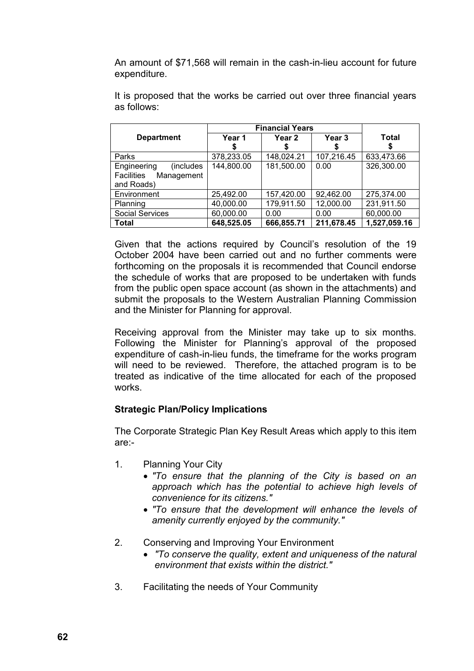An amount of \$71,568 will remain in the cash-in-lieu account for future expenditure.

|                                                                     | <b>Financial Years</b> |                   |            |              |
|---------------------------------------------------------------------|------------------------|-------------------|------------|--------------|
| <b>Department</b>                                                   | Year 1                 | Year <sub>2</sub> | Year 3     | Total        |
| Parks                                                               | 378,233.05             | 148,024.21        | 107,216.45 | 633,473.66   |
| (includes)<br>Engineering<br>Facilities<br>Management<br>and Roads) | 144,800.00             | 181,500.00        | 0.00       | 326,300.00   |
| Environment                                                         | 25,492.00              | 157,420.00        | 92,462.00  | 275,374.00   |
| Planning                                                            | 40,000.00              | 179,911.50        | 12,000.00  | 231,911.50   |
| <b>Social Services</b>                                              | 60,000.00              | 0.00              | 0.00       | 60,000.00    |
| Total                                                               | 648,525.05             | 666,855.71        | 211,678.45 | 1,527,059.16 |

It is proposed that the works be carried out over three financial years as follows:

Given that the actions required by Council"s resolution of the 19 October 2004 have been carried out and no further comments were forthcoming on the proposals it is recommended that Council endorse the schedule of works that are proposed to be undertaken with funds from the public open space account (as shown in the attachments) and submit the proposals to the Western Australian Planning Commission and the Minister for Planning for approval.

Receiving approval from the Minister may take up to six months. Following the Minister for Planning's approval of the proposed expenditure of cash-in-lieu funds, the timeframe for the works program will need to be reviewed. Therefore, the attached program is to be treated as indicative of the time allocated for each of the proposed works.

# **Strategic Plan/Policy Implications**

The Corporate Strategic Plan Key Result Areas which apply to this item are:-

- 1. Planning Your City
	- *"To ensure that the planning of the City is based on an approach which has the potential to achieve high levels of convenience for its citizens."*
	- *"To ensure that the development will enhance the levels of amenity currently enjoyed by the community."*
- 2. Conserving and Improving Your Environment
	- *"To conserve the quality, extent and uniqueness of the natural environment that exists within the district."*
- 3. Facilitating the needs of Your Community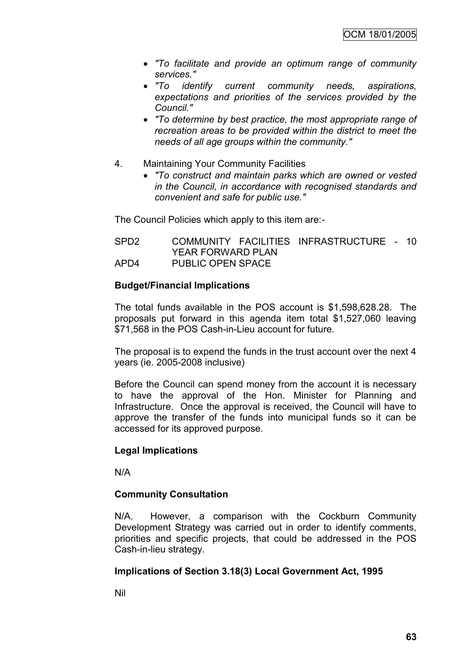- *"To facilitate and provide an optimum range of community services."*
- *"To identify current community needs, aspirations, expectations and priorities of the services provided by the Council."*
- *"To determine by best practice, the most appropriate range of recreation areas to be provided within the district to meet the needs of all age groups within the community."*
- 4. Maintaining Your Community Facilities
	- *"To construct and maintain parks which are owned or vested in the Council, in accordance with recognised standards and convenient and safe for public use."*

The Council Policies which apply to this item are:-

| SPD2 |                          | COMMUNITY FACILITIES INFRASTRUCTURE - 10 |  |
|------|--------------------------|------------------------------------------|--|
|      | <b>YEAR FORWARD PLAN</b> |                                          |  |
| APD4 | <b>PUBLIC OPEN SPACE</b> |                                          |  |

### **Budget/Financial Implications**

The total funds available in the POS account is \$1,598,628.28. The proposals put forward in this agenda item total \$1,527,060 leaving \$71,568 in the POS Cash-in-Lieu account for future.

The proposal is to expend the funds in the trust account over the next 4 years (ie. 2005-2008 inclusive)

Before the Council can spend money from the account it is necessary to have the approval of the Hon. Minister for Planning and Infrastructure. Once the approval is received, the Council will have to approve the transfer of the funds into municipal funds so it can be accessed for its approved purpose.

### **Legal Implications**

N/A

### **Community Consultation**

N/A. However, a comparison with the Cockburn Community Development Strategy was carried out in order to identify comments, priorities and specific projects, that could be addressed in the POS Cash-in-lieu strategy.

### **Implications of Section 3.18(3) Local Government Act, 1995**

Nil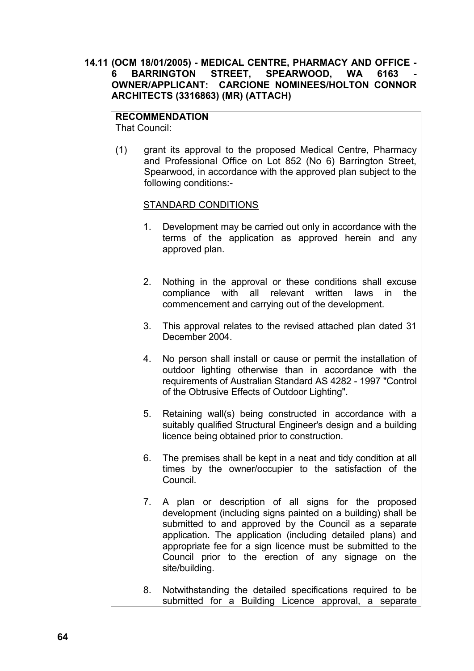### **14.11 (OCM 18/01/2005) - MEDICAL CENTRE, PHARMACY AND OFFICE - 6 BARRINGTON STREET, SPEARWOOD, WA 6163 OWNER/APPLICANT: CARCIONE NOMINEES/HOLTON CONNOR ARCHITECTS (3316863) (MR) (ATTACH)**

# **RECOMMENDATION**

That Council:

(1) grant its approval to the proposed Medical Centre, Pharmacy and Professional Office on Lot 852 (No 6) Barrington Street, Spearwood, in accordance with the approved plan subject to the following conditions:-

### STANDARD CONDITIONS

- 1. Development may be carried out only in accordance with the terms of the application as approved herein and any approved plan.
- 2. Nothing in the approval or these conditions shall excuse compliance with all relevant written laws in the commencement and carrying out of the development.
- 3. This approval relates to the revised attached plan dated 31 December 2004.
- 4. No person shall install or cause or permit the installation of outdoor lighting otherwise than in accordance with the requirements of Australian Standard AS 4282 - 1997 "Control of the Obtrusive Effects of Outdoor Lighting".
- 5. Retaining wall(s) being constructed in accordance with a suitably qualified Structural Engineer's design and a building licence being obtained prior to construction.
- 6. The premises shall be kept in a neat and tidy condition at all times by the owner/occupier to the satisfaction of the Council.
- 7. A plan or description of all signs for the proposed development (including signs painted on a building) shall be submitted to and approved by the Council as a separate application. The application (including detailed plans) and appropriate fee for a sign licence must be submitted to the Council prior to the erection of any signage on the site/building.
- 8. Notwithstanding the detailed specifications required to be submitted for a Building Licence approval, a separate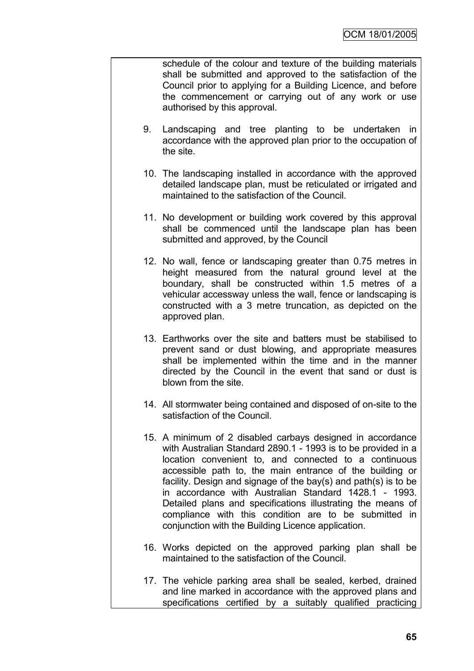schedule of the colour and texture of the building materials shall be submitted and approved to the satisfaction of the Council prior to applying for a Building Licence, and before the commencement or carrying out of any work or use authorised by this approval.

- 9. Landscaping and tree planting to be undertaken in accordance with the approved plan prior to the occupation of the site.
- 10. The landscaping installed in accordance with the approved detailed landscape plan, must be reticulated or irrigated and maintained to the satisfaction of the Council.
- 11. No development or building work covered by this approval shall be commenced until the landscape plan has been submitted and approved, by the Council
- 12. No wall, fence or landscaping greater than 0.75 metres in height measured from the natural ground level at the boundary, shall be constructed within 1.5 metres of a vehicular accessway unless the wall, fence or landscaping is constructed with a 3 metre truncation, as depicted on the approved plan.
- 13. Earthworks over the site and batters must be stabilised to prevent sand or dust blowing, and appropriate measures shall be implemented within the time and in the manner directed by the Council in the event that sand or dust is blown from the site.
- 14. All stormwater being contained and disposed of on-site to the satisfaction of the Council.
- 15. A minimum of 2 disabled carbays designed in accordance with Australian Standard 2890.1 - 1993 is to be provided in a location convenient to, and connected to a continuous accessible path to, the main entrance of the building or facility. Design and signage of the bay(s) and path(s) is to be in accordance with Australian Standard 1428.1 - 1993. Detailed plans and specifications illustrating the means of compliance with this condition are to be submitted in conjunction with the Building Licence application.
- 16. Works depicted on the approved parking plan shall be maintained to the satisfaction of the Council.
- 17. The vehicle parking area shall be sealed, kerbed, drained and line marked in accordance with the approved plans and specifications certified by a suitably qualified practicing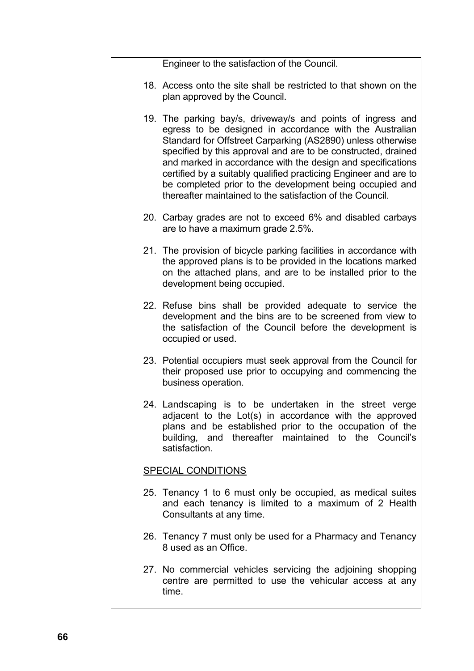Engineer to the satisfaction of the Council.

- 18. Access onto the site shall be restricted to that shown on the plan approved by the Council.
- 19. The parking bay/s, driveway/s and points of ingress and egress to be designed in accordance with the Australian Standard for Offstreet Carparking (AS2890) unless otherwise specified by this approval and are to be constructed, drained and marked in accordance with the design and specifications certified by a suitably qualified practicing Engineer and are to be completed prior to the development being occupied and thereafter maintained to the satisfaction of the Council.
- 20. Carbay grades are not to exceed 6% and disabled carbays are to have a maximum grade 2.5%.
- 21. The provision of bicycle parking facilities in accordance with the approved plans is to be provided in the locations marked on the attached plans, and are to be installed prior to the development being occupied.
- 22. Refuse bins shall be provided adequate to service the development and the bins are to be screened from view to the satisfaction of the Council before the development is occupied or used.
- 23. Potential occupiers must seek approval from the Council for their proposed use prior to occupying and commencing the business operation.
- 24. Landscaping is to be undertaken in the street verge adjacent to the Lot(s) in accordance with the approved plans and be established prior to the occupation of the building, and thereafter maintained to the Council"s satisfaction.

# SPECIAL CONDITIONS

- 25. Tenancy 1 to 6 must only be occupied, as medical suites and each tenancy is limited to a maximum of 2 Health Consultants at any time.
- 26. Tenancy 7 must only be used for a Pharmacy and Tenancy 8 used as an Office.
- 27. No commercial vehicles servicing the adjoining shopping centre are permitted to use the vehicular access at any time.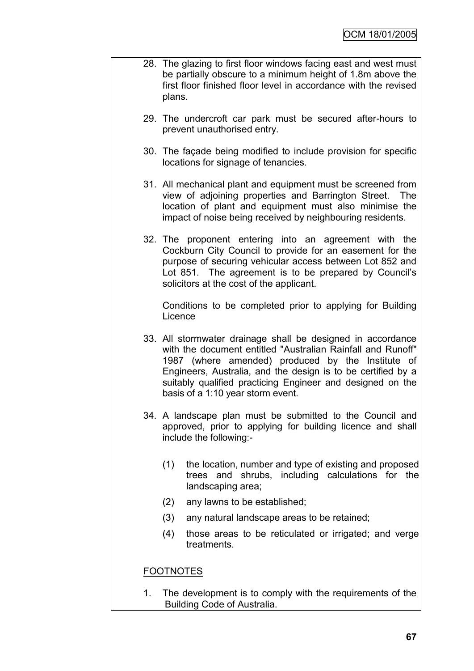- 28. The glazing to first floor windows facing east and west must be partially obscure to a minimum height of 1.8m above the first floor finished floor level in accordance with the revised plans.
	- 29. The undercroft car park must be secured after-hours to prevent unauthorised entry.
	- 30. The façade being modified to include provision for specific locations for signage of tenancies.
	- 31. All mechanical plant and equipment must be screened from view of adjoining properties and Barrington Street. The location of plant and equipment must also minimise the impact of noise being received by neighbouring residents.
	- 32. The proponent entering into an agreement with the Cockburn City Council to provide for an easement for the purpose of securing vehicular access between Lot 852 and Lot 851. The agreement is to be prepared by Council's solicitors at the cost of the applicant.

Conditions to be completed prior to applying for Building **Licence** 

- 33. All stormwater drainage shall be designed in accordance with the document entitled "Australian Rainfall and Runoff" 1987 (where amended) produced by the Institute of Engineers, Australia, and the design is to be certified by a suitably qualified practicing Engineer and designed on the basis of a 1:10 year storm event.
- 34. A landscape plan must be submitted to the Council and approved, prior to applying for building licence and shall include the following:-
	- (1) the location, number and type of existing and proposed trees and shrubs, including calculations for the landscaping area;
	- (2) any lawns to be established;
	- (3) any natural landscape areas to be retained;
	- (4) those areas to be reticulated or irrigated; and verge treatments.

# FOOTNOTES

1. The development is to comply with the requirements of the Building Code of Australia.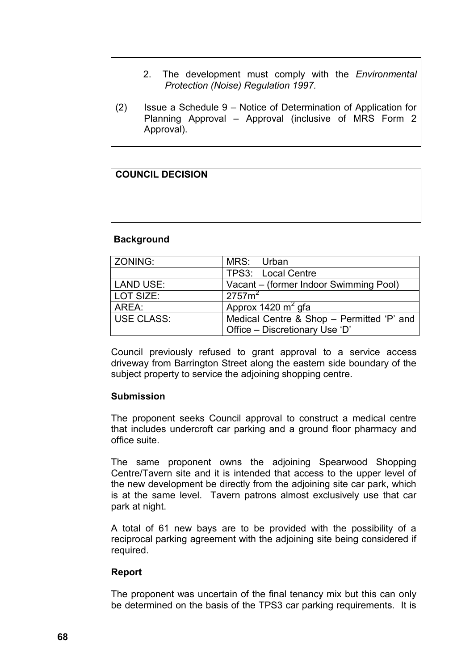- 2. The development must comply with the *Environmental Protection (Noise) Regulation 1997.*
- (2) Issue a Schedule 9 Notice of Determination of Application for Planning Approval – Approval (inclusive of MRS Form 2 Approval).

| <b>COUNCIL DECISION</b> |  |  |
|-------------------------|--|--|
|                         |  |  |
|                         |  |  |

### **Background**

| <b>ZONING:</b>    | MRS: Urban                                |                                        |
|-------------------|-------------------------------------------|----------------------------------------|
|                   |                                           | TPS3:   Local Centre                   |
| <b>LAND USE:</b>  |                                           | Vacant – (former Indoor Swimming Pool) |
| LOT SIZE:         | $\overline{275}$ 7m <sup>2</sup>          |                                        |
| AREA:             | Approx 1420 $m^2$ gfa                     |                                        |
| <b>USE CLASS:</b> | Medical Centre & Shop - Permitted 'P' and |                                        |
|                   |                                           | Office - Discretionary Use 'D'         |

Council previously refused to grant approval to a service access driveway from Barrington Street along the eastern side boundary of the subject property to service the adjoining shopping centre.

### **Submission**

The proponent seeks Council approval to construct a medical centre that includes undercroft car parking and a ground floor pharmacy and office suite.

The same proponent owns the adjoining Spearwood Shopping Centre/Tavern site and it is intended that access to the upper level of the new development be directly from the adjoining site car park, which is at the same level. Tavern patrons almost exclusively use that car park at night.

A total of 61 new bays are to be provided with the possibility of a reciprocal parking agreement with the adjoining site being considered if required.

### **Report**

The proponent was uncertain of the final tenancy mix but this can only be determined on the basis of the TPS3 car parking requirements. It is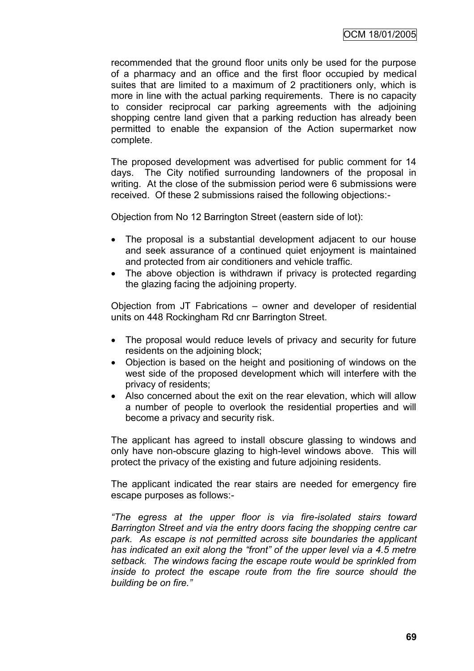recommended that the ground floor units only be used for the purpose of a pharmacy and an office and the first floor occupied by medical suites that are limited to a maximum of 2 practitioners only, which is more in line with the actual parking requirements. There is no capacity to consider reciprocal car parking agreements with the adjoining shopping centre land given that a parking reduction has already been permitted to enable the expansion of the Action supermarket now complete.

The proposed development was advertised for public comment for 14 days. The City notified surrounding landowners of the proposal in writing. At the close of the submission period were 6 submissions were received. Of these 2 submissions raised the following objections:-

Objection from No 12 Barrington Street (eastern side of lot):

- The proposal is a substantial development adjacent to our house and seek assurance of a continued quiet enjoyment is maintained and protected from air conditioners and vehicle traffic.
- The above objection is withdrawn if privacy is protected regarding the glazing facing the adjoining property.

Objection from JT Fabrications – owner and developer of residential units on 448 Rockingham Rd cnr Barrington Street.

- The proposal would reduce levels of privacy and security for future residents on the adjoining block;
- Objection is based on the height and positioning of windows on the west side of the proposed development which will interfere with the privacy of residents;
- Also concerned about the exit on the rear elevation, which will allow a number of people to overlook the residential properties and will become a privacy and security risk.

The applicant has agreed to install obscure glassing to windows and only have non-obscure glazing to high-level windows above. This will protect the privacy of the existing and future adjoining residents.

The applicant indicated the rear stairs are needed for emergency fire escape purposes as follows:-

*"The egress at the upper floor is via fire-isolated stairs toward Barrington Street and via the entry doors facing the shopping centre car park. As escape is not permitted across site boundaries the applicant has indicated an exit along the "front" of the upper level via a 4.5 metre setback. The windows facing the escape route would be sprinkled from inside to protect the escape route from the fire source should the building be on fire."*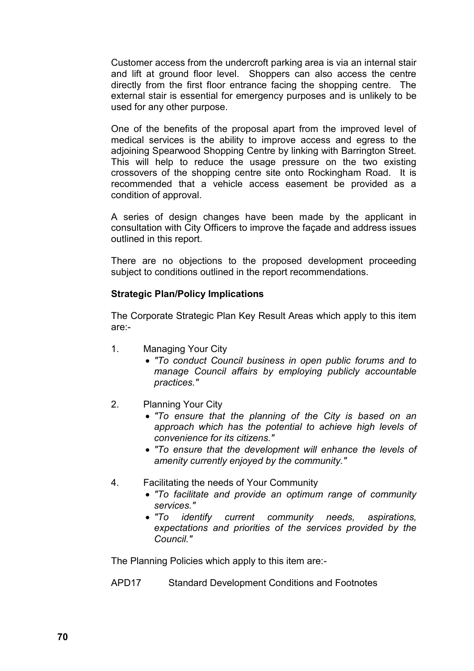Customer access from the undercroft parking area is via an internal stair and lift at ground floor level. Shoppers can also access the centre directly from the first floor entrance facing the shopping centre. The external stair is essential for emergency purposes and is unlikely to be used for any other purpose.

One of the benefits of the proposal apart from the improved level of medical services is the ability to improve access and egress to the adjoining Spearwood Shopping Centre by linking with Barrington Street. This will help to reduce the usage pressure on the two existing crossovers of the shopping centre site onto Rockingham Road. It is recommended that a vehicle access easement be provided as a condition of approval.

A series of design changes have been made by the applicant in consultation with City Officers to improve the façade and address issues outlined in this report.

There are no objections to the proposed development proceeding subject to conditions outlined in the report recommendations.

# **Strategic Plan/Policy Implications**

The Corporate Strategic Plan Key Result Areas which apply to this item are:-

- 1. Managing Your City
	- *"To conduct Council business in open public forums and to manage Council affairs by employing publicly accountable practices."*
- 2. Planning Your City
	- *"To ensure that the planning of the City is based on an approach which has the potential to achieve high levels of convenience for its citizens."*
	- *"To ensure that the development will enhance the levels of amenity currently enjoyed by the community."*
- 4. Facilitating the needs of Your Community
	- *"To facilitate and provide an optimum range of community services."*
	- *"To identify current community needs, aspirations, expectations and priorities of the services provided by the Council."*

The Planning Policies which apply to this item are:-

APD17 Standard Development Conditions and Footnotes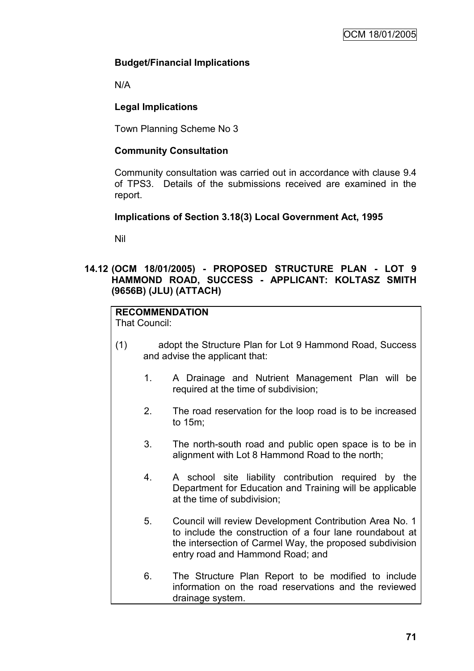# **Budget/Financial Implications**

N/A

# **Legal Implications**

Town Planning Scheme No 3

# **Community Consultation**

Community consultation was carried out in accordance with clause 9.4 of TPS3. Details of the submissions received are examined in the report.

# **Implications of Section 3.18(3) Local Government Act, 1995**

Nil

# **14.12 (OCM 18/01/2005) - PROPOSED STRUCTURE PLAN - LOT 9 HAMMOND ROAD, SUCCESS - APPLICANT: KOLTASZ SMITH (9656B) (JLU) (ATTACH)**

# **RECOMMENDATION**

That Council:

- (1) adopt the Structure Plan for Lot 9 Hammond Road, Success and advise the applicant that:
	- 1. A Drainage and Nutrient Management Plan will be required at the time of subdivision;
	- 2. The road reservation for the loop road is to be increased to 15m;
	- 3. The north-south road and public open space is to be in alignment with Lot 8 Hammond Road to the north;
	- 4. A school site liability contribution required by the Department for Education and Training will be applicable at the time of subdivision;
	- 5. Council will review Development Contribution Area No. 1 to include the construction of a four lane roundabout at the intersection of Carmel Way, the proposed subdivision entry road and Hammond Road; and
	- 6. The Structure Plan Report to be modified to include information on the road reservations and the reviewed drainage system.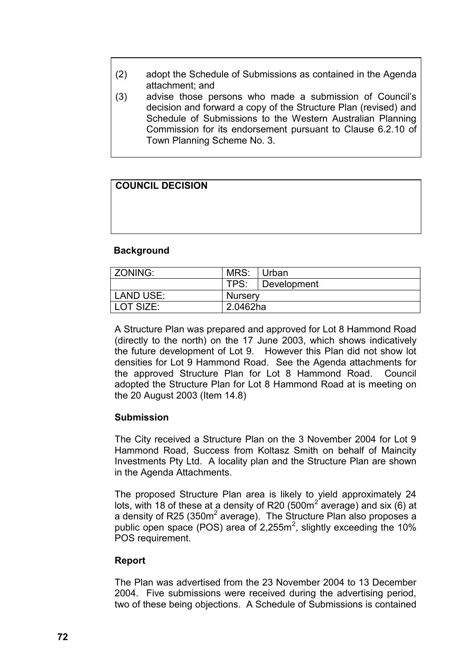- (2) adopt the Schedule of Submissions as contained in the Agenda attachment; and
- (3) advise those persons who made a submission of Council"s decision and forward a copy of the Structure Plan (revised) and Schedule of Submissions to the Western Australian Planning Commission for its endorsement pursuant to Clause 6.2.10 of Town Planning Scheme No. 3.

# **COUNCIL DECISION**

#### **Background**

| ZONING:   | MRS:           | Urban       |
|-----------|----------------|-------------|
|           | TPS:           | Development |
| LAND USE: | <b>Nursery</b> |             |
| LOT SIZE: | 2.0462ha       |             |

A Structure Plan was prepared and approved for Lot 8 Hammond Road (directly to the north) on the 17 June 2003, which shows indicatively the future development of Lot 9. However this Plan did not show lot densities for Lot 9 Hammond Road. See the Agenda attachments for the approved Structure Plan for Lot 8 Hammond Road. Council adopted the Structure Plan for Lot 8 Hammond Road at is meeting on the 20 August 2003 (Item 14.8)

## **Submission**

The City received a Structure Plan on the 3 November 2004 for Lot 9 Hammond Road, Success from Koltasz Smith on behalf of Maincity Investments Pty Ltd. A locality plan and the Structure Plan are shown in the Agenda Attachments.

The proposed Structure Plan area is likely to yield approximately 24 lots, with 18 of these at a density of R20 (500 $m^2$  average) and six (6) at a density of R25 (350 $m^2$  average). The Structure Plan also proposes a public open space (POS) area of 2,255 $m^2$ , slightly exceeding the 10% POS requirement.

#### **Report**

The Plan was advertised from the 23 November 2004 to 13 December 2004. Five submissions were received during the advertising period, two of these being objections. A Schedule of Submissions is contained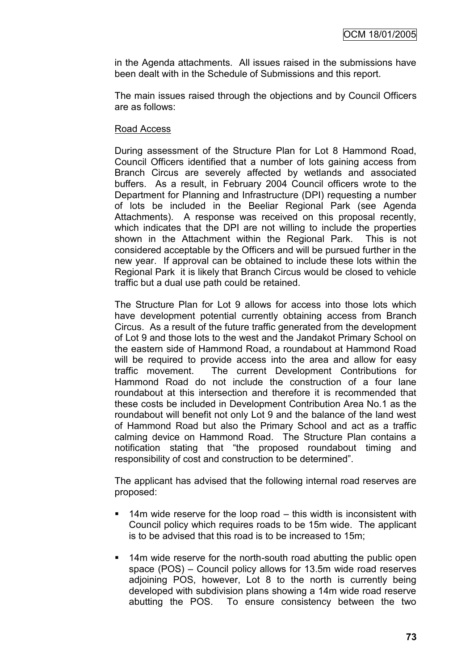in the Agenda attachments. All issues raised in the submissions have been dealt with in the Schedule of Submissions and this report.

The main issues raised through the objections and by Council Officers are as follows:

#### Road Access

During assessment of the Structure Plan for Lot 8 Hammond Road, Council Officers identified that a number of lots gaining access from Branch Circus are severely affected by wetlands and associated buffers. As a result, in February 2004 Council officers wrote to the Department for Planning and Infrastructure (DPI) requesting a number of lots be included in the Beeliar Regional Park (see Agenda Attachments). A response was received on this proposal recently, which indicates that the DPI are not willing to include the properties shown in the Attachment within the Regional Park. This is not considered acceptable by the Officers and will be pursued further in the new year. If approval can be obtained to include these lots within the Regional Park it is likely that Branch Circus would be closed to vehicle traffic but a dual use path could be retained.

The Structure Plan for Lot 9 allows for access into those lots which have development potential currently obtaining access from Branch Circus. As a result of the future traffic generated from the development of Lot 9 and those lots to the west and the Jandakot Primary School on the eastern side of Hammond Road, a roundabout at Hammond Road will be required to provide access into the area and allow for easy traffic movement. The current Development Contributions for Hammond Road do not include the construction of a four lane roundabout at this intersection and therefore it is recommended that these costs be included in Development Contribution Area No.1 as the roundabout will benefit not only Lot 9 and the balance of the land west of Hammond Road but also the Primary School and act as a traffic calming device on Hammond Road. The Structure Plan contains a notification stating that "the proposed roundabout timing and responsibility of cost and construction to be determined".

The applicant has advised that the following internal road reserves are proposed:

- $\blacksquare$  14m wide reserve for the loop road this width is inconsistent with Council policy which requires roads to be 15m wide. The applicant is to be advised that this road is to be increased to 15m;
- **14m wide reserve for the north-south road abutting the public open** space (POS) – Council policy allows for 13.5m wide road reserves adjoining POS, however, Lot 8 to the north is currently being developed with subdivision plans showing a 14m wide road reserve abutting the POS. To ensure consistency between the two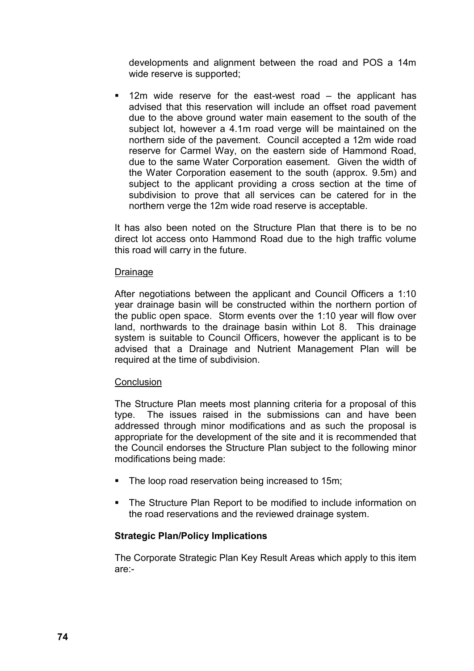developments and alignment between the road and POS a 14m wide reserve is supported;

 12m wide reserve for the east-west road – the applicant has advised that this reservation will include an offset road pavement due to the above ground water main easement to the south of the subject lot, however a 4.1m road verge will be maintained on the northern side of the pavement. Council accepted a 12m wide road reserve for Carmel Way, on the eastern side of Hammond Road, due to the same Water Corporation easement. Given the width of the Water Corporation easement to the south (approx. 9.5m) and subject to the applicant providing a cross section at the time of subdivision to prove that all services can be catered for in the northern verge the 12m wide road reserve is acceptable.

It has also been noted on the Structure Plan that there is to be no direct lot access onto Hammond Road due to the high traffic volume this road will carry in the future.

#### Drainage

After negotiations between the applicant and Council Officers a 1:10 year drainage basin will be constructed within the northern portion of the public open space. Storm events over the 1:10 year will flow over land, northwards to the drainage basin within Lot 8. This drainage system is suitable to Council Officers, however the applicant is to be advised that a Drainage and Nutrient Management Plan will be required at the time of subdivision.

## **Conclusion**

The Structure Plan meets most planning criteria for a proposal of this type. The issues raised in the submissions can and have been addressed through minor modifications and as such the proposal is appropriate for the development of the site and it is recommended that the Council endorses the Structure Plan subject to the following minor modifications being made:

- The loop road reservation being increased to 15m:
- The Structure Plan Report to be modified to include information on the road reservations and the reviewed drainage system.

## **Strategic Plan/Policy Implications**

The Corporate Strategic Plan Key Result Areas which apply to this item are:-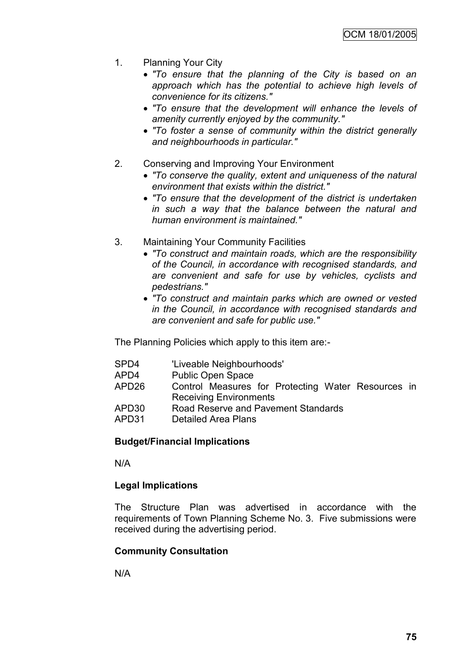- 1. Planning Your City
	- *"To ensure that the planning of the City is based on an approach which has the potential to achieve high levels of convenience for its citizens."*
	- *"To ensure that the development will enhance the levels of amenity currently enjoyed by the community."*
	- *"To foster a sense of community within the district generally and neighbourhoods in particular."*
- 2. Conserving and Improving Your Environment
	- *"To conserve the quality, extent and uniqueness of the natural environment that exists within the district."*
	- *"To ensure that the development of the district is undertaken in such a way that the balance between the natural and human environment is maintained."*
- 3. Maintaining Your Community Facilities
	- *"To construct and maintain roads, which are the responsibility of the Council, in accordance with recognised standards, and are convenient and safe for use by vehicles, cyclists and pedestrians."*
	- *"To construct and maintain parks which are owned or vested in the Council, in accordance with recognised standards and are convenient and safe for public use."*

The Planning Policies which apply to this item are:-

- SPD4 'Liveable Neighbourhoods'
- APD4 Public Open Space
- APD26 Control Measures for Protecting Water Resources in Receiving Environments
- APD30 Road Reserve and Pavement Standards
- APD31 Detailed Area Plans

## **Budget/Financial Implications**

N/A

## **Legal Implications**

The Structure Plan was advertised in accordance with the requirements of Town Planning Scheme No. 3. Five submissions were received during the advertising period.

## **Community Consultation**

N/A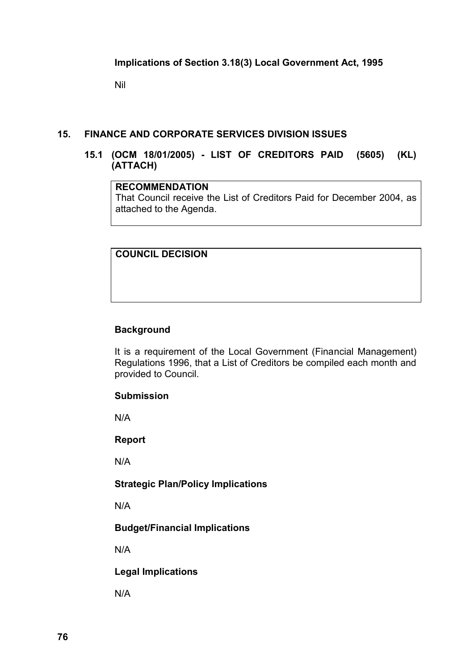Nil

## **15. FINANCE AND CORPORATE SERVICES DIVISION ISSUES**

# **15.1 (OCM 18/01/2005) - LIST OF CREDITORS PAID (5605) (KL) (ATTACH)**

#### **RECOMMENDATION**

That Council receive the List of Creditors Paid for December 2004, as attached to the Agenda.

## **COUNCIL DECISION**

#### **Background**

It is a requirement of the Local Government (Financial Management) Regulations 1996, that a List of Creditors be compiled each month and provided to Council.

#### **Submission**

N/A

**Report**

N/A

#### **Strategic Plan/Policy Implications**

N/A

# **Budget/Financial Implications**

N/A

## **Legal Implications**

N/A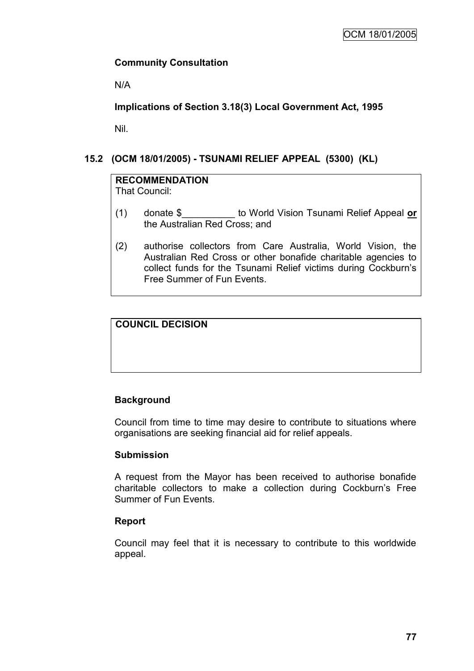# **Community Consultation**

N/A

**Implications of Section 3.18(3) Local Government Act, 1995**

Nil.

# **15.2 (OCM 18/01/2005) - TSUNAMI RELIEF APPEAL (5300) (KL)**

# **RECOMMENDATION**

That Council:

- (1) donate \$\_\_\_\_\_\_\_\_\_\_ to World Vision Tsunami Relief Appeal **or** the Australian Red Cross; and
- (2) authorise collectors from Care Australia, World Vision, the Australian Red Cross or other bonafide charitable agencies to collect funds for the Tsunami Relief victims during Cockburn"s Free Summer of Fun Events.

# **COUNCIL DECISION**

# **Background**

Council from time to time may desire to contribute to situations where organisations are seeking financial aid for relief appeals.

## **Submission**

A request from the Mayor has been received to authorise bonafide charitable collectors to make a collection during Cockburn"s Free Summer of Fun Events.

## **Report**

Council may feel that it is necessary to contribute to this worldwide appeal.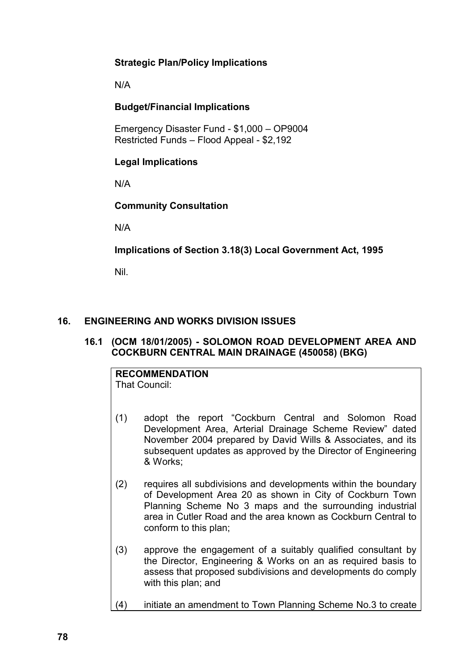# **Strategic Plan/Policy Implications**

N/A

# **Budget/Financial Implications**

Emergency Disaster Fund - \$1,000 – OP9004 Restricted Funds – Flood Appeal - \$2,192

# **Legal Implications**

N/A

# **Community Consultation**

N/A

**Implications of Section 3.18(3) Local Government Act, 1995**

Nil.

# **16. ENGINEERING AND WORKS DIVISION ISSUES**

# **16.1 (OCM 18/01/2005) - SOLOMON ROAD DEVELOPMENT AREA AND COCKBURN CENTRAL MAIN DRAINAGE (450058) (BKG)**

# **RECOMMENDATION**

That Council:

- (1) adopt the report "Cockburn Central and Solomon Road Development Area, Arterial Drainage Scheme Review" dated November 2004 prepared by David Wills & Associates, and its subsequent updates as approved by the Director of Engineering & Works;
- (2) requires all subdivisions and developments within the boundary of Development Area 20 as shown in City of Cockburn Town Planning Scheme No 3 maps and the surrounding industrial area in Cutler Road and the area known as Cockburn Central to conform to this plan;
- (3) approve the engagement of a suitably qualified consultant by the Director, Engineering & Works on an as required basis to assess that proposed subdivisions and developments do comply with this plan; and
- (4) initiate an amendment to Town Planning Scheme No.3 to create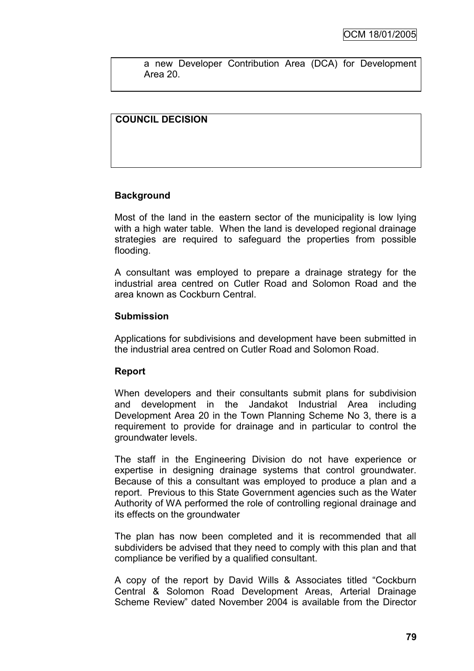a new Developer Contribution Area (DCA) for Development Area 20.

# **COUNCIL DECISION**

# **Background**

Most of the land in the eastern sector of the municipality is low lying with a high water table. When the land is developed regional drainage strategies are required to safeguard the properties from possible flooding.

A consultant was employed to prepare a drainage strategy for the industrial area centred on Cutler Road and Solomon Road and the area known as Cockburn Central.

#### **Submission**

Applications for subdivisions and development have been submitted in the industrial area centred on Cutler Road and Solomon Road.

## **Report**

When developers and their consultants submit plans for subdivision and development in the Jandakot Industrial Area including Development Area 20 in the Town Planning Scheme No 3, there is a requirement to provide for drainage and in particular to control the groundwater levels.

The staff in the Engineering Division do not have experience or expertise in designing drainage systems that control groundwater. Because of this a consultant was employed to produce a plan and a report. Previous to this State Government agencies such as the Water Authority of WA performed the role of controlling regional drainage and its effects on the groundwater

The plan has now been completed and it is recommended that all subdividers be advised that they need to comply with this plan and that compliance be verified by a qualified consultant.

A copy of the report by David Wills & Associates titled "Cockburn Central & Solomon Road Development Areas, Arterial Drainage Scheme Review" dated November 2004 is available from the Director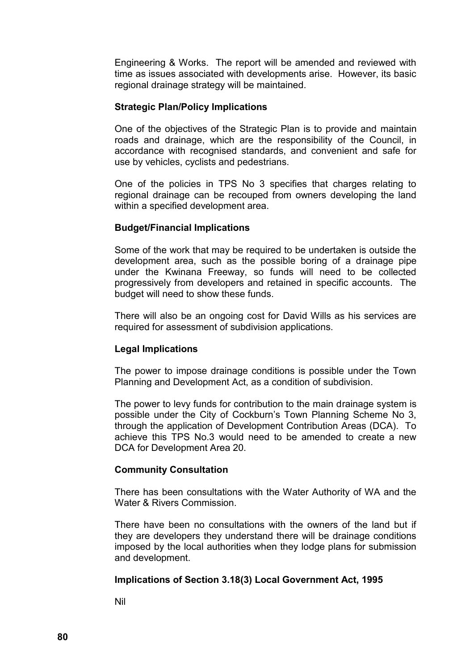Engineering & Works. The report will be amended and reviewed with time as issues associated with developments arise. However, its basic regional drainage strategy will be maintained.

#### **Strategic Plan/Policy Implications**

One of the objectives of the Strategic Plan is to provide and maintain roads and drainage, which are the responsibility of the Council, in accordance with recognised standards, and convenient and safe for use by vehicles, cyclists and pedestrians*.*

One of the policies in TPS No 3 specifies that charges relating to regional drainage can be recouped from owners developing the land within a specified development area.

#### **Budget/Financial Implications**

Some of the work that may be required to be undertaken is outside the development area, such as the possible boring of a drainage pipe under the Kwinana Freeway, so funds will need to be collected progressively from developers and retained in specific accounts. The budget will need to show these funds.

There will also be an ongoing cost for David Wills as his services are required for assessment of subdivision applications.

## **Legal Implications**

The power to impose drainage conditions is possible under the Town Planning and Development Act, as a condition of subdivision.

The power to levy funds for contribution to the main drainage system is possible under the City of Cockburn's Town Planning Scheme No 3, through the application of Development Contribution Areas (DCA). To achieve this TPS No.3 would need to be amended to create a new DCA for Development Area 20.

## **Community Consultation**

There has been consultations with the Water Authority of WA and the Water & Rivers Commission

There have been no consultations with the owners of the land but if they are developers they understand there will be drainage conditions imposed by the local authorities when they lodge plans for submission and development.

## **Implications of Section 3.18(3) Local Government Act, 1995**

Nil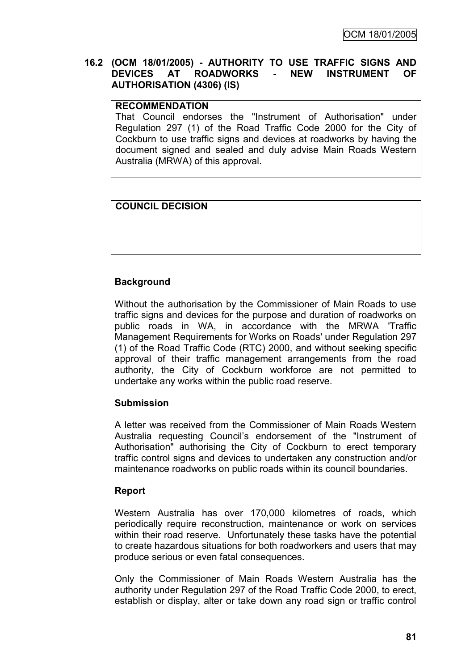# **16.2 (OCM 18/01/2005) - AUTHORITY TO USE TRAFFIC SIGNS AND DEVICES AT ROADWORKS - NEW INSTRUMENT OF AUTHORISATION (4306) (IS)**

## **RECOMMENDATION**

That Council endorses the "Instrument of Authorisation" under Regulation 297 (1) of the Road Traffic Code 2000 for the City of Cockburn to use traffic signs and devices at roadworks by having the document signed and sealed and duly advise Main Roads Western Australia (MRWA) of this approval.

# **COUNCIL DECISION**

# **Background**

Without the authorisation by the Commissioner of Main Roads to use traffic signs and devices for the purpose and duration of roadworks on public roads in WA, in accordance with the MRWA 'Traffic Management Requirements for Works on Roads' under Regulation 297 (1) of the Road Traffic Code (RTC) 2000, and without seeking specific approval of their traffic management arrangements from the road authority, the City of Cockburn workforce are not permitted to undertake any works within the public road reserve.

## **Submission**

A letter was received from the Commissioner of Main Roads Western Australia requesting Council"s endorsement of the "Instrument of Authorisation" authorising the City of Cockburn to erect temporary traffic control signs and devices to undertaken any construction and/or maintenance roadworks on public roads within its council boundaries.

## **Report**

Western Australia has over 170,000 kilometres of roads, which periodically require reconstruction, maintenance or work on services within their road reserve. Unfortunately these tasks have the potential to create hazardous situations for both roadworkers and users that may produce serious or even fatal consequences.

Only the Commissioner of Main Roads Western Australia has the authority under Regulation 297 of the Road Traffic Code 2000, to erect, establish or display, alter or take down any road sign or traffic control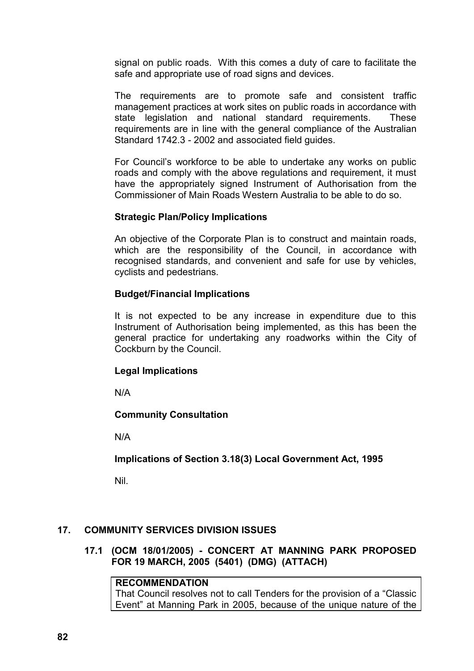signal on public roads. With this comes a duty of care to facilitate the safe and appropriate use of road signs and devices.

The requirements are to promote safe and consistent traffic management practices at work sites on public roads in accordance with state legislation and national standard requirements. These requirements are in line with the general compliance of the Australian Standard 1742.3 - 2002 and associated field guides.

For Council"s workforce to be able to undertake any works on public roads and comply with the above regulations and requirement, it must have the appropriately signed Instrument of Authorisation from the Commissioner of Main Roads Western Australia to be able to do so.

## **Strategic Plan/Policy Implications**

An objective of the Corporate Plan is to construct and maintain roads, which are the responsibility of the Council, in accordance with recognised standards, and convenient and safe for use by vehicles, cyclists and pedestrians.

#### **Budget/Financial Implications**

It is not expected to be any increase in expenditure due to this Instrument of Authorisation being implemented, as this has been the general practice for undertaking any roadworks within the City of Cockburn by the Council.

#### **Legal Implications**

N/A

## **Community Consultation**

N/A

**Implications of Section 3.18(3) Local Government Act, 1995**

Nil.

## **17. COMMUNITY SERVICES DIVISION ISSUES**

**17.1 (OCM 18/01/2005) - CONCERT AT MANNING PARK PROPOSED FOR 19 MARCH, 2005 (5401) (DMG) (ATTACH)**

# **RECOMMENDATION**

That Council resolves not to call Tenders for the provision of a "Classic Event" at Manning Park in 2005, because of the unique nature of the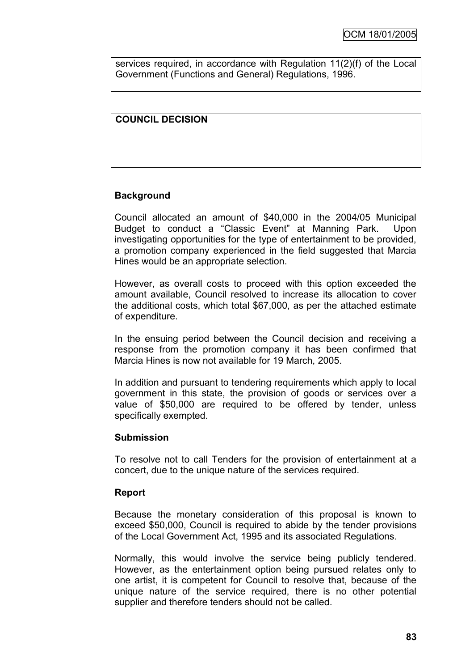services required, in accordance with Regulation 11(2)(f) of the Local Government (Functions and General) Regulations, 1996.

# **COUNCIL DECISION**

# **Background**

Council allocated an amount of \$40,000 in the 2004/05 Municipal Budget to conduct a "Classic Event" at Manning Park. Upon investigating opportunities for the type of entertainment to be provided, a promotion company experienced in the field suggested that Marcia Hines would be an appropriate selection.

However, as overall costs to proceed with this option exceeded the amount available, Council resolved to increase its allocation to cover the additional costs, which total \$67,000, as per the attached estimate of expenditure.

In the ensuing period between the Council decision and receiving a response from the promotion company it has been confirmed that Marcia Hines is now not available for 19 March, 2005.

In addition and pursuant to tendering requirements which apply to local government in this state, the provision of goods or services over a value of \$50,000 are required to be offered by tender, unless specifically exempted.

## **Submission**

To resolve not to call Tenders for the provision of entertainment at a concert, due to the unique nature of the services required.

#### **Report**

Because the monetary consideration of this proposal is known to exceed \$50,000, Council is required to abide by the tender provisions of the Local Government Act, 1995 and its associated Regulations.

Normally, this would involve the service being publicly tendered. However, as the entertainment option being pursued relates only to one artist, it is competent for Council to resolve that, because of the unique nature of the service required, there is no other potential supplier and therefore tenders should not be called.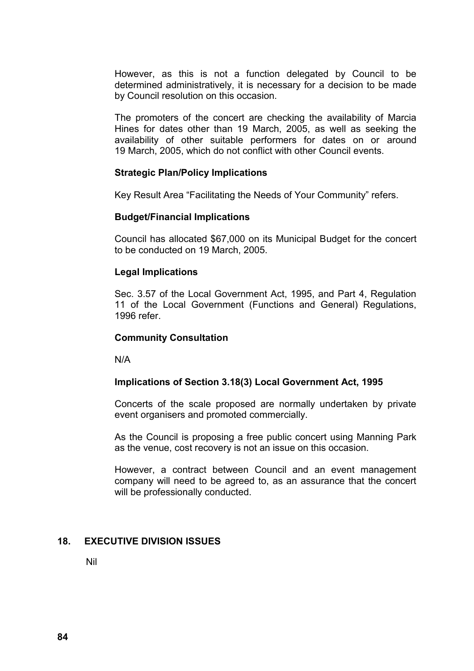However, as this is not a function delegated by Council to be determined administratively, it is necessary for a decision to be made by Council resolution on this occasion.

The promoters of the concert are checking the availability of Marcia Hines for dates other than 19 March, 2005, as well as seeking the availability of other suitable performers for dates on or around 19 March, 2005, which do not conflict with other Council events.

#### **Strategic Plan/Policy Implications**

Key Result Area "Facilitating the Needs of Your Community" refers.

#### **Budget/Financial Implications**

Council has allocated \$67,000 on its Municipal Budget for the concert to be conducted on 19 March, 2005.

#### **Legal Implications**

Sec. 3.57 of the Local Government Act, 1995, and Part 4, Regulation 11 of the Local Government (Functions and General) Regulations, 1996 refer.

#### **Community Consultation**

N/A

## **Implications of Section 3.18(3) Local Government Act, 1995**

Concerts of the scale proposed are normally undertaken by private event organisers and promoted commercially.

As the Council is proposing a free public concert using Manning Park as the venue, cost recovery is not an issue on this occasion.

However, a contract between Council and an event management company will need to be agreed to, as an assurance that the concert will be professionally conducted.

## **18. EXECUTIVE DIVISION ISSUES**

Nil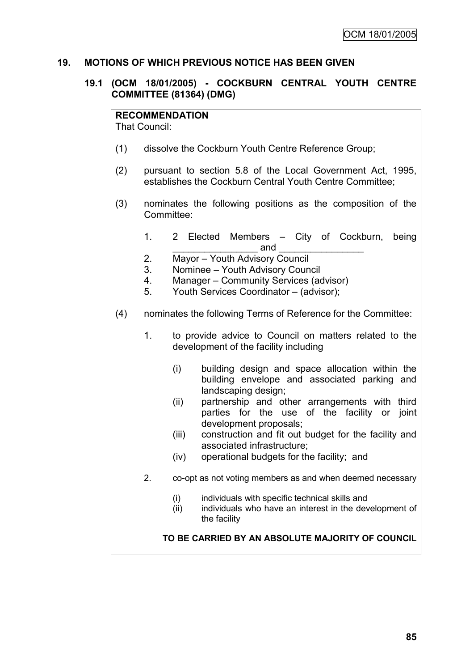# **19. MOTIONS OF WHICH PREVIOUS NOTICE HAS BEEN GIVEN**

## **19.1 (OCM 18/01/2005) - COCKBURN CENTRAL YOUTH CENTRE COMMITTEE (81364) (DMG)**

#### **RECOMMENDATION**

That Council:

- (1) dissolve the Cockburn Youth Centre Reference Group;
- (2) pursuant to section 5.8 of the Local Government Act, 1995, establishes the Cockburn Central Youth Centre Committee;
- (3) nominates the following positions as the composition of the Committee:
	- 1. 2 Elected Members City of Cockburn, being \_\_\_\_\_\_\_\_\_\_\_\_\_\_\_\_ and \_\_\_\_\_\_\_\_\_\_\_\_\_\_\_\_
	- 2. Mayor Youth Advisory Council
	- 3. Nominee Youth Advisory Council
	- 4. Manager Community Services (advisor)
	- 5. Youth Services Coordinator (advisor);
- (4) nominates the following Terms of Reference for the Committee:
	- 1. to provide advice to Council on matters related to the development of the facility including
		- (i) building design and space allocation within the building envelope and associated parking and landscaping design;
		- (ii) partnership and other arrangements with third parties for the use of the facility or joint development proposals;
		- (iii) construction and fit out budget for the facility and associated infrastructure;
		- (iv) operational budgets for the facility; and
	- 2. co-opt as not voting members as and when deemed necessary
		- (i) individuals with specific technical skills and
		- (ii) individuals who have an interest in the development of the facility

**TO BE CARRIED BY AN ABSOLUTE MAJORITY OF COUNCIL**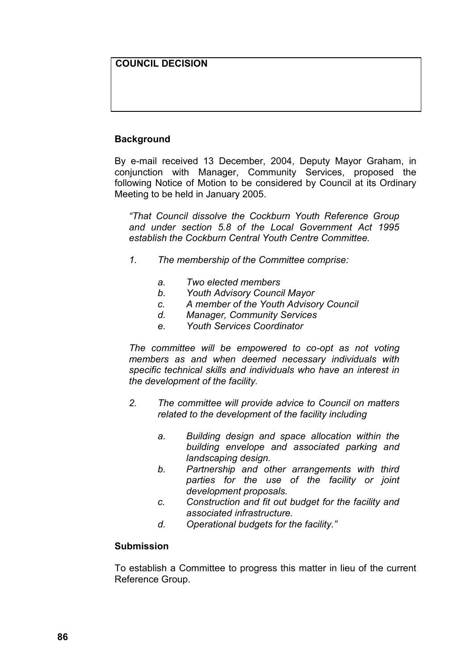# **COUNCIL DECISION**

# **Background**

By e-mail received 13 December, 2004, Deputy Mayor Graham, in conjunction with Manager, Community Services, proposed the following Notice of Motion to be considered by Council at its Ordinary Meeting to be held in January 2005.

*"That Council dissolve the Cockburn Youth Reference Group and under section 5.8 of the Local Government Act 1995 establish the Cockburn Central Youth Centre Committee.*

- *1. The membership of the Committee comprise:*
	- *a. Two elected members*
	- *b. Youth Advisory Council Mayor*
	- *c. A member of the Youth Advisory Council*
	- *d. Manager, Community Services*
	- *e. Youth Services Coordinator*

*The committee will be empowered to co-opt as not voting members as and when deemed necessary individuals with specific technical skills and individuals who have an interest in the development of the facility.*

- *2. The committee will provide advice to Council on matters related to the development of the facility including*
	- *a. Building design and space allocation within the building envelope and associated parking and landscaping design.*
	- *b. Partnership and other arrangements with third parties for the use of the facility or joint development proposals.*
	- *c. Construction and fit out budget for the facility and associated infrastructure.*
	- *d. Operational budgets for the facility."*

#### **Submission**

To establish a Committee to progress this matter in lieu of the current Reference Group.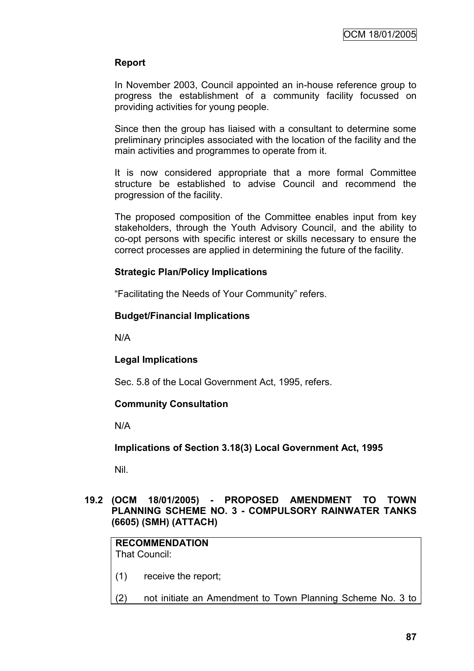# **Report**

In November 2003, Council appointed an in-house reference group to progress the establishment of a community facility focussed on providing activities for young people.

Since then the group has liaised with a consultant to determine some preliminary principles associated with the location of the facility and the main activities and programmes to operate from it.

It is now considered appropriate that a more formal Committee structure be established to advise Council and recommend the progression of the facility.

The proposed composition of the Committee enables input from key stakeholders, through the Youth Advisory Council, and the ability to co-opt persons with specific interest or skills necessary to ensure the correct processes are applied in determining the future of the facility.

## **Strategic Plan/Policy Implications**

"Facilitating the Needs of Your Community" refers.

# **Budget/Financial Implications**

N/A

# **Legal Implications**

Sec. 5.8 of the Local Government Act, 1995, refers.

## **Community Consultation**

N/A

**Implications of Section 3.18(3) Local Government Act, 1995**

Nil.

## **19.2 (OCM 18/01/2005) - PROPOSED AMENDMENT TO TOWN PLANNING SCHEME NO. 3 - COMPULSORY RAINWATER TANKS (6605) (SMH) (ATTACH)**

#### **RECOMMENDATION** That Council:

(1) receive the report;

(2) not initiate an Amendment to Town Planning Scheme No. 3 to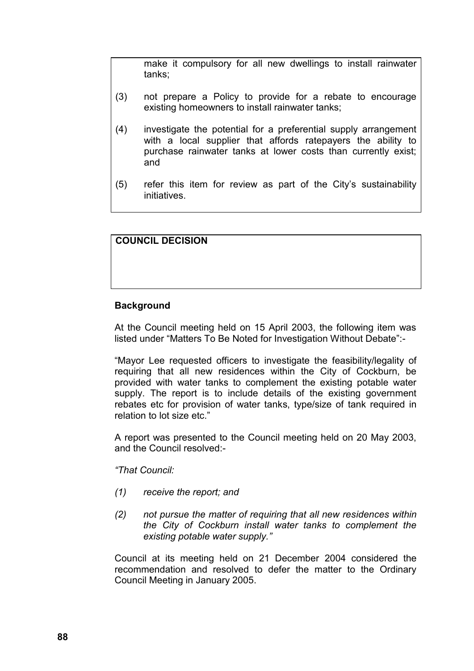make it compulsory for all new dwellings to install rainwater tanks;

- (3) not prepare a Policy to provide for a rebate to encourage existing homeowners to install rainwater tanks;
- (4) investigate the potential for a preferential supply arrangement with a local supplier that affords ratepayers the ability to purchase rainwater tanks at lower costs than currently exist; and
- (5) refer this item for review as part of the City"s sustainability initiatives.

# **COUNCIL DECISION**

## **Background**

At the Council meeting held on 15 April 2003, the following item was listed under "Matters To Be Noted for Investigation Without Debate":-

"Mayor Lee requested officers to investigate the feasibility/legality of requiring that all new residences within the City of Cockburn, be provided with water tanks to complement the existing potable water supply. The report is to include details of the existing government rebates etc for provision of water tanks, type/size of tank required in relation to lot size etc."

A report was presented to the Council meeting held on 20 May 2003, and the Council resolved:-

*"That Council:*

- *(1) receive the report; and*
- *(2) not pursue the matter of requiring that all new residences within the City of Cockburn install water tanks to complement the existing potable water supply."*

Council at its meeting held on 21 December 2004 considered the recommendation and resolved to defer the matter to the Ordinary Council Meeting in January 2005.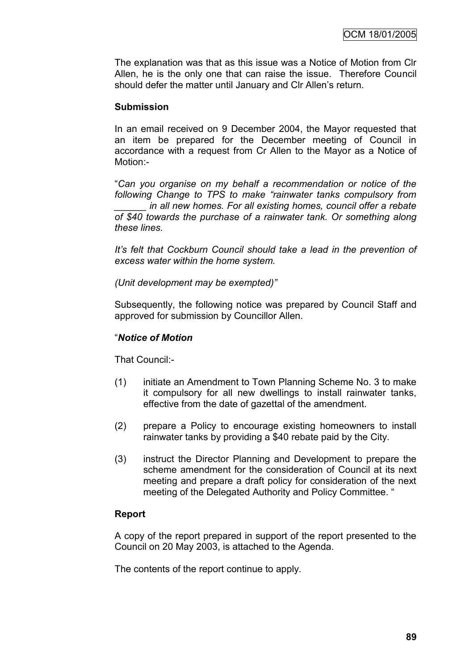The explanation was that as this issue was a Notice of Motion from Clr Allen, he is the only one that can raise the issue. Therefore Council should defer the matter until January and CIr Allen's return.

#### **Submission**

In an email received on 9 December 2004, the Mayor requested that an item be prepared for the December meeting of Council in accordance with a request from Cr Allen to the Mayor as a Notice of Motion:-

"*Can you organise on my behalf a recommendation or notice of the following Change to TPS to make "rainwater tanks compulsory from \_\_\_\_\_\_ in all new homes. For all existing homes, council offer a rebate of \$40 towards the purchase of a rainwater tank. Or something along these lines.*

*It's felt that Cockburn Council should take a lead in the prevention of excess water within the home system.*

*(Unit development may be exempted)"*

Subsequently, the following notice was prepared by Council Staff and approved for submission by Councillor Allen.

#### "*Notice of Motion*

That Council:-

- (1) initiate an Amendment to Town Planning Scheme No. 3 to make it compulsory for all new dwellings to install rainwater tanks, effective from the date of gazettal of the amendment.
- (2) prepare a Policy to encourage existing homeowners to install rainwater tanks by providing a \$40 rebate paid by the City.
- (3) instruct the Director Planning and Development to prepare the scheme amendment for the consideration of Council at its next meeting and prepare a draft policy for consideration of the next meeting of the Delegated Authority and Policy Committee. "

## **Report**

A copy of the report prepared in support of the report presented to the Council on 20 May 2003, is attached to the Agenda.

The contents of the report continue to apply.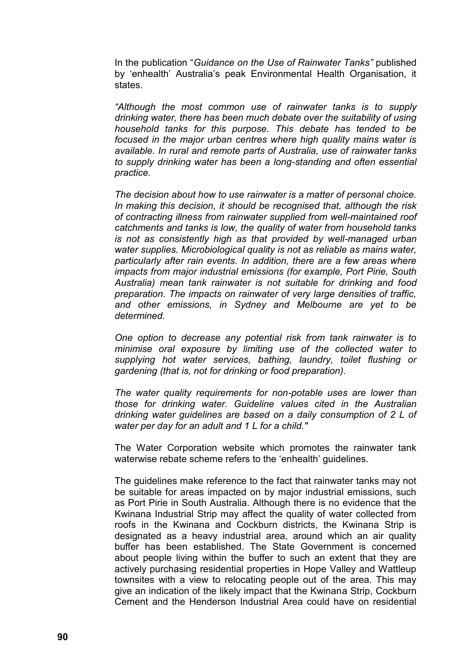In the publication "*Guidance on the Use of Rainwater Tanks"* published by "enhealth" Australia"s peak Environmental Health Organisation, it states.

*"Although the most common use of rainwater tanks is to supply drinking water, there has been much debate over the suitability of using household tanks for this purpose. This debate has tended to be focused in the major urban centres where high quality mains water is available. In rural and remote parts of Australia, use of rainwater tanks to supply drinking water has been a long-standing and often essential practice.*

*The decision about how to use rainwater is a matter of personal choice. In making this decision, it should be recognised that, although the risk of contracting illness from rainwater supplied from well-maintained roof catchments and tanks is low, the quality of water from household tanks is not as consistently high as that provided by well-managed urban water supplies. Microbiological quality is not as reliable as mains water, particularly after rain events. In addition, there are a few areas where impacts from major industrial emissions (for example, Port Pirie, South Australia) mean tank rainwater is not suitable for drinking and food preparation. The impacts on rainwater of very large densities of traffic, and other emissions, in Sydney and Melbourne are yet to be determined.*

*One option to decrease any potential risk from tank rainwater is to minimise oral exposure by limiting use of the collected water to supplying hot water services, bathing, laundry, toilet flushing or gardening (that is, not for drinking or food preparation).*

*The water quality requirements for non-potable uses are lower than those for drinking water. Guideline values cited in the Australian drinking water guidelines are based on a daily consumption of 2 L of water per day for an adult and 1 L for a child."*

The Water Corporation website which promotes the rainwater tank waterwise rebate scheme refers to the 'enhealth' quidelines.

The guidelines make reference to the fact that rainwater tanks may not be suitable for areas impacted on by major industrial emissions, such as Port Pirie in South Australia. Although there is no evidence that the Kwinana Industrial Strip may affect the quality of water collected from roofs in the Kwinana and Cockburn districts, the Kwinana Strip is designated as a heavy industrial area, around which an air quality buffer has been established. The State Government is concerned about people living within the buffer to such an extent that they are actively purchasing residential properties in Hope Valley and Wattleup townsites with a view to relocating people out of the area. This may give an indication of the likely impact that the Kwinana Strip, Cockburn Cement and the Henderson Industrial Area could have on residential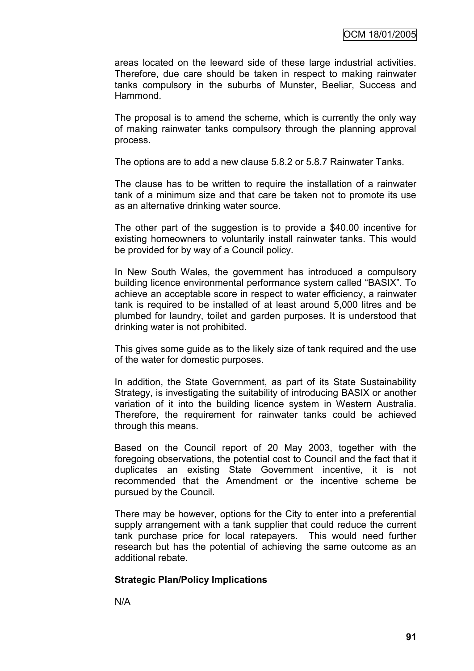areas located on the leeward side of these large industrial activities. Therefore, due care should be taken in respect to making rainwater tanks compulsory in the suburbs of Munster, Beeliar, Success and Hammond.

The proposal is to amend the scheme, which is currently the only way of making rainwater tanks compulsory through the planning approval process.

The options are to add a new clause 5.8.2 or 5.8.7 Rainwater Tanks.

The clause has to be written to require the installation of a rainwater tank of a minimum size and that care be taken not to promote its use as an alternative drinking water source.

The other part of the suggestion is to provide a \$40.00 incentive for existing homeowners to voluntarily install rainwater tanks. This would be provided for by way of a Council policy.

In New South Wales, the government has introduced a compulsory building licence environmental performance system called "BASIX". To achieve an acceptable score in respect to water efficiency, a rainwater tank is required to be installed of at least around 5,000 litres and be plumbed for laundry, toilet and garden purposes. It is understood that drinking water is not prohibited.

This gives some guide as to the likely size of tank required and the use of the water for domestic purposes.

In addition, the State Government, as part of its State Sustainability Strategy, is investigating the suitability of introducing BASIX or another variation of it into the building licence system in Western Australia. Therefore, the requirement for rainwater tanks could be achieved through this means.

Based on the Council report of 20 May 2003, together with the foregoing observations, the potential cost to Council and the fact that it duplicates an existing State Government incentive, it is not recommended that the Amendment or the incentive scheme be pursued by the Council.

There may be however, options for the City to enter into a preferential supply arrangement with a tank supplier that could reduce the current tank purchase price for local ratepayers. This would need further research but has the potential of achieving the same outcome as an additional rebate.

#### **Strategic Plan/Policy Implications**

N/A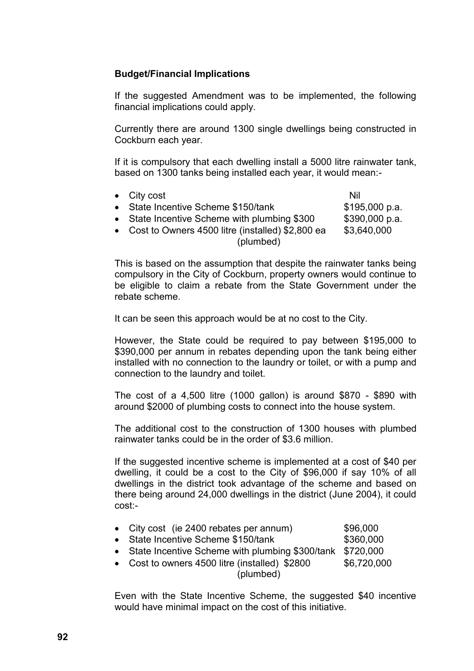## **Budget/Financial Implications**

If the suggested Amendment was to be implemented, the following financial implications could apply.

Currently there are around 1300 single dwellings being constructed in Cockburn each year.

If it is compulsory that each dwelling install a 5000 litre rainwater tank, based on 1300 tanks being installed each year, it would mean:-

• City cost Nil State Incentive Scheme \$150/tank \$195,000 p.a. • State Incentive Scheme with plumbing  $$300$   $$390,000$  p.a.  $\bullet$  Cost to Owners 4500 litre (installed) \$2,800 ea  $$3,640,000$ (plumbed)

This is based on the assumption that despite the rainwater tanks being compulsory in the City of Cockburn, property owners would continue to be eligible to claim a rebate from the State Government under the rebate scheme.

It can be seen this approach would be at no cost to the City.

However, the State could be required to pay between \$195,000 to \$390,000 per annum in rebates depending upon the tank being either installed with no connection to the laundry or toilet, or with a pump and connection to the laundry and toilet.

The cost of a 4,500 litre (1000 gallon) is around \$870 - \$890 with around \$2000 of plumbing costs to connect into the house system.

The additional cost to the construction of 1300 houses with plumbed rainwater tanks could be in the order of \$3.6 million.

If the suggested incentive scheme is implemented at a cost of \$40 per dwelling, it could be a cost to the City of \$96,000 if say 10% of all dwellings in the district took advantage of the scheme and based on there being around 24,000 dwellings in the district (June 2004), it could cost:-

|  |  | City cost (ie 2400 rebates per annum) | \$96,000 |
|--|--|---------------------------------------|----------|
|--|--|---------------------------------------|----------|

- State Incentive Scheme \$150/tank \$360,000
- State Incentive Scheme with plumbing \$300/tank \$720,000
- Cost to owners  $4500$  litre (installed)  $$2800$   $$6,720,000$ (plumbed)

Even with the State Incentive Scheme, the suggested \$40 incentive would have minimal impact on the cost of this initiative.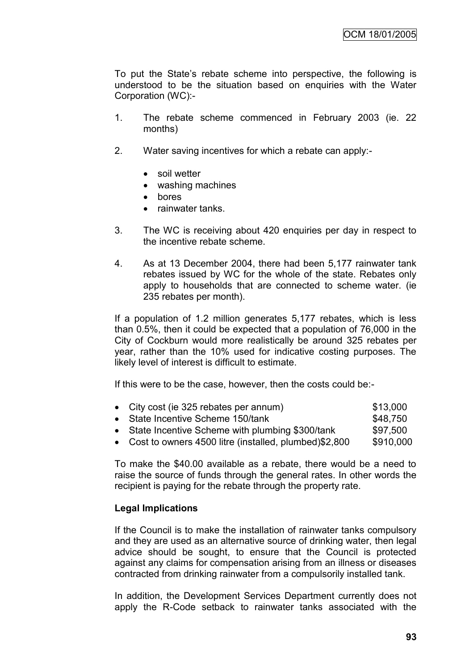To put the State"s rebate scheme into perspective, the following is understood to be the situation based on enquiries with the Water Corporation (WC):-

- 1. The rebate scheme commenced in February 2003 (ie. 22 months)
- 2. Water saving incentives for which a rebate can apply:-
	- soil wetter
	- washing machines
	- bores
	- rainwater tanks
- 3. The WC is receiving about 420 enquiries per day in respect to the incentive rebate scheme.
- 4. As at 13 December 2004, there had been 5,177 rainwater tank rebates issued by WC for the whole of the state. Rebates only apply to households that are connected to scheme water. (ie 235 rebates per month).

If a population of 1.2 million generates 5,177 rebates, which is less than 0.5%, then it could be expected that a population of 76,000 in the City of Cockburn would more realistically be around 325 rebates per year, rather than the 10% used for indicative costing purposes. The likely level of interest is difficult to estimate.

If this were to be the case, however, then the costs could be:-

| • City cost (ie 325 rebates per annum)                  | \$13,000  |
|---------------------------------------------------------|-----------|
| • State Incentive Scheme 150/tank                       | \$48,750  |
| • State Incentive Scheme with plumbing \$300/tank       | \$97,500  |
| • Cost to owners 4500 litre (installed, plumbed)\$2,800 | \$910,000 |

To make the \$40.00 available as a rebate, there would be a need to raise the source of funds through the general rates. In other words the recipient is paying for the rebate through the property rate.

## **Legal Implications**

If the Council is to make the installation of rainwater tanks compulsory and they are used as an alternative source of drinking water, then legal advice should be sought, to ensure that the Council is protected against any claims for compensation arising from an illness or diseases contracted from drinking rainwater from a compulsorily installed tank.

In addition, the Development Services Department currently does not apply the R-Code setback to rainwater tanks associated with the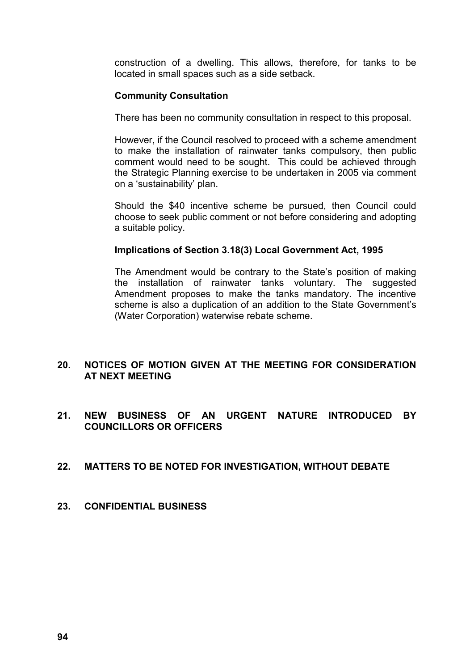construction of a dwelling. This allows, therefore, for tanks to be located in small spaces such as a side setback.

#### **Community Consultation**

There has been no community consultation in respect to this proposal.

However, if the Council resolved to proceed with a scheme amendment to make the installation of rainwater tanks compulsory, then public comment would need to be sought. This could be achieved through the Strategic Planning exercise to be undertaken in 2005 via comment on a "sustainability" plan.

Should the \$40 incentive scheme be pursued, then Council could choose to seek public comment or not before considering and adopting a suitable policy.

#### **Implications of Section 3.18(3) Local Government Act, 1995**

The Amendment would be contrary to the State's position of making the installation of rainwater tanks voluntary. The suggested Amendment proposes to make the tanks mandatory. The incentive scheme is also a duplication of an addition to the State Government"s (Water Corporation) waterwise rebate scheme.

## **20. NOTICES OF MOTION GIVEN AT THE MEETING FOR CONSIDERATION AT NEXT MEETING**

**21. NEW BUSINESS OF AN URGENT NATURE INTRODUCED BY COUNCILLORS OR OFFICERS**

## **22. MATTERS TO BE NOTED FOR INVESTIGATION, WITHOUT DEBATE**

#### **23. CONFIDENTIAL BUSINESS**